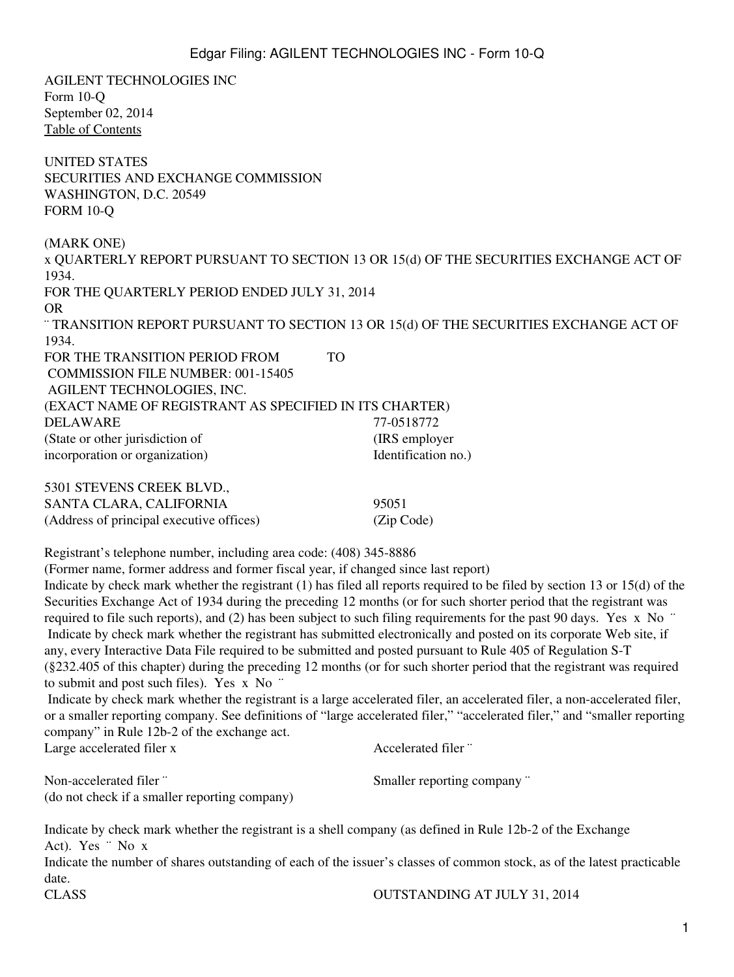AGILENT TECHNOLOGIES INC Form 10-Q September 02, 2014 [Table of Contents](#page-2-0) UNITED STATES SECURITIES AND EXCHANGE COMMISSION WASHINGTON, D.C. 20549 FORM 10-Q (MARK ONE) x QUARTERLY REPORT PURSUANT TO SECTION 13 OR 15(d) OF THE SECURITIES EXCHANGE ACT OF 1934. FOR THE QUARTERLY PERIOD ENDED JULY 31, 2014 OR ¨ TRANSITION REPORT PURSUANT TO SECTION 13 OR 15(d) OF THE SECURITIES EXCHANGE ACT OF 1934. FOR THE TRANSITION PERIOD FROM TO COMMISSION FILE NUMBER: 001-15405 AGILENT TECHNOLOGIES, INC. (EXACT NAME OF REGISTRANT AS SPECIFIED IN ITS CHARTER) DELAWARE 77-0518772 (State or other jurisdiction of (IRS employer incorporation or organization) Identification no.) 5301 STEVENS CREEK BLVD., SANTA CLARA, CALIFORNIA 95051 (Address of principal executive offices) (Zip Code) Registrant's telephone number, including area code: (408) 345-8886 (Former name, former address and former fiscal year, if changed since last report) Indicate by check mark whether the registrant (1) has filed all reports required to be filed by section 13 or 15(d) of the Securities Exchange Act of 1934 during the preceding 12 months (or for such shorter period that the registrant was required to file such reports), and (2) has been subject to such filing requirements for the past 90 days. Yes x No ¨ Indicate by check mark whether the registrant has submitted electronically and posted on its corporate Web site, if any, every Interactive Data File required to be submitted and posted pursuant to Rule 405 of Regulation S-T (§232.405 of this chapter) during the preceding 12 months (or for such shorter period that the registrant was required to submit and post such files). Yes x No ¨ Indicate by check mark whether the registrant is a large accelerated filer, an accelerated filer, a non-accelerated filer, or a smaller reporting company. See definitions of "large accelerated filer," "accelerated filer," and "smaller reporting company" in Rule 12b-2 of the exchange act. Large accelerated filer x Accelerated filer " Non-accelerated filer ¨ Smaller reporting company ¨ (do not check if a smaller reporting company) Indicate by check mark whether the registrant is a shell company (as defined in Rule 12b-2 of the Exchange Act). Yes ¨ No x Indicate the number of shares outstanding of each of the issuer's classes of common stock, as of the latest practicable date.

CLASS OUTSTANDING AT JULY 31, 2014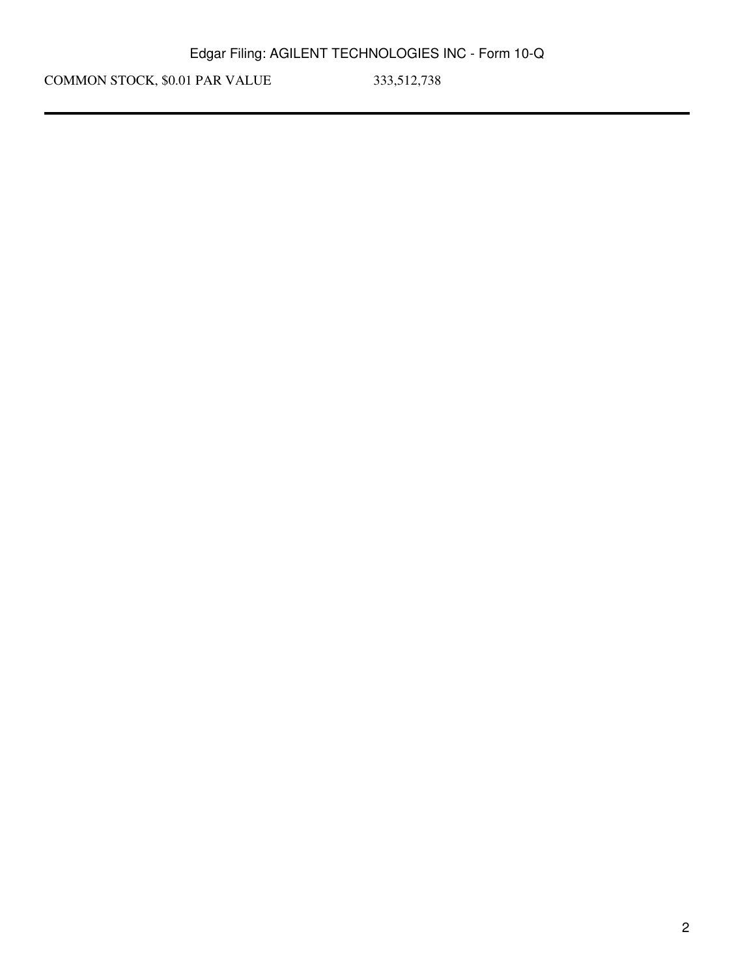COMMON STOCK, \$0.01 PAR VALUE 333,512,738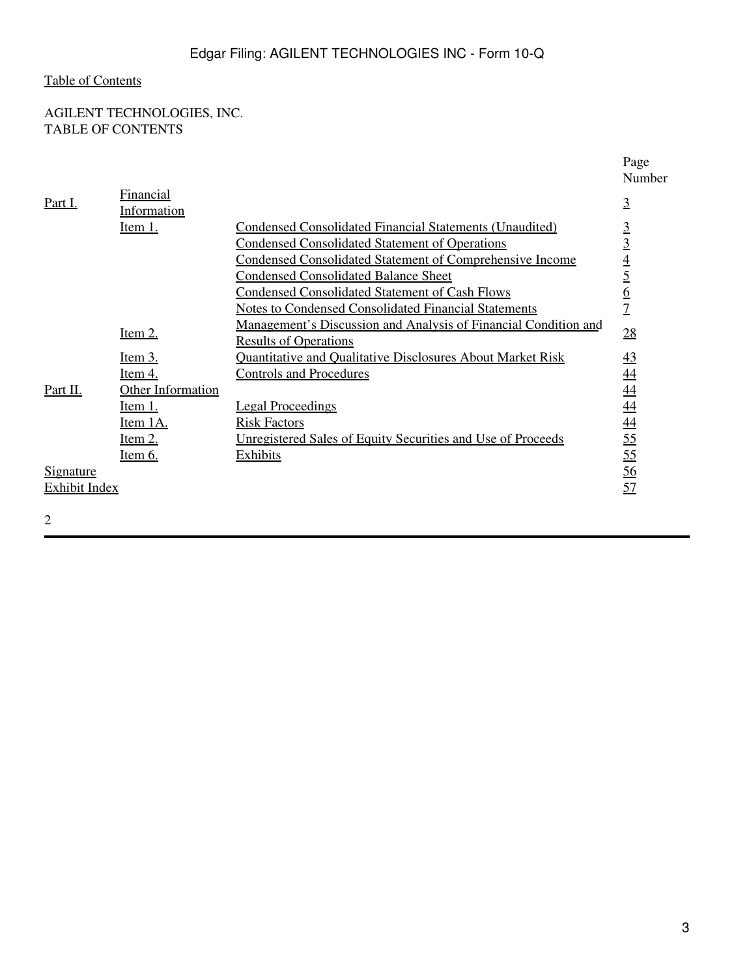# <span id="page-2-0"></span>AGILENT TECHNOLOGIES, INC. TABLE OF CONTENTS

|                      |                                        |                                                                    | Page<br>Number                                  |
|----------------------|----------------------------------------|--------------------------------------------------------------------|-------------------------------------------------|
| <u>Part I.</u>       | <b>Financial</b><br><u>Information</u> |                                                                    | $\overline{3}$                                  |
|                      | Item 1.                                | <b>Condensed Consolidated Financial Statements (Unaudited)</b>     |                                                 |
|                      |                                        | <b>Condensed Consolidated Statement of Operations</b>              | $rac{3}{3}$                                     |
|                      |                                        | <b>Condensed Consolidated Statement of Comprehensive Income</b>    |                                                 |
|                      |                                        | <b>Condensed Consolidated Balance Sheet</b>                        |                                                 |
|                      |                                        | <b>Condensed Consolidated Statement of Cash Flows</b>              | $\frac{4}{5}$                                   |
|                      |                                        | <b>Notes to Condensed Consolidated Financial Statements</b>        | $\overline{1}$                                  |
|                      | Item $2$ .                             | Management's Discussion and Analysis of Financial Condition and    | 28                                              |
|                      |                                        | <b>Results of Operations</b>                                       |                                                 |
|                      | Item 3.                                | <b>Quantitative and Qualitative Disclosures About Market Risk</b>  | $\overline{43}$                                 |
|                      | <u>Item 4.</u>                         | <b>Controls and Procedures</b>                                     | 44                                              |
| Part II.             | <b>Other Information</b>               |                                                                    |                                                 |
|                      | <u>Item 1.</u>                         | <b>Legal Proceedings</b>                                           |                                                 |
|                      | <u>Item 1A.</u>                        | <b>Risk Factors</b>                                                |                                                 |
|                      | <u>Item 2.</u>                         | <u>Unregistered Sales of Equity Securities and Use of Proceeds</u> | $\frac{44}{44}$ $\frac{44}{55}$ $\frac{55}{55}$ |
|                      | <u>Item 6.</u>                         | Exhibits                                                           |                                                 |
| <u>Signature</u>     |                                        |                                                                    | $\frac{56}{5}$                                  |
| <b>Exhibit Index</b> |                                        |                                                                    | 57                                              |
|                      |                                        |                                                                    |                                                 |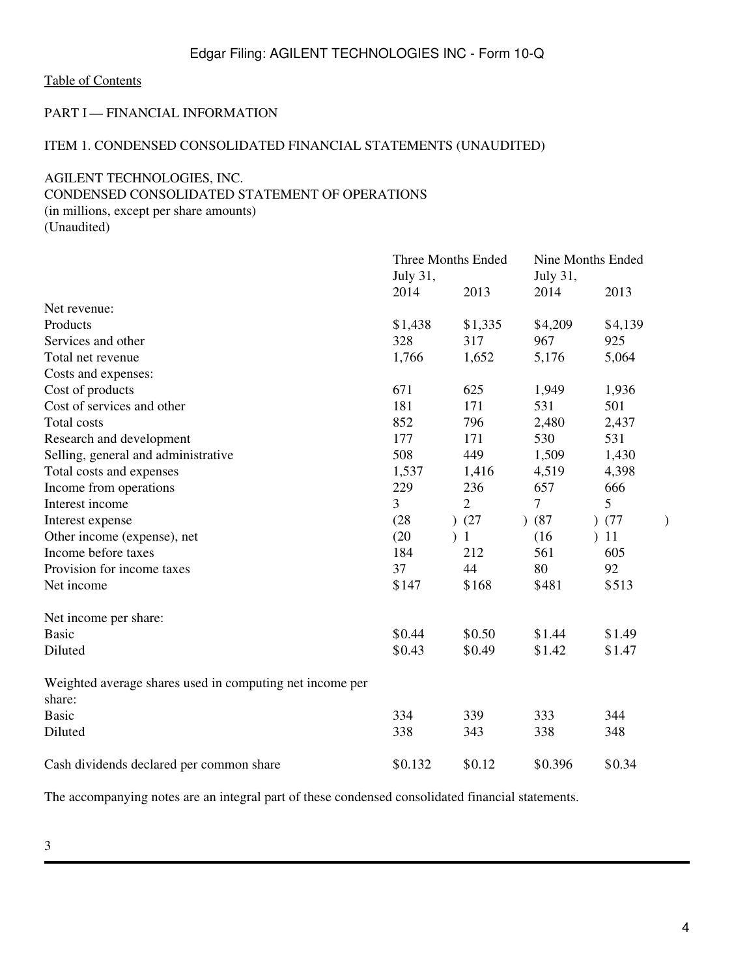### <span id="page-3-0"></span>PART I — FINANCIAL INFORMATION

### <span id="page-3-1"></span>ITEM 1. CONDENSED CONSOLIDATED FINANCIAL STATEMENTS (UNAUDITED)

## <span id="page-3-2"></span>AGILENT TECHNOLOGIES, INC.

# CONDENSED CONSOLIDATED STATEMENT OF OPERATIONS

(in millions, except per share amounts) (Unaudited)

|                                                          |                | Three Months Ended |                   | Nine Months Ended |  |  |  |
|----------------------------------------------------------|----------------|--------------------|-------------------|-------------------|--|--|--|
|                                                          | July 31,       |                    | July 31,          |                   |  |  |  |
|                                                          | 2014           | 2013               | 2014              | 2013              |  |  |  |
| Net revenue:                                             |                |                    |                   |                   |  |  |  |
| Products                                                 | \$1,438        | \$1,335            | \$4,209           | \$4,139           |  |  |  |
| Services and other                                       | 328            | 317                | 967               | 925               |  |  |  |
| Total net revenue                                        | 1,766          | 1,652              | 5,176             | 5,064             |  |  |  |
| Costs and expenses:                                      |                |                    |                   |                   |  |  |  |
| Cost of products                                         | 671            | 625                | 1,949             | 1,936             |  |  |  |
| Cost of services and other                               | 181            | 171                | 531               | 501               |  |  |  |
| <b>Total costs</b>                                       | 852            | 796                | 2,480             | 2,437             |  |  |  |
| Research and development                                 | 177            | 171                | 530               | 531               |  |  |  |
| Selling, general and administrative                      | 508            | 449                | 1,509             | 1,430             |  |  |  |
| Total costs and expenses                                 | 1,537          | 1,416              | 4,519             | 4,398             |  |  |  |
| Income from operations                                   | 229            | 236                | 657               | 666               |  |  |  |
| Interest income                                          | $\overline{3}$ | $\overline{2}$     | 7                 | 5                 |  |  |  |
| Interest expense                                         | (28)           | )(27)              | (87)<br>$\lambda$ | )(77)             |  |  |  |
| Other income (expense), net                              | (20)           | 1)                 | (16)              | 11                |  |  |  |
| Income before taxes                                      | 184            | 212                | 561               | 605               |  |  |  |
| Provision for income taxes                               | 37             | 44                 | 80                | 92                |  |  |  |
| Net income                                               | \$147          | \$168              | \$481             | \$513             |  |  |  |
| Net income per share:                                    |                |                    |                   |                   |  |  |  |
| <b>Basic</b>                                             | \$0.44         | \$0.50             | \$1.44            | \$1.49            |  |  |  |
| Diluted                                                  | \$0.43         | \$0.49             | \$1.42            | \$1.47            |  |  |  |
| Weighted average shares used in computing net income per |                |                    |                   |                   |  |  |  |
| share:                                                   |                |                    |                   |                   |  |  |  |
| <b>Basic</b>                                             | 334            | 339                | 333               | 344               |  |  |  |
| Diluted                                                  | 338            | 343                | 338               | 348               |  |  |  |
| Cash dividends declared per common share                 | \$0.132        | \$0.12             | \$0.396           | \$0.34            |  |  |  |

The accompanying notes are an integral part of these condensed consolidated financial statements.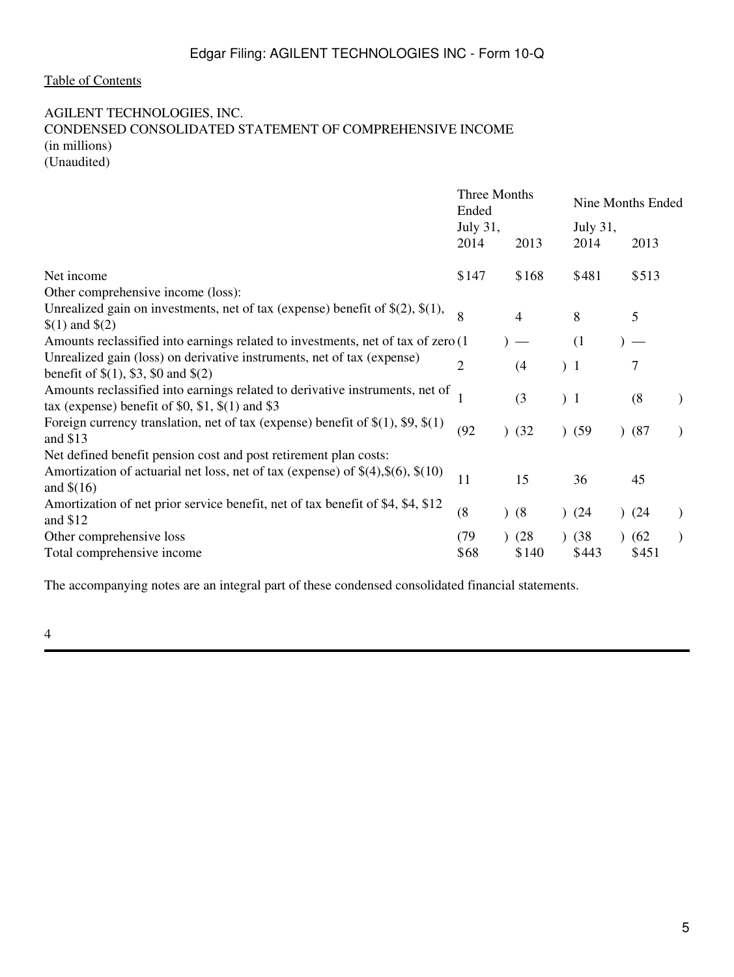### <span id="page-4-0"></span>AGILENT TECHNOLOGIES, INC.

# CONDENSED CONSOLIDATED STATEMENT OF COMPREHENSIVE INCOME (in millions)

(Unaudited)

|                                                                                                                                                                     | Three Months<br>Ended |  |                          |                 | Nine Months Ended |               |  |
|---------------------------------------------------------------------------------------------------------------------------------------------------------------------|-----------------------|--|--------------------------|-----------------|-------------------|---------------|--|
|                                                                                                                                                                     | July 31,              |  |                          |                 | July 31,          |               |  |
|                                                                                                                                                                     | 2014                  |  | 2013                     | 2014            |                   | 2013          |  |
| Net income                                                                                                                                                          | \$147                 |  | \$168                    | \$481           |                   | \$513         |  |
| Other comprehensive income (loss):                                                                                                                                  |                       |  |                          |                 |                   |               |  |
| Unrealized gain on investments, net of tax (expense) benefit of $\S(2)$ , $\S(1)$ ,<br>$(1)$ and $(2)$                                                              | 8                     |  | $\overline{4}$           | 8               |                   | 5             |  |
| Amounts reclassified into earnings related to investments, net of tax of zero (1                                                                                    |                       |  | $\overline{\phantom{a}}$ | (1)             |                   |               |  |
| Unrealized gain (loss) on derivative instruments, net of tax (expense)<br>benefit of $\$(1), \$3, \$0 \]$ and $\$(2)$                                               | $\overline{2}$        |  | (4)                      | 1)              |                   | 7             |  |
| Amounts reclassified into earnings related to derivative instruments, net of<br>tax (expense) benefit of \$0, \$1, $\$(1)$ and \$3                                  |                       |  | (3)                      | 1)              |                   | (8)           |  |
| Foreign currency translation, net of tax (expense) benefit of $\S(1)$ , \$9, $\S(1)$<br>and $$13$                                                                   | (92)                  |  | )(32)                    | (59)            |                   | )(87)         |  |
| Net defined benefit pension cost and post retirement plan costs:<br>Amortization of actuarial net loss, net of tax (expense) of $\$(4),\$(6),\$(10)$<br>and $$(16)$ | 11                    |  | 15                       | 36              |                   | 45            |  |
| Amortization of net prior service benefit, net of tax benefit of \$4, \$4, \$12<br>and $$12$                                                                        | (8)                   |  | (8)                      | (24)            |                   | )(24)         |  |
| Other comprehensive loss<br>Total comprehensive income                                                                                                              | (79)<br>\$68          |  | (28)<br>\$140            | ) (38)<br>\$443 |                   | (62)<br>\$451 |  |

The accompanying notes are an integral part of these condensed consolidated financial statements.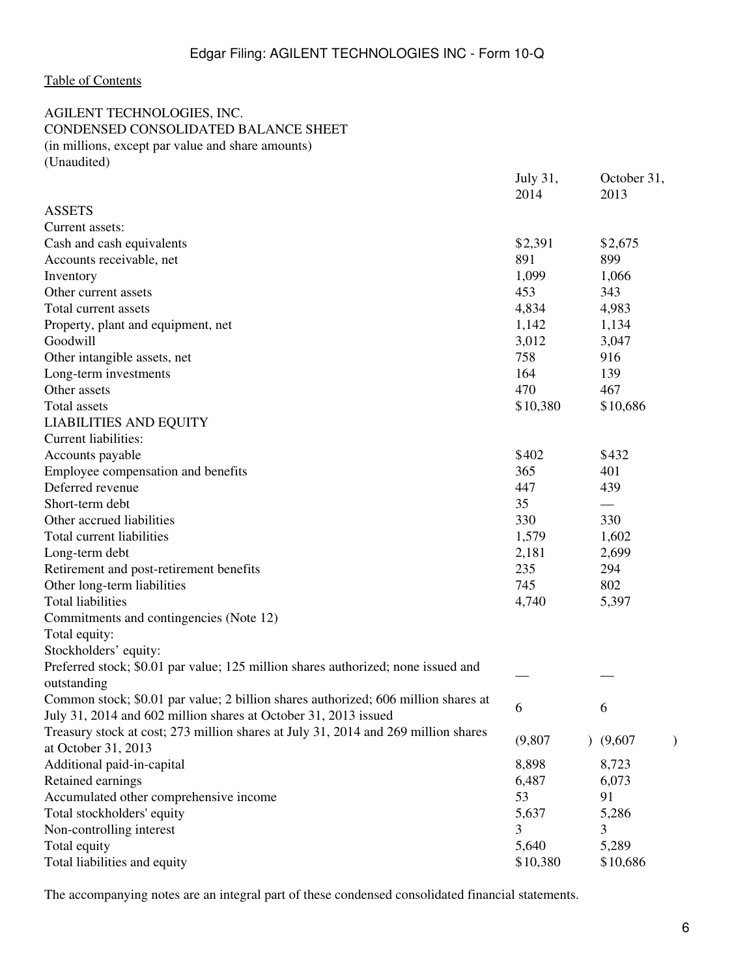### <span id="page-5-0"></span>AGILENT TECHNOLOGIES, INC. CONDENSED CONSOLIDATED BALANCE SHEET (in millions, except par value and share amounts) (Unaudited)

|                                                                                    | July 31,<br>2014 | October 31,<br>2013 |  |
|------------------------------------------------------------------------------------|------------------|---------------------|--|
| <b>ASSETS</b>                                                                      |                  |                     |  |
| Current assets:                                                                    |                  |                     |  |
| Cash and cash equivalents                                                          | \$2,391          | \$2,675             |  |
| Accounts receivable, net                                                           | 891              | 899                 |  |
| Inventory                                                                          | 1,099            | 1,066               |  |
| Other current assets                                                               | 453              | 343                 |  |
| Total current assets                                                               | 4,834            | 4,983               |  |
| Property, plant and equipment, net                                                 | 1,142            | 1,134               |  |
| Goodwill                                                                           | 3,012            | 3,047               |  |
| Other intangible assets, net                                                       | 758              | 916                 |  |
| Long-term investments                                                              | 164              | 139                 |  |
| Other assets                                                                       | 470              | 467                 |  |
| Total assets                                                                       | \$10,380         | \$10,686            |  |
| <b>LIABILITIES AND EQUITY</b>                                                      |                  |                     |  |
| <b>Current liabilities:</b>                                                        |                  |                     |  |
| Accounts payable                                                                   | \$402            | \$432               |  |
| Employee compensation and benefits                                                 | 365              | 401                 |  |
| Deferred revenue                                                                   | 447              | 439                 |  |
| Short-term debt                                                                    | 35               |                     |  |
| Other accrued liabilities                                                          | 330              | 330                 |  |
| Total current liabilities                                                          | 1,579            | 1,602               |  |
| Long-term debt                                                                     | 2,181            | 2,699               |  |
| Retirement and post-retirement benefits                                            | 235              | 294                 |  |
| Other long-term liabilities                                                        | 745              | 802                 |  |
| <b>Total liabilities</b>                                                           | 4,740            | 5,397               |  |
| Commitments and contingencies (Note 12)                                            |                  |                     |  |
| Total equity:                                                                      |                  |                     |  |
| Stockholders' equity:                                                              |                  |                     |  |
| Preferred stock; \$0.01 par value; 125 million shares authorized; none issued and  |                  |                     |  |
| outstanding                                                                        |                  |                     |  |
| Common stock; \$0.01 par value; 2 billion shares authorized; 606 million shares at | 6                | 6                   |  |
| July 31, 2014 and 602 million shares at October 31, 2013 issued                    |                  |                     |  |
| Treasury stock at cost; 273 million shares at July 31, 2014 and 269 million shares | (9,807)          |                     |  |
| at October 31, 2013                                                                |                  | (9,607)             |  |
| Additional paid-in-capital                                                         | 8,898            | 8,723               |  |
| Retained earnings                                                                  | 6,487            | 6,073               |  |
| Accumulated other comprehensive income                                             | 53               | 91                  |  |
| Total stockholders' equity                                                         | 5,637            | 5,286               |  |
| Non-controlling interest                                                           | 3                | 3                   |  |
| Total equity                                                                       | 5,640            | 5,289               |  |
| Total liabilities and equity                                                       | \$10,380         | \$10,686            |  |

The accompanying notes are an integral part of these condensed consolidated financial statements.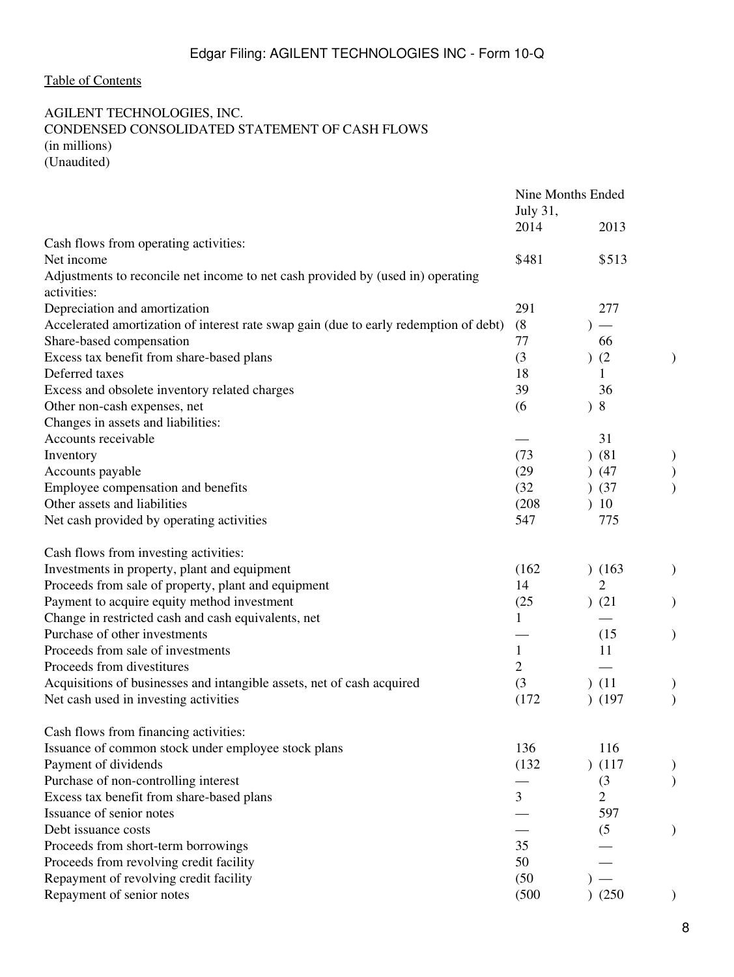# <span id="page-7-0"></span>AGILENT TECHNOLOGIES, INC. CONDENSED CONSOLIDATED STATEMENT OF CASH FLOWS (in millions) (Unaudited)

|                                                                                                | July 31,     | Nine Months Ended        |               |
|------------------------------------------------------------------------------------------------|--------------|--------------------------|---------------|
|                                                                                                | 2014         | 2013                     |               |
| Cash flows from operating activities:                                                          |              |                          |               |
| Net income                                                                                     | \$481        | \$513                    |               |
| Adjustments to reconcile net income to net cash provided by (used in) operating<br>activities: |              |                          |               |
| Depreciation and amortization                                                                  | 291          | 277                      |               |
| Accelerated amortization of interest rate swap gain (due to early redemption of debt)          | (8)          | $\overline{\phantom{m}}$ |               |
| Share-based compensation                                                                       | 77           | 66                       |               |
| Excess tax benefit from share-based plans                                                      | (3)          | (2)                      | )             |
| Deferred taxes                                                                                 | 18           | 1                        |               |
| Excess and obsolete inventory related charges                                                  | 39           | 36                       |               |
| Other non-cash expenses, net                                                                   | (6)          | 8                        |               |
| Changes in assets and liabilities:                                                             |              |                          |               |
| Accounts receivable                                                                            |              | 31                       |               |
| Inventory                                                                                      | (73)         | $)$ (81)                 | )             |
| Accounts payable                                                                               | (29)         | (47)                     |               |
| Employee compensation and benefits                                                             | (32)         | )(37)                    |               |
| Other assets and liabilities                                                                   | (208)        | 10                       |               |
| Net cash provided by operating activities                                                      | 547          | 775                      |               |
| Cash flows from investing activities:                                                          |              |                          |               |
| Investments in property, plant and equipment                                                   | (162)        | (163)                    |               |
| Proceeds from sale of property, plant and equipment                                            | 14           | $\overline{2}$           |               |
| Payment to acquire equity method investment                                                    | (25)         | ) (21)                   |               |
| Change in restricted cash and cash equivalents, net                                            | $\mathbf{1}$ |                          |               |
| Purchase of other investments                                                                  |              | (15)                     | $\mathcal{)}$ |
| Proceeds from sale of investments                                                              | 1            | 11                       |               |
| Proceeds from divestitures                                                                     | 2            |                          |               |
| Acquisitions of businesses and intangible assets, net of cash acquired                         | (3)          | (11)                     | )             |
| Net cash used in investing activities                                                          | (172)        | (197)                    |               |
| Cash flows from financing activities:                                                          |              |                          |               |
| Issuance of common stock under employee stock plans                                            | 136          | 116                      |               |
| Payment of dividends                                                                           | (132)        | (117)                    |               |
| Purchase of non-controlling interest                                                           |              | (3)                      |               |
| Excess tax benefit from share-based plans                                                      | 3            | $\overline{2}$           |               |
| Issuance of senior notes                                                                       |              | 597                      |               |
| Debt issuance costs                                                                            |              | (5)                      |               |
| Proceeds from short-term borrowings                                                            | 35           |                          |               |
| Proceeds from revolving credit facility                                                        | 50           |                          |               |
| Repayment of revolving credit facility                                                         | (50)         |                          |               |
| Repayment of senior notes                                                                      | (500)        | (250)                    |               |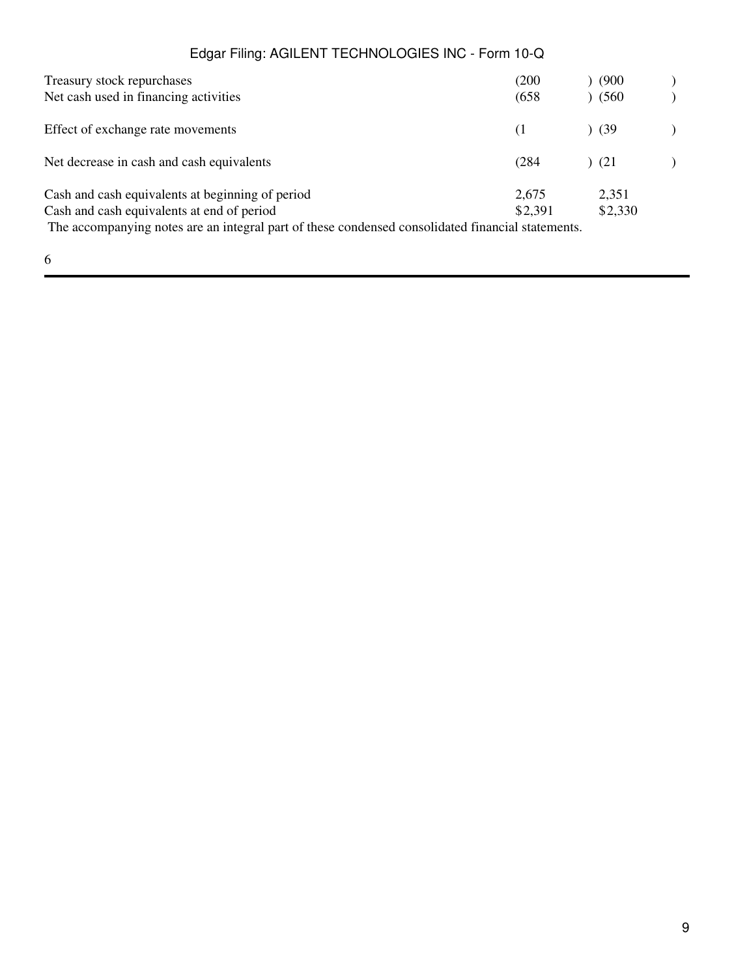| Treasury stock repurchases                                                                        | (200)   | (900)   |  |
|---------------------------------------------------------------------------------------------------|---------|---------|--|
| Net cash used in financing activities                                                             | (658)   | (560)   |  |
| Effect of exchange rate movements                                                                 | (1      | (39)    |  |
| Net decrease in cash and cash equivalents                                                         | (284)   | (21)    |  |
| Cash and cash equivalents at beginning of period                                                  | 2,675   | 2,351   |  |
| Cash and cash equivalents at end of period                                                        | \$2,391 | \$2,330 |  |
| The accompanying notes are an integral part of these condensed consolidated financial statements. |         |         |  |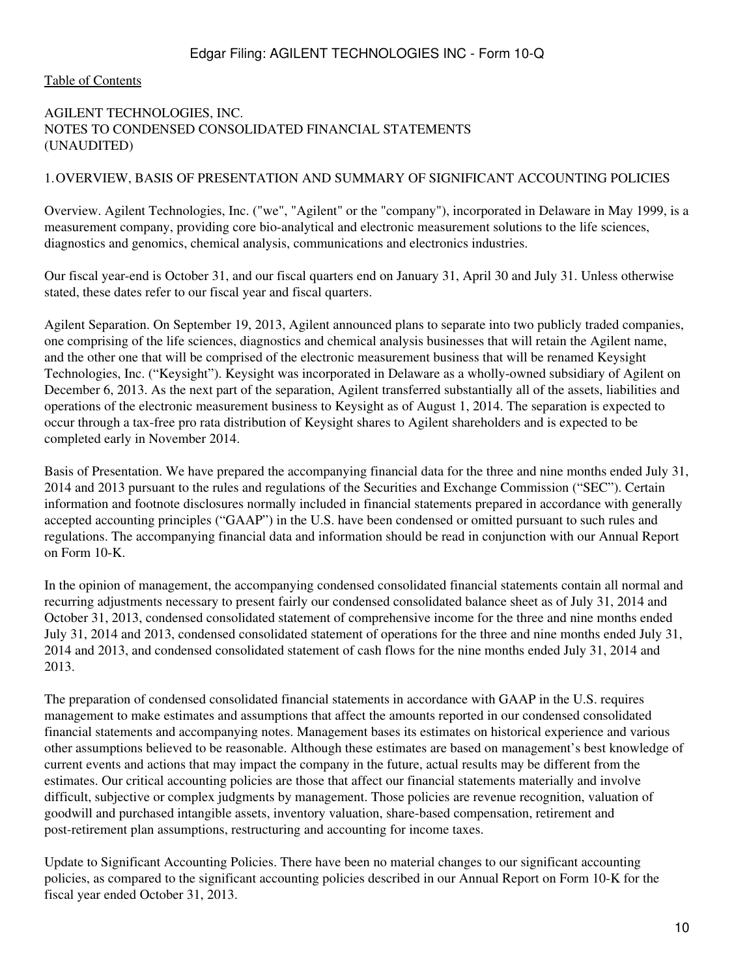#### <span id="page-9-0"></span>[Table of Contents](#page-2-0)

### AGILENT TECHNOLOGIES, INC. NOTES TO CONDENSED CONSOLIDATED FINANCIAL STATEMENTS (UNAUDITED)

#### 1.OVERVIEW, BASIS OF PRESENTATION AND SUMMARY OF SIGNIFICANT ACCOUNTING POLICIES

Overview. Agilent Technologies, Inc. ("we", "Agilent" or the "company"), incorporated in Delaware in May 1999, is a measurement company, providing core bio-analytical and electronic measurement solutions to the life sciences, diagnostics and genomics, chemical analysis, communications and electronics industries.

Our fiscal year-end is October 31, and our fiscal quarters end on January 31, April 30 and July 31. Unless otherwise stated, these dates refer to our fiscal year and fiscal quarters.

Agilent Separation. On September 19, 2013, Agilent announced plans to separate into two publicly traded companies, one comprising of the life sciences, diagnostics and chemical analysis businesses that will retain the Agilent name, and the other one that will be comprised of the electronic measurement business that will be renamed Keysight Technologies, Inc. ("Keysight"). Keysight was incorporated in Delaware as a wholly-owned subsidiary of Agilent on December 6, 2013. As the next part of the separation, Agilent transferred substantially all of the assets, liabilities and operations of the electronic measurement business to Keysight as of August 1, 2014. The separation is expected to occur through a tax-free pro rata distribution of Keysight shares to Agilent shareholders and is expected to be completed early in November 2014.

Basis of Presentation. We have prepared the accompanying financial data for the three and nine months ended July 31, 2014 and 2013 pursuant to the rules and regulations of the Securities and Exchange Commission ("SEC"). Certain information and footnote disclosures normally included in financial statements prepared in accordance with generally accepted accounting principles ("GAAP") in the U.S. have been condensed or omitted pursuant to such rules and regulations. The accompanying financial data and information should be read in conjunction with our Annual Report on Form 10-K.

In the opinion of management, the accompanying condensed consolidated financial statements contain all normal and recurring adjustments necessary to present fairly our condensed consolidated balance sheet as of July 31, 2014 and October 31, 2013, condensed consolidated statement of comprehensive income for the three and nine months ended July 31, 2014 and 2013, condensed consolidated statement of operations for the three and nine months ended July 31, 2014 and 2013, and condensed consolidated statement of cash flows for the nine months ended July 31, 2014 and 2013.

The preparation of condensed consolidated financial statements in accordance with GAAP in the U.S. requires management to make estimates and assumptions that affect the amounts reported in our condensed consolidated financial statements and accompanying notes. Management bases its estimates on historical experience and various other assumptions believed to be reasonable. Although these estimates are based on management's best knowledge of current events and actions that may impact the company in the future, actual results may be different from the estimates. Our critical accounting policies are those that affect our financial statements materially and involve difficult, subjective or complex judgments by management. Those policies are revenue recognition, valuation of goodwill and purchased intangible assets, inventory valuation, share-based compensation, retirement and post-retirement plan assumptions, restructuring and accounting for income taxes.

Update to Significant Accounting Policies. There have been no material changes to our significant accounting policies, as compared to the significant accounting policies described in our Annual Report on Form 10-K for the fiscal year ended October 31, 2013.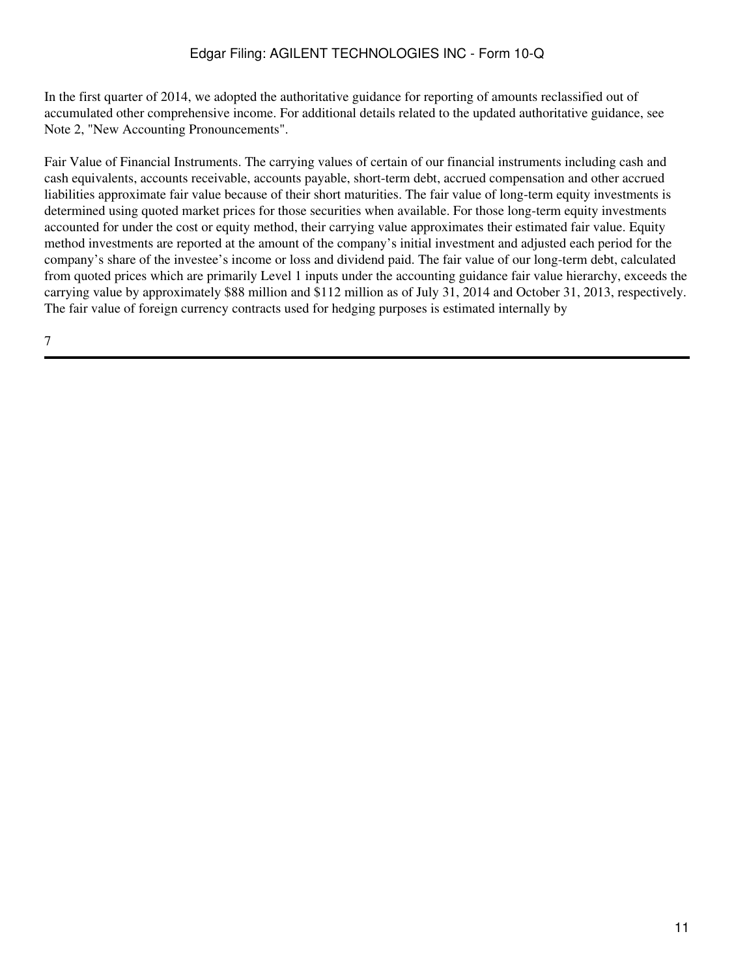In the first quarter of 2014, we adopted the authoritative guidance for reporting of amounts reclassified out of accumulated other comprehensive income. For additional details related to the updated authoritative guidance, see Note 2, "New Accounting Pronouncements".

Fair Value of Financial Instruments. The carrying values of certain of our financial instruments including cash and cash equivalents, accounts receivable, accounts payable, short-term debt, accrued compensation and other accrued liabilities approximate fair value because of their short maturities. The fair value of long-term equity investments is determined using quoted market prices for those securities when available. For those long-term equity investments accounted for under the cost or equity method, their carrying value approximates their estimated fair value. Equity method investments are reported at the amount of the company's initial investment and adjusted each period for the company's share of the investee's income or loss and dividend paid. The fair value of our long-term debt, calculated from quoted prices which are primarily Level 1 inputs under the accounting guidance fair value hierarchy, exceeds the carrying value by approximately \$88 million and \$112 million as of July 31, 2014 and October 31, 2013, respectively. The fair value of foreign currency contracts used for hedging purposes is estimated internally by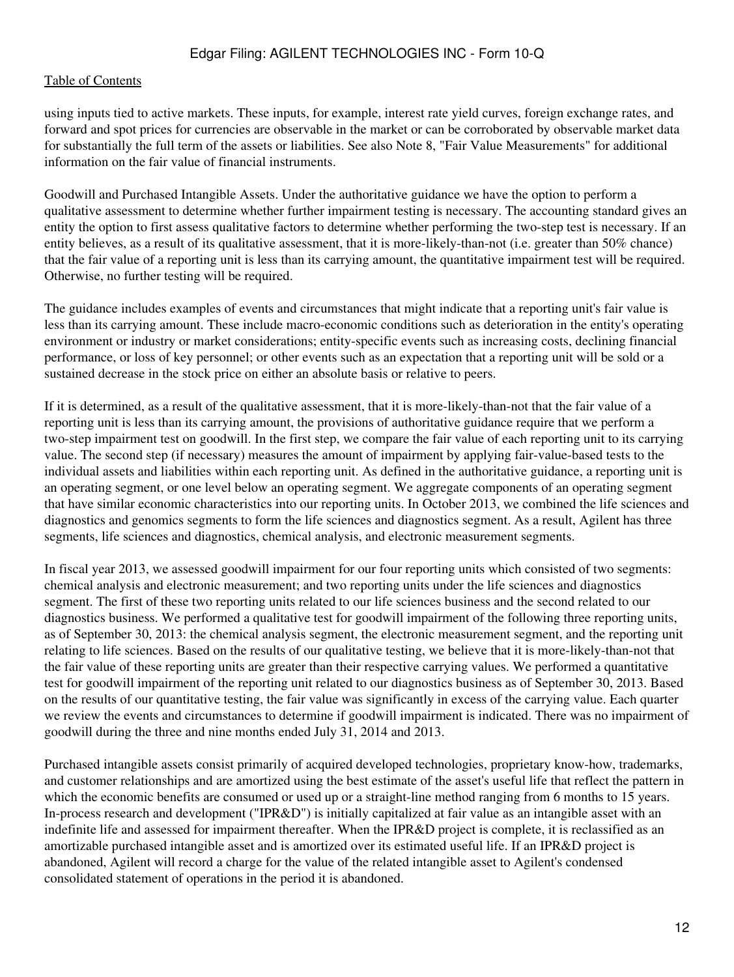#### [Table of Contents](#page-2-0)

using inputs tied to active markets. These inputs, for example, interest rate yield curves, foreign exchange rates, and forward and spot prices for currencies are observable in the market or can be corroborated by observable market data for substantially the full term of the assets or liabilities. See also Note 8, "Fair Value Measurements" for additional information on the fair value of financial instruments.

Goodwill and Purchased Intangible Assets. Under the authoritative guidance we have the option to perform a qualitative assessment to determine whether further impairment testing is necessary. The accounting standard gives an entity the option to first assess qualitative factors to determine whether performing the two-step test is necessary. If an entity believes, as a result of its qualitative assessment, that it is more-likely-than-not (i.e. greater than 50% chance) that the fair value of a reporting unit is less than its carrying amount, the quantitative impairment test will be required. Otherwise, no further testing will be required.

The guidance includes examples of events and circumstances that might indicate that a reporting unit's fair value is less than its carrying amount. These include macro-economic conditions such as deterioration in the entity's operating environment or industry or market considerations; entity-specific events such as increasing costs, declining financial performance, or loss of key personnel; or other events such as an expectation that a reporting unit will be sold or a sustained decrease in the stock price on either an absolute basis or relative to peers.

If it is determined, as a result of the qualitative assessment, that it is more-likely-than-not that the fair value of a reporting unit is less than its carrying amount, the provisions of authoritative guidance require that we perform a two-step impairment test on goodwill. In the first step, we compare the fair value of each reporting unit to its carrying value. The second step (if necessary) measures the amount of impairment by applying fair-value-based tests to the individual assets and liabilities within each reporting unit. As defined in the authoritative guidance, a reporting unit is an operating segment, or one level below an operating segment. We aggregate components of an operating segment that have similar economic characteristics into our reporting units. In October 2013, we combined the life sciences and diagnostics and genomics segments to form the life sciences and diagnostics segment. As a result, Agilent has three segments, life sciences and diagnostics, chemical analysis, and electronic measurement segments.

In fiscal year 2013, we assessed goodwill impairment for our four reporting units which consisted of two segments: chemical analysis and electronic measurement; and two reporting units under the life sciences and diagnostics segment. The first of these two reporting units related to our life sciences business and the second related to our diagnostics business. We performed a qualitative test for goodwill impairment of the following three reporting units, as of September 30, 2013: the chemical analysis segment, the electronic measurement segment, and the reporting unit relating to life sciences. Based on the results of our qualitative testing, we believe that it is more-likely-than-not that the fair value of these reporting units are greater than their respective carrying values. We performed a quantitative test for goodwill impairment of the reporting unit related to our diagnostics business as of September 30, 2013. Based on the results of our quantitative testing, the fair value was significantly in excess of the carrying value. Each quarter we review the events and circumstances to determine if goodwill impairment is indicated. There was no impairment of goodwill during the three and nine months ended July 31, 2014 and 2013.

Purchased intangible assets consist primarily of acquired developed technologies, proprietary know-how, trademarks, and customer relationships and are amortized using the best estimate of the asset's useful life that reflect the pattern in which the economic benefits are consumed or used up or a straight-line method ranging from 6 months to 15 years. In-process research and development ("IPR&D") is initially capitalized at fair value as an intangible asset with an indefinite life and assessed for impairment thereafter. When the IPR&D project is complete, it is reclassified as an amortizable purchased intangible asset and is amortized over its estimated useful life. If an IPR&D project is abandoned, Agilent will record a charge for the value of the related intangible asset to Agilent's condensed consolidated statement of operations in the period it is abandoned.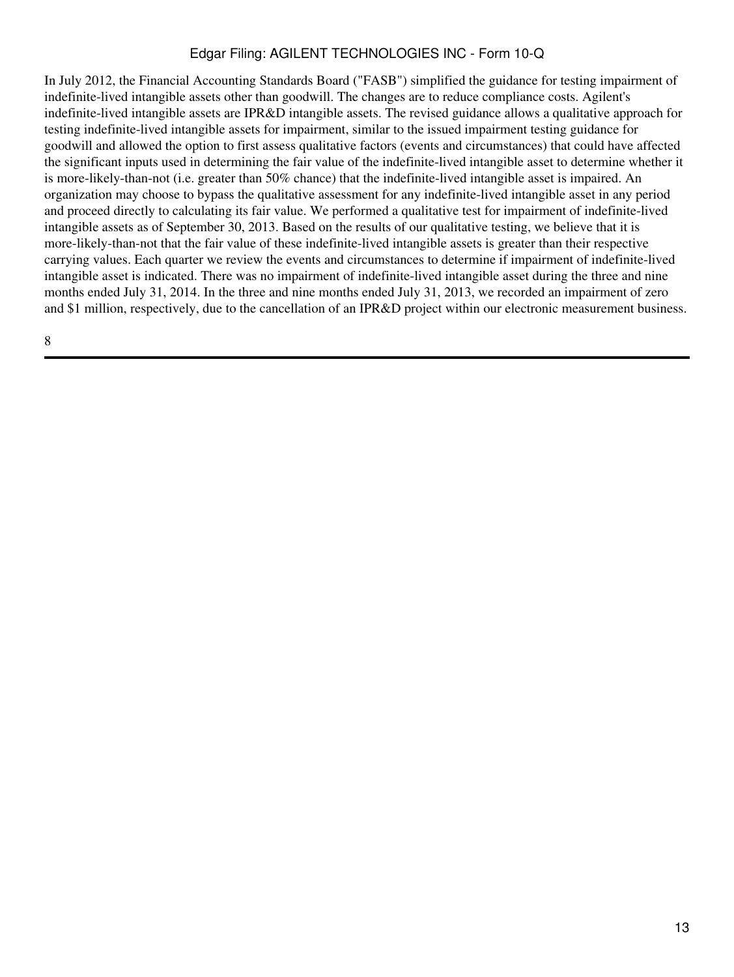In July 2012, the Financial Accounting Standards Board ("FASB") simplified the guidance for testing impairment of indefinite-lived intangible assets other than goodwill. The changes are to reduce compliance costs. Agilent's indefinite-lived intangible assets are IPR&D intangible assets. The revised guidance allows a qualitative approach for testing indefinite-lived intangible assets for impairment, similar to the issued impairment testing guidance for goodwill and allowed the option to first assess qualitative factors (events and circumstances) that could have affected the significant inputs used in determining the fair value of the indefinite-lived intangible asset to determine whether it is more-likely-than-not (i.e. greater than 50% chance) that the indefinite-lived intangible asset is impaired. An organization may choose to bypass the qualitative assessment for any indefinite-lived intangible asset in any period and proceed directly to calculating its fair value. We performed a qualitative test for impairment of indefinite-lived intangible assets as of September 30, 2013. Based on the results of our qualitative testing, we believe that it is more-likely-than-not that the fair value of these indefinite-lived intangible assets is greater than their respective carrying values. Each quarter we review the events and circumstances to determine if impairment of indefinite-lived intangible asset is indicated. There was no impairment of indefinite-lived intangible asset during the three and nine months ended July 31, 2014. In the three and nine months ended July 31, 2013, we recorded an impairment of zero and \$1 million, respectively, due to the cancellation of an IPR&D project within our electronic measurement business.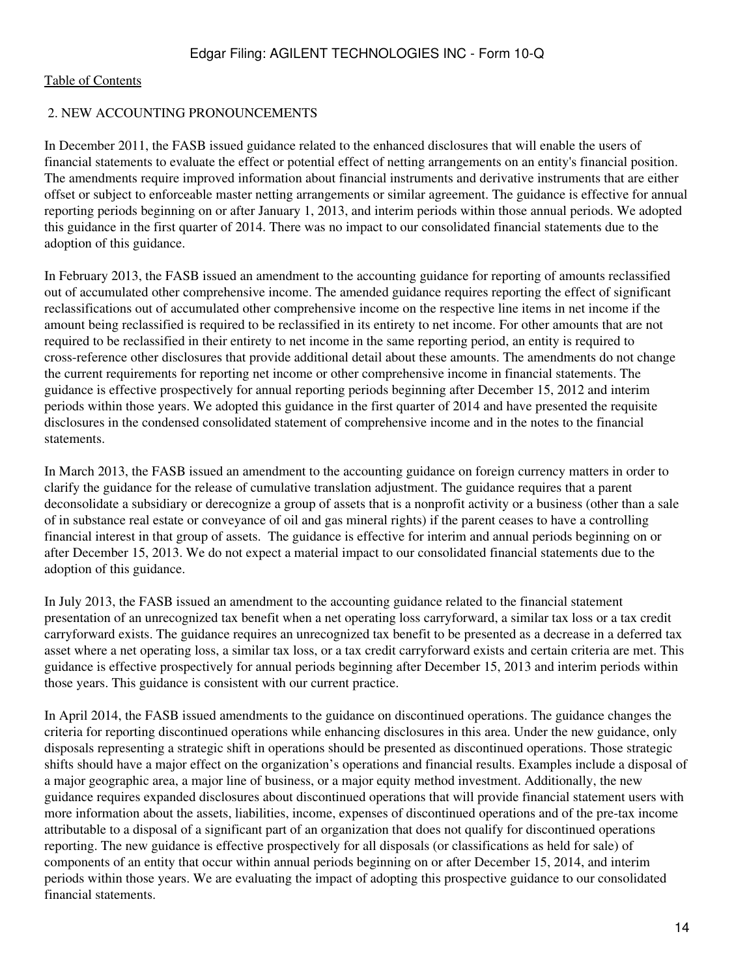#### 2. NEW ACCOUNTING PRONOUNCEMENTS

In December 2011, the FASB issued guidance related to the enhanced disclosures that will enable the users of financial statements to evaluate the effect or potential effect of netting arrangements on an entity's financial position. The amendments require improved information about financial instruments and derivative instruments that are either offset or subject to enforceable master netting arrangements or similar agreement. The guidance is effective for annual reporting periods beginning on or after January 1, 2013, and interim periods within those annual periods. We adopted this guidance in the first quarter of 2014. There was no impact to our consolidated financial statements due to the adoption of this guidance.

In February 2013, the FASB issued an amendment to the accounting guidance for reporting of amounts reclassified out of accumulated other comprehensive income. The amended guidance requires reporting the effect of significant reclassifications out of accumulated other comprehensive income on the respective line items in net income if the amount being reclassified is required to be reclassified in its entirety to net income. For other amounts that are not required to be reclassified in their entirety to net income in the same reporting period, an entity is required to cross-reference other disclosures that provide additional detail about these amounts. The amendments do not change the current requirements for reporting net income or other comprehensive income in financial statements. The guidance is effective prospectively for annual reporting periods beginning after December 15, 2012 and interim periods within those years. We adopted this guidance in the first quarter of 2014 and have presented the requisite disclosures in the condensed consolidated statement of comprehensive income and in the notes to the financial statements.

In March 2013, the FASB issued an amendment to the accounting guidance on foreign currency matters in order to clarify the guidance for the release of cumulative translation adjustment. The guidance requires that a parent deconsolidate a subsidiary or derecognize a group of assets that is a nonprofit activity or a business (other than a sale of in substance real estate or conveyance of oil and gas mineral rights) if the parent ceases to have a controlling financial interest in that group of assets. The guidance is effective for interim and annual periods beginning on or after December 15, 2013. We do not expect a material impact to our consolidated financial statements due to the adoption of this guidance.

In July 2013, the FASB issued an amendment to the accounting guidance related to the financial statement presentation of an unrecognized tax benefit when a net operating loss carryforward, a similar tax loss or a tax credit carryforward exists. The guidance requires an unrecognized tax benefit to be presented as a decrease in a deferred tax asset where a net operating loss, a similar tax loss, or a tax credit carryforward exists and certain criteria are met. This guidance is effective prospectively for annual periods beginning after December 15, 2013 and interim periods within those years. This guidance is consistent with our current practice.

In April 2014, the FASB issued amendments to the guidance on discontinued operations. The guidance changes the criteria for reporting discontinued operations while enhancing disclosures in this area. Under the new guidance, only disposals representing a strategic shift in operations should be presented as discontinued operations. Those strategic shifts should have a major effect on the organization's operations and financial results. Examples include a disposal of a major geographic area, a major line of business, or a major equity method investment. Additionally, the new guidance requires expanded disclosures about discontinued operations that will provide financial statement users with more information about the assets, liabilities, income, expenses of discontinued operations and of the pre-tax income attributable to a disposal of a significant part of an organization that does not qualify for discontinued operations reporting. The new guidance is effective prospectively for all disposals (or classifications as held for sale) of components of an entity that occur within annual periods beginning on or after December 15, 2014, and interim periods within those years. We are evaluating the impact of adopting this prospective guidance to our consolidated financial statements.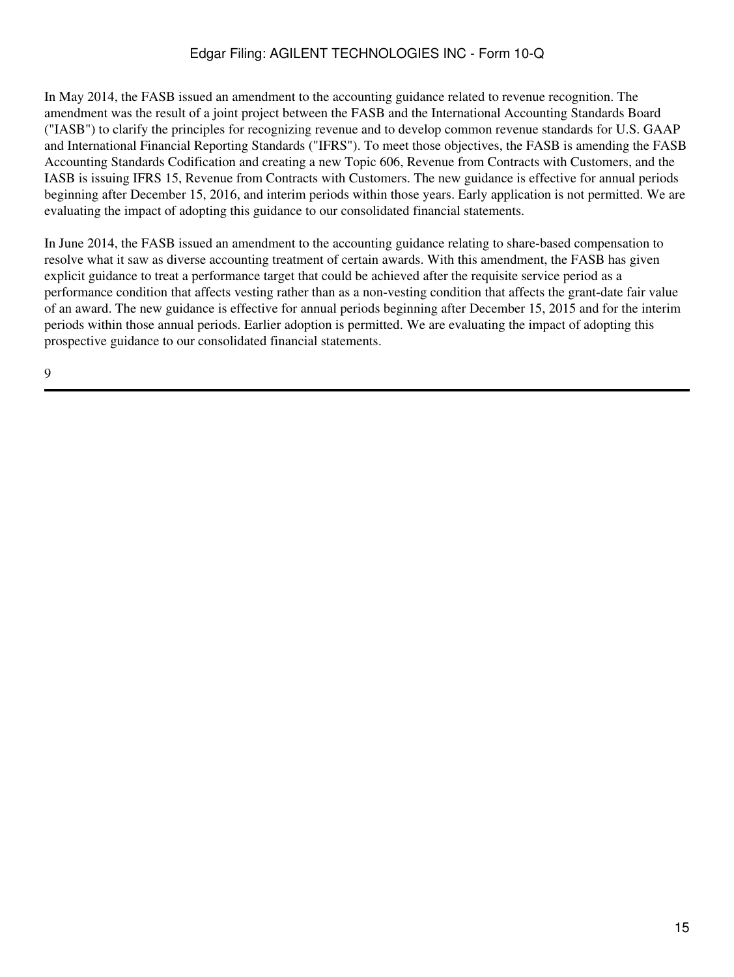In May 2014, the FASB issued an amendment to the accounting guidance related to revenue recognition. The amendment was the result of a joint project between the FASB and the International Accounting Standards Board ("IASB") to clarify the principles for recognizing revenue and to develop common revenue standards for U.S. GAAP and International Financial Reporting Standards ("IFRS"). To meet those objectives, the FASB is amending the FASB Accounting Standards Codification and creating a new Topic 606, Revenue from Contracts with Customers, and the IASB is issuing IFRS 15, Revenue from Contracts with Customers. The new guidance is effective for annual periods beginning after December 15, 2016, and interim periods within those years. Early application is not permitted. We are evaluating the impact of adopting this guidance to our consolidated financial statements.

In June 2014, the FASB issued an amendment to the accounting guidance relating to share-based compensation to resolve what it saw as diverse accounting treatment of certain awards. With this amendment, the FASB has given explicit guidance to treat a performance target that could be achieved after the requisite service period as a performance condition that affects vesting rather than as a non-vesting condition that affects the grant-date fair value of an award. The new guidance is effective for annual periods beginning after December 15, 2015 and for the interim periods within those annual periods. Earlier adoption is permitted. We are evaluating the impact of adopting this prospective guidance to our consolidated financial statements.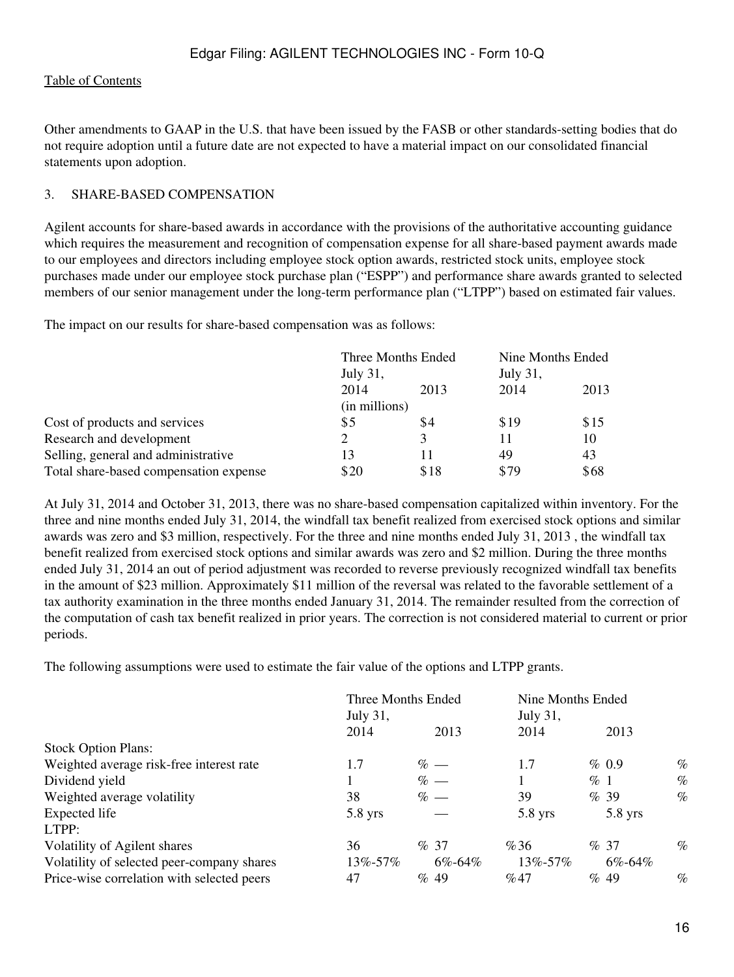Other amendments to GAAP in the U.S. that have been issued by the FASB or other standards-setting bodies that do not require adoption until a future date are not expected to have a material impact on our consolidated financial statements upon adoption.

#### 3. SHARE-BASED COMPENSATION

Agilent accounts for share-based awards in accordance with the provisions of the authoritative accounting guidance which requires the measurement and recognition of compensation expense for all share-based payment awards made to our employees and directors including employee stock option awards, restricted stock units, employee stock purchases made under our employee stock purchase plan ("ESPP") and performance share awards granted to selected members of our senior management under the long-term performance plan ("LTPP") based on estimated fair values.

The impact on our results for share-based compensation was as follows:

|                                        | Three Months Ended<br>July 31, |      | Nine Months Ended |      |  |
|----------------------------------------|--------------------------------|------|-------------------|------|--|
|                                        |                                |      | <b>July 31,</b>   |      |  |
|                                        | 2014                           | 2013 | 2014              | 2013 |  |
|                                        | (in millions)                  |      |                   |      |  |
| Cost of products and services          | \$5                            | \$4  | \$19              | \$15 |  |
| Research and development               |                                | 3    | 11                | 10   |  |
| Selling, general and administrative    | 13                             | 11   | 49                | 43   |  |
| Total share-based compensation expense | \$20                           | \$18 | \$79              | \$68 |  |

At July 31, 2014 and October 31, 2013, there was no share-based compensation capitalized within inventory. For the three and nine months ended July 31, 2014, the windfall tax benefit realized from exercised stock options and similar awards was zero and \$3 million, respectively. For the three and nine months ended July 31, 2013 , the windfall tax benefit realized from exercised stock options and similar awards was zero and \$2 million. During the three months ended July 31, 2014 an out of period adjustment was recorded to reverse previously recognized windfall tax benefits in the amount of \$23 million. Approximately \$11 million of the reversal was related to the favorable settlement of a tax authority examination in the three months ended January 31, 2014. The remainder resulted from the correction of the computation of cash tax benefit realized in prior years. The correction is not considered material to current or prior periods.

The following assumptions were used to estimate the fair value of the options and LTPP grants.

|                                            | Three Months Ended<br>July 31, |        | Nine Months Ended<br>July 31, |           |        |              |      |
|--------------------------------------------|--------------------------------|--------|-------------------------------|-----------|--------|--------------|------|
|                                            | 2014                           |        | 2013                          | 2014      |        | 2013         |      |
| <b>Stock Option Plans:</b>                 |                                |        |                               |           |        |              |      |
| Weighted average risk-free interest rate   | 1.7                            | $\%$ — |                               | 1.7       |        | $\%$ 0.9     | $\%$ |
| Dividend yield                             |                                | $% -$  |                               |           | $\%$ 1 |              | $\%$ |
| Weighted average volatility                | 38                             | $% -$  |                               | 39        |        | %39          | $\%$ |
| Expected life                              | $5.8$ yrs                      |        |                               | $5.8$ yrs |        | $5.8$ yrs    |      |
| LTPP:                                      |                                |        |                               |           |        |              |      |
| Volatility of Agilent shares               | 36                             | %37    |                               | %36       |        | %37          | $\%$ |
| Volatility of selected peer-company shares | 13%-57%                        |        | $6\% - 64\%$                  | 13%-57%   |        | $6\% - 64\%$ |      |
| Price-wise correlation with selected peers | 47                             | % 49   |                               | %47       |        | % 49         | $\%$ |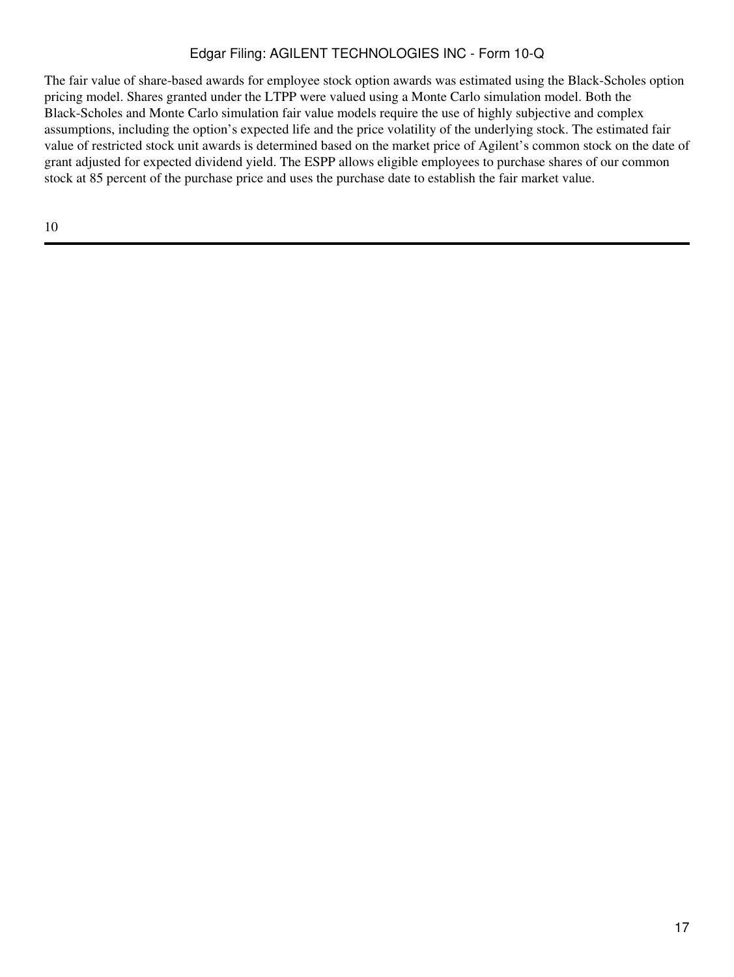The fair value of share-based awards for employee stock option awards was estimated using the Black-Scholes option pricing model. Shares granted under the LTPP were valued using a Monte Carlo simulation model. Both the Black-Scholes and Monte Carlo simulation fair value models require the use of highly subjective and complex assumptions, including the option's expected life and the price volatility of the underlying stock. The estimated fair value of restricted stock unit awards is determined based on the market price of Agilent's common stock on the date of grant adjusted for expected dividend yield. The ESPP allows eligible employees to purchase shares of our common stock at 85 percent of the purchase price and uses the purchase date to establish the fair market value.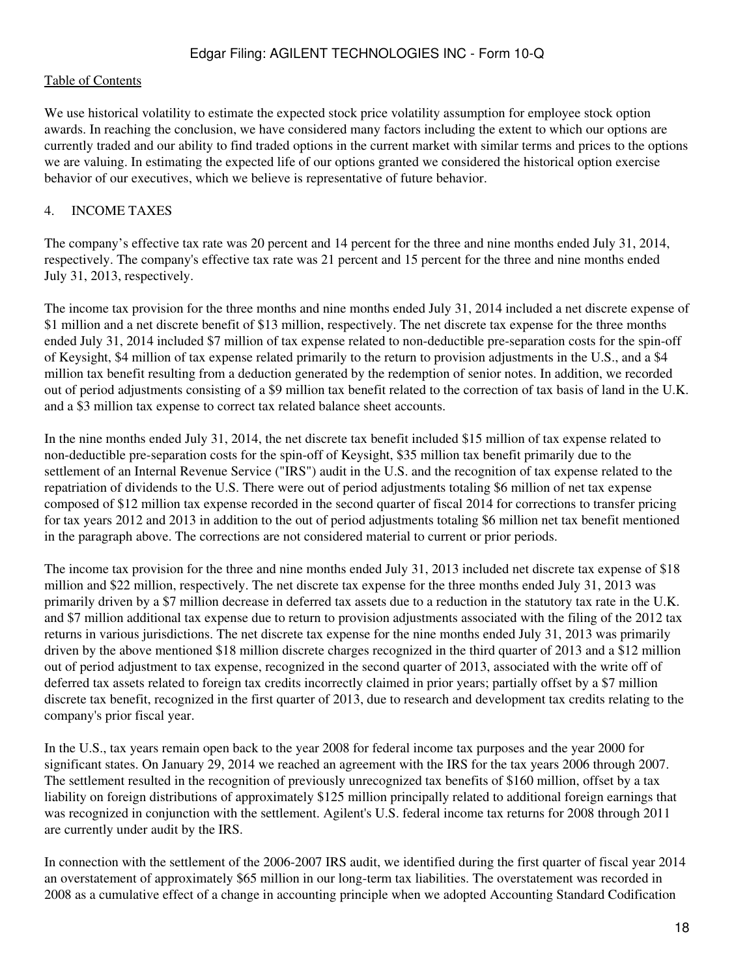We use historical volatility to estimate the expected stock price volatility assumption for employee stock option awards. In reaching the conclusion, we have considered many factors including the extent to which our options are currently traded and our ability to find traded options in the current market with similar terms and prices to the options we are valuing. In estimating the expected life of our options granted we considered the historical option exercise behavior of our executives, which we believe is representative of future behavior.

#### 4. INCOME TAXES

The company's effective tax rate was 20 percent and 14 percent for the three and nine months ended July 31, 2014, respectively. The company's effective tax rate was 21 percent and 15 percent for the three and nine months ended July 31, 2013, respectively.

The income tax provision for the three months and nine months ended July 31, 2014 included a net discrete expense of \$1 million and a net discrete benefit of \$13 million, respectively. The net discrete tax expense for the three months ended July 31, 2014 included \$7 million of tax expense related to non-deductible pre-separation costs for the spin-off of Keysight, \$4 million of tax expense related primarily to the return to provision adjustments in the U.S., and a \$4 million tax benefit resulting from a deduction generated by the redemption of senior notes. In addition, we recorded out of period adjustments consisting of a \$9 million tax benefit related to the correction of tax basis of land in the U.K. and a \$3 million tax expense to correct tax related balance sheet accounts.

In the nine months ended July 31, 2014, the net discrete tax benefit included \$15 million of tax expense related to non-deductible pre-separation costs for the spin-off of Keysight, \$35 million tax benefit primarily due to the settlement of an Internal Revenue Service ("IRS") audit in the U.S. and the recognition of tax expense related to the repatriation of dividends to the U.S. There were out of period adjustments totaling \$6 million of net tax expense composed of \$12 million tax expense recorded in the second quarter of fiscal 2014 for corrections to transfer pricing for tax years 2012 and 2013 in addition to the out of period adjustments totaling \$6 million net tax benefit mentioned in the paragraph above. The corrections are not considered material to current or prior periods.

The income tax provision for the three and nine months ended July 31, 2013 included net discrete tax expense of \$18 million and \$22 million, respectively. The net discrete tax expense for the three months ended July 31, 2013 was primarily driven by a \$7 million decrease in deferred tax assets due to a reduction in the statutory tax rate in the U.K. and \$7 million additional tax expense due to return to provision adjustments associated with the filing of the 2012 tax returns in various jurisdictions. The net discrete tax expense for the nine months ended July 31, 2013 was primarily driven by the above mentioned \$18 million discrete charges recognized in the third quarter of 2013 and a \$12 million out of period adjustment to tax expense, recognized in the second quarter of 2013, associated with the write off of deferred tax assets related to foreign tax credits incorrectly claimed in prior years; partially offset by a \$7 million discrete tax benefit, recognized in the first quarter of 2013, due to research and development tax credits relating to the company's prior fiscal year.

In the U.S., tax years remain open back to the year 2008 for federal income tax purposes and the year 2000 for significant states. On January 29, 2014 we reached an agreement with the IRS for the tax years 2006 through 2007. The settlement resulted in the recognition of previously unrecognized tax benefits of \$160 million, offset by a tax liability on foreign distributions of approximately \$125 million principally related to additional foreign earnings that was recognized in conjunction with the settlement. Agilent's U.S. federal income tax returns for 2008 through 2011 are currently under audit by the IRS.

In connection with the settlement of the 2006-2007 IRS audit, we identified during the first quarter of fiscal year 2014 an overstatement of approximately \$65 million in our long-term tax liabilities. The overstatement was recorded in 2008 as a cumulative effect of a change in accounting principle when we adopted Accounting Standard Codification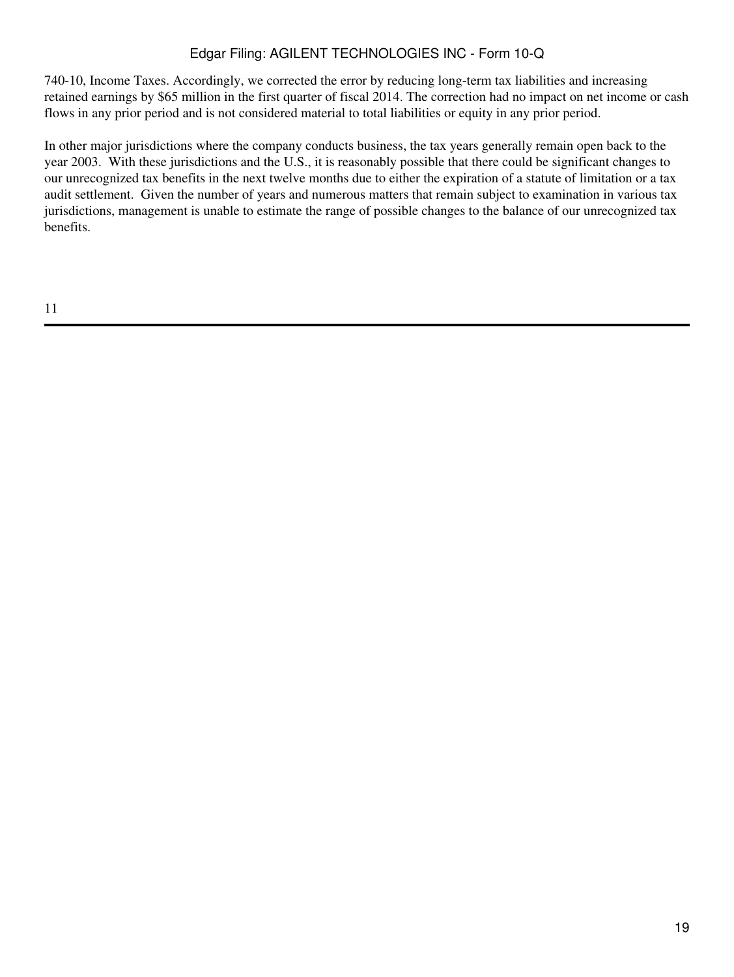740-10, Income Taxes. Accordingly, we corrected the error by reducing long-term tax liabilities and increasing retained earnings by \$65 million in the first quarter of fiscal 2014. The correction had no impact on net income or cash flows in any prior period and is not considered material to total liabilities or equity in any prior period.

In other major jurisdictions where the company conducts business, the tax years generally remain open back to the year 2003. With these jurisdictions and the U.S., it is reasonably possible that there could be significant changes to our unrecognized tax benefits in the next twelve months due to either the expiration of a statute of limitation or a tax audit settlement. Given the number of years and numerous matters that remain subject to examination in various tax jurisdictions, management is unable to estimate the range of possible changes to the balance of our unrecognized tax benefits.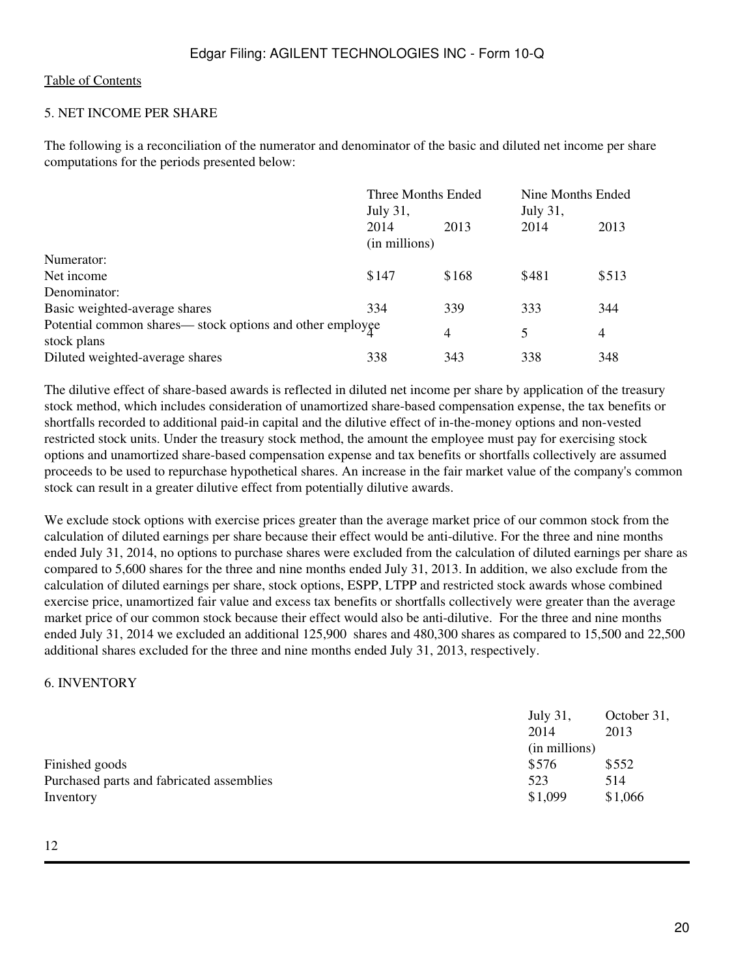#### 5. NET INCOME PER SHARE

The following is a reconciliation of the numerator and denominator of the basic and diluted net income per share computations for the periods presented below:

| Three Months Ended                                        |       | Nine Months Ended |       |  |  |
|-----------------------------------------------------------|-------|-------------------|-------|--|--|
| July 31,                                                  |       | July 31,          |       |  |  |
| 2014                                                      | 2013  | 2014              | 2013  |  |  |
| (in millions)                                             |       |                   |       |  |  |
|                                                           |       |                   |       |  |  |
| \$147                                                     | \$168 | \$481             | \$513 |  |  |
|                                                           |       |                   |       |  |  |
| 334                                                       | 339   | 333               | 344   |  |  |
| Potential common shares— stock options and other employee | 4     | 5                 | 4     |  |  |
| 338                                                       | 343   | 338               | 348   |  |  |
|                                                           |       |                   |       |  |  |

The dilutive effect of share-based awards is reflected in diluted net income per share by application of the treasury stock method, which includes consideration of unamortized share-based compensation expense, the tax benefits or shortfalls recorded to additional paid-in capital and the dilutive effect of in-the-money options and non-vested restricted stock units. Under the treasury stock method, the amount the employee must pay for exercising stock options and unamortized share-based compensation expense and tax benefits or shortfalls collectively are assumed proceeds to be used to repurchase hypothetical shares. An increase in the fair market value of the company's common stock can result in a greater dilutive effect from potentially dilutive awards.

We exclude stock options with exercise prices greater than the average market price of our common stock from the calculation of diluted earnings per share because their effect would be anti-dilutive. For the three and nine months ended July 31, 2014, no options to purchase shares were excluded from the calculation of diluted earnings per share as compared to 5,600 shares for the three and nine months ended July 31, 2013. In addition, we also exclude from the calculation of diluted earnings per share, stock options, ESPP, LTPP and restricted stock awards whose combined exercise price, unamortized fair value and excess tax benefits or shortfalls collectively were greater than the average market price of our common stock because their effect would also be anti-dilutive. For the three and nine months ended July 31, 2014 we excluded an additional 125,900 shares and 480,300 shares as compared to 15,500 and 22,500 additional shares excluded for the three and nine months ended July 31, 2013, respectively.

#### 6. INVENTORY

|                                           | July 31,      | October 31, |
|-------------------------------------------|---------------|-------------|
|                                           | 2014          | 2013        |
|                                           | (in millions) |             |
| Finished goods                            | \$576         | \$552       |
| Purchased parts and fabricated assemblies | 523           | 514         |
| Inventory                                 | \$1,099       | \$1,066     |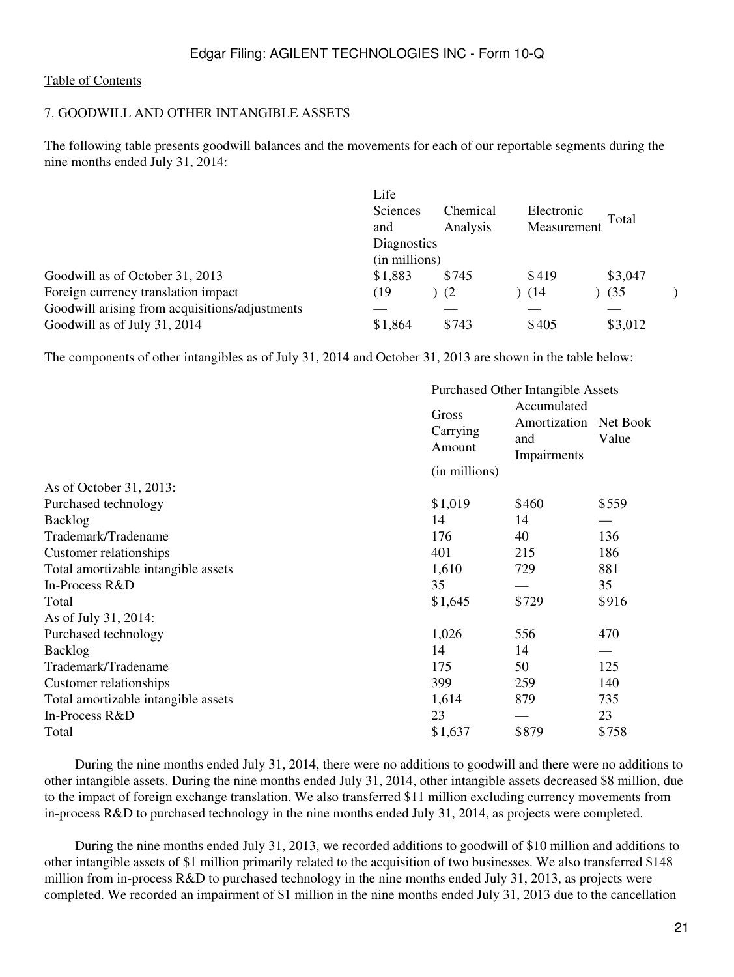# 7. GOODWILL AND OTHER INTANGIBLE ASSETS

The following table presents goodwill balances and the movements for each of our reportable segments during the nine months ended July 31, 2014:

|                                                | Life<br>Sciences<br>and<br>Diagnostics<br>(in millions) | Chemical<br>Analysis | Electronic<br>Measurement | Total   |
|------------------------------------------------|---------------------------------------------------------|----------------------|---------------------------|---------|
| Goodwill as of October 31, 2013                | \$1,883                                                 | \$745                | \$419                     | \$3,047 |
| Foreign currency translation impact            | (19                                                     | (2)                  | (14)                      | (35)    |
| Goodwill arising from acquisitions/adjustments |                                                         |                      |                           |         |
| Goodwill as of July 31, 2014                   | \$1,864                                                 | \$743                | \$405                     | \$3,012 |

The components of other intangibles as of July 31, 2014 and October 31, 2013 are shown in the table below:

|                                     | <b>Purchased Other Intangible Assets</b> |                                                   |                   |  |  |
|-------------------------------------|------------------------------------------|---------------------------------------------------|-------------------|--|--|
|                                     | Gross<br>Carrying<br>Amount              | Accumulated<br>Amortization<br>and<br>Impairments | Net Book<br>Value |  |  |
|                                     | (in millions)                            |                                                   |                   |  |  |
| As of October 31, 2013:             |                                          |                                                   |                   |  |  |
| Purchased technology                | \$1,019                                  | \$460                                             | \$559             |  |  |
| <b>Backlog</b>                      | 14                                       | 14                                                |                   |  |  |
| Trademark/Tradename                 | 176                                      | 40                                                | 136               |  |  |
| Customer relationships              | 401                                      | 215                                               | 186               |  |  |
| Total amortizable intangible assets | 1,610                                    | 729                                               | 881               |  |  |
| In-Process R&D                      | 35                                       |                                                   | 35                |  |  |
| Total                               | \$1,645                                  | \$729                                             | \$916             |  |  |
| As of July 31, 2014:                |                                          |                                                   |                   |  |  |
| Purchased technology                | 1,026                                    | 556                                               | 470               |  |  |
| <b>Backlog</b>                      | 14                                       | 14                                                |                   |  |  |
| Trademark/Tradename                 | 175                                      | 50                                                | 125               |  |  |
| Customer relationships              | 399                                      | 259                                               | 140               |  |  |
| Total amortizable intangible assets | 1,614                                    | 879                                               | 735               |  |  |
| In-Process R&D                      | 23                                       |                                                   | 23                |  |  |
| Total                               | \$1,637                                  | \$879                                             | \$758             |  |  |

 During the nine months ended July 31, 2014, there were no additions to goodwill and there were no additions to other intangible assets. During the nine months ended July 31, 2014, other intangible assets decreased \$8 million, due to the impact of foreign exchange translation. We also transferred \$11 million excluding currency movements from in-process R&D to purchased technology in the nine months ended July 31, 2014, as projects were completed.

 During the nine months ended July 31, 2013, we recorded additions to goodwill of \$10 million and additions to other intangible assets of \$1 million primarily related to the acquisition of two businesses. We also transferred \$148 million from in-process R&D to purchased technology in the nine months ended July 31, 2013, as projects were completed. We recorded an impairment of \$1 million in the nine months ended July 31, 2013 due to the cancellation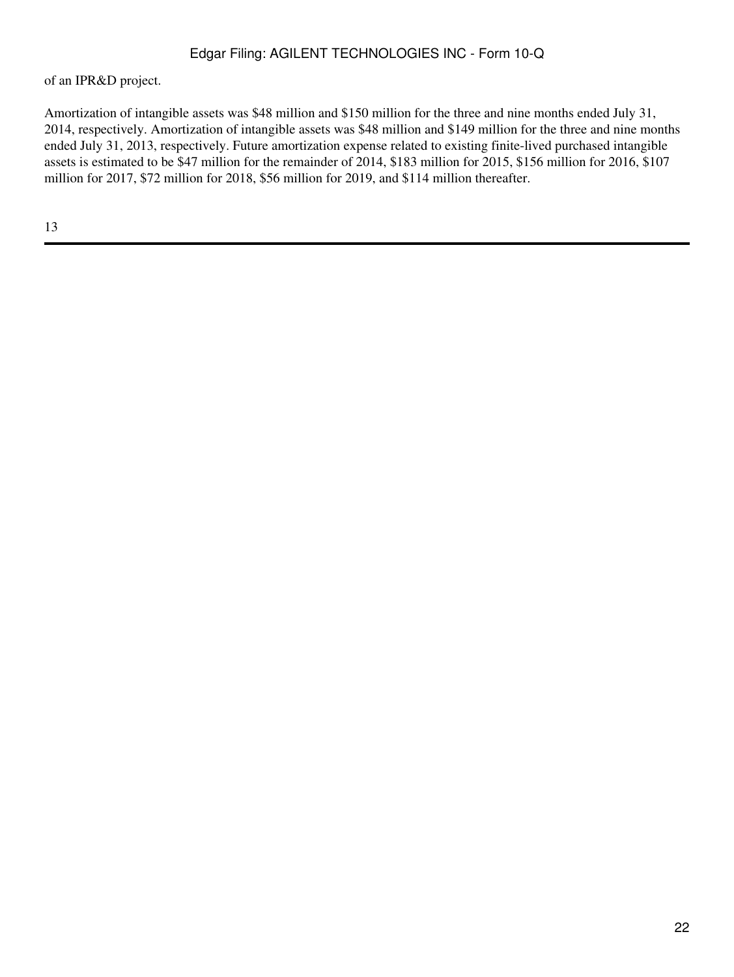of an IPR&D project.

Amortization of intangible assets was \$48 million and \$150 million for the three and nine months ended July 31, 2014, respectively. Amortization of intangible assets was \$48 million and \$149 million for the three and nine months ended July 31, 2013, respectively. Future amortization expense related to existing finite-lived purchased intangible assets is estimated to be \$47 million for the remainder of 2014, \$183 million for 2015, \$156 million for 2016, \$107 million for 2017, \$72 million for 2018, \$56 million for 2019, and \$114 million thereafter.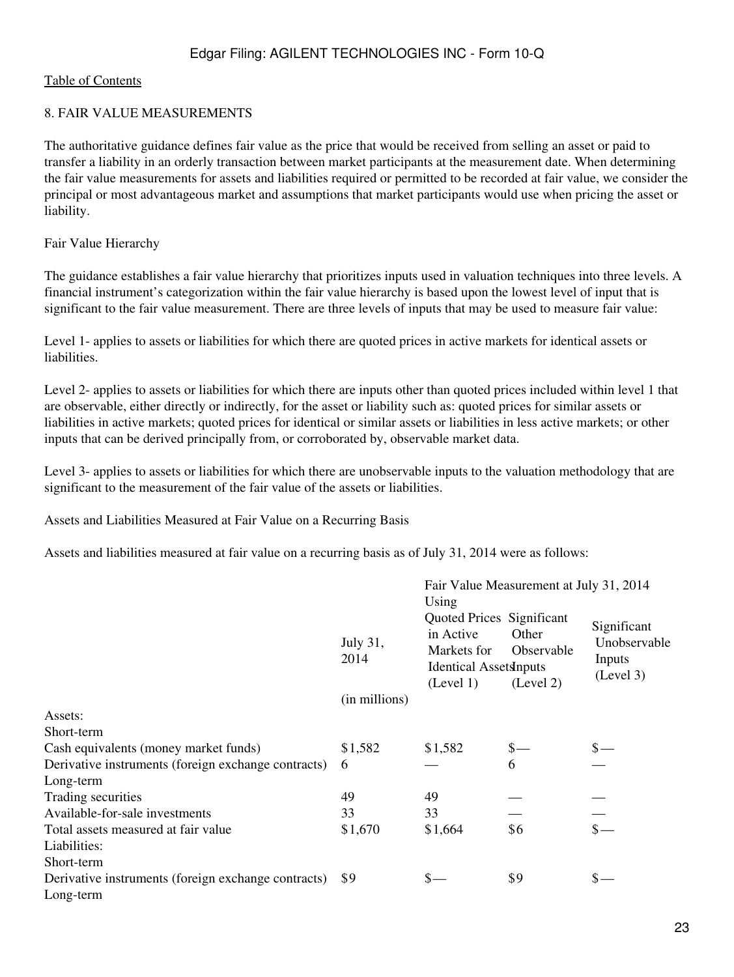#### 8. FAIR VALUE MEASUREMENTS

The authoritative guidance defines fair value as the price that would be received from selling an asset or paid to transfer a liability in an orderly transaction between market participants at the measurement date. When determining the fair value measurements for assets and liabilities required or permitted to be recorded at fair value, we consider the principal or most advantageous market and assumptions that market participants would use when pricing the asset or liability.

Fair Value Hierarchy

The guidance establishes a fair value hierarchy that prioritizes inputs used in valuation techniques into three levels. A financial instrument's categorization within the fair value hierarchy is based upon the lowest level of input that is significant to the fair value measurement. There are three levels of inputs that may be used to measure fair value:

Level 1- applies to assets or liabilities for which there are quoted prices in active markets for identical assets or liabilities.

Level 2- applies to assets or liabilities for which there are inputs other than quoted prices included within level 1 that are observable, either directly or indirectly, for the asset or liability such as: quoted prices for similar assets or liabilities in active markets; quoted prices for identical or similar assets or liabilities in less active markets; or other inputs that can be derived principally from, or corroborated by, observable market data.

Level 3- applies to assets or liabilities for which there are unobservable inputs to the valuation methodology that are significant to the measurement of the fair value of the assets or liabilities.

Assets and Liabilities Measured at Fair Value on a Recurring Basis

Assets and liabilities measured at fair value on a recurring basis as of July 31, 2014 were as follows:

|                                                     |                  | Fair Value Measurement at July 31, 2014                                                                      |                                  |                                                    |
|-----------------------------------------------------|------------------|--------------------------------------------------------------------------------------------------------------|----------------------------------|----------------------------------------------------|
|                                                     | July 31,<br>2014 | Using<br>Quoted Prices Significant<br>in Active<br>Markets for<br><b>Identical AssetsInputs</b><br>(Level 1) | Other<br>Observable<br>(Level 2) | Significant<br>Unobservable<br>Inputs<br>(Level 3) |
|                                                     | (in millions)    |                                                                                                              |                                  |                                                    |
| Assets:                                             |                  |                                                                                                              |                                  |                                                    |
| Short-term                                          |                  |                                                                                                              |                                  |                                                    |
| Cash equivalents (money market funds)               | \$1,582          | \$1,582                                                                                                      |                                  |                                                    |
| Derivative instruments (foreign exchange contracts) | 6                |                                                                                                              | 6                                |                                                    |
| Long-term                                           |                  |                                                                                                              |                                  |                                                    |
| Trading securities                                  | 49               | 49                                                                                                           |                                  |                                                    |
| Available-for-sale investments                      | 33               | 33                                                                                                           |                                  |                                                    |
| Total assets measured at fair value                 | \$1,670          | \$1,664                                                                                                      | \$6                              |                                                    |
| Liabilities:                                        |                  |                                                                                                              |                                  |                                                    |
| Short-term                                          |                  |                                                                                                              |                                  |                                                    |
| Derivative instruments (foreign exchange contracts) | \$9              | \$—                                                                                                          | \$9                              | $\mathsf{s}-$                                      |
| Long-term                                           |                  |                                                                                                              |                                  |                                                    |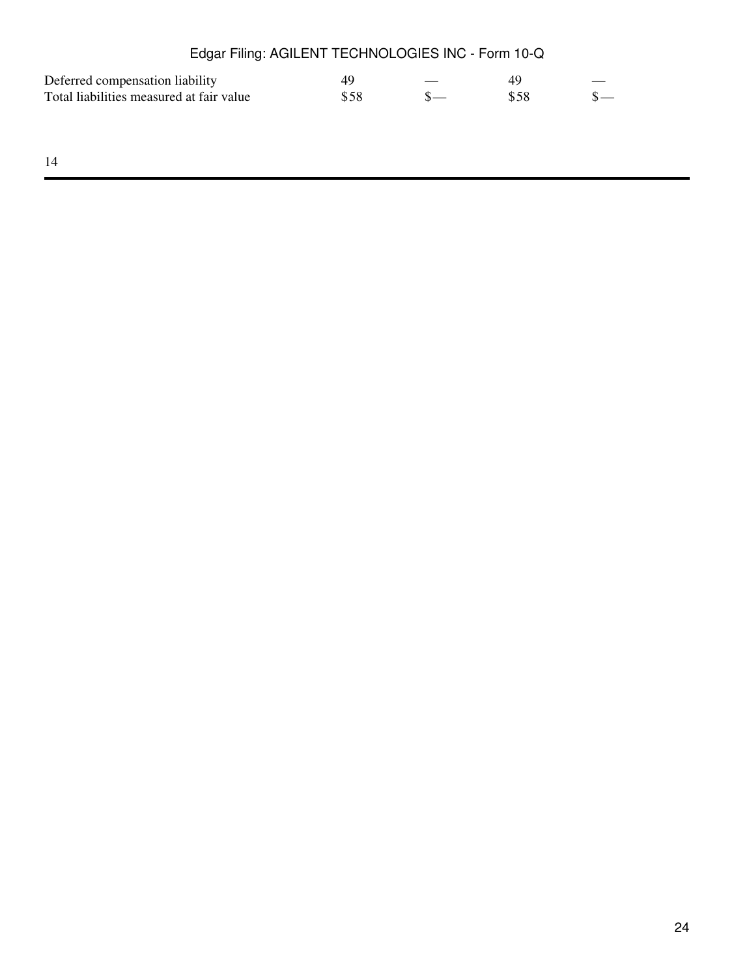| Edgar Filing: AGILENT TECHNOLOGIES INC - Form 10-Q |      |      |  |
|----------------------------------------------------|------|------|--|
| Deferred compensation liability                    | 49   | 49   |  |
| Total liabilities measured at fair value           | \$58 | \$58 |  |
|                                                    |      |      |  |
|                                                    |      |      |  |
| 14                                                 |      |      |  |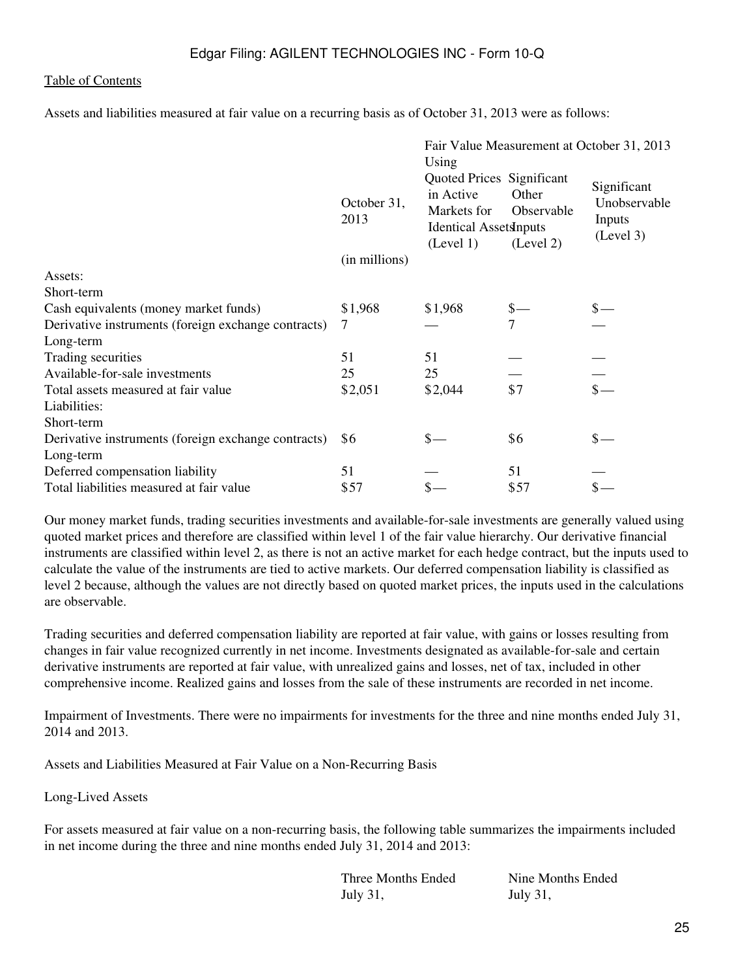Assets and liabilities measured at fair value on a recurring basis as of October 31, 2013 were as follows:

|                                                     |                                                                                                | Using   |                                                               | Fair Value Measurement at October 31, 2013         |
|-----------------------------------------------------|------------------------------------------------------------------------------------------------|---------|---------------------------------------------------------------|----------------------------------------------------|
|                                                     | in Active<br>October 31,<br>Markets for<br>2013<br><b>Identical Assets inputs</b><br>(Level 1) |         | Quoted Prices Significant<br>Other<br>Observable<br>(Level 2) | Significant<br>Unobservable<br>Inputs<br>(Level 3) |
|                                                     | (in millions)                                                                                  |         |                                                               |                                                    |
| Assets:                                             |                                                                                                |         |                                                               |                                                    |
| Short-term                                          |                                                                                                |         |                                                               |                                                    |
| Cash equivalents (money market funds)               | \$1,968                                                                                        | \$1,968 |                                                               |                                                    |
| Derivative instruments (foreign exchange contracts) | 7                                                                                              |         | $\overline{7}$                                                |                                                    |
| Long-term                                           |                                                                                                |         |                                                               |                                                    |
| Trading securities                                  | 51                                                                                             | 51      |                                                               |                                                    |
| Available-for-sale investments                      | 25                                                                                             | 25      |                                                               |                                                    |
| Total assets measured at fair value                 | \$2,051                                                                                        | \$2,044 | \$7                                                           |                                                    |
| Liabilities:                                        |                                                                                                |         |                                                               |                                                    |
| Short-term                                          |                                                                                                |         |                                                               |                                                    |
| Derivative instruments (foreign exchange contracts) | \$6                                                                                            |         | \$6                                                           |                                                    |
| Long-term                                           |                                                                                                |         |                                                               |                                                    |
| Deferred compensation liability                     | 51                                                                                             |         | 51                                                            |                                                    |
| Total liabilities measured at fair value            | \$57                                                                                           |         | \$57                                                          |                                                    |

Our money market funds, trading securities investments and available-for-sale investments are generally valued using quoted market prices and therefore are classified within level 1 of the fair value hierarchy. Our derivative financial instruments are classified within level 2, as there is not an active market for each hedge contract, but the inputs used to calculate the value of the instruments are tied to active markets. Our deferred compensation liability is classified as level 2 because, although the values are not directly based on quoted market prices, the inputs used in the calculations are observable.

Trading securities and deferred compensation liability are reported at fair value, with gains or losses resulting from changes in fair value recognized currently in net income. Investments designated as available-for-sale and certain derivative instruments are reported at fair value, with unrealized gains and losses, net of tax, included in other comprehensive income. Realized gains and losses from the sale of these instruments are recorded in net income.

Impairment of Investments. There were no impairments for investments for the three and nine months ended July 31, 2014 and 2013.

Assets and Liabilities Measured at Fair Value on a Non-Recurring Basis

Long-Lived Assets

For assets measured at fair value on a non-recurring basis, the following table summarizes the impairments included in net income during the three and nine months ended July 31, 2014 and 2013:

> Three Months Ended Nine Months Ended July 31, July 31,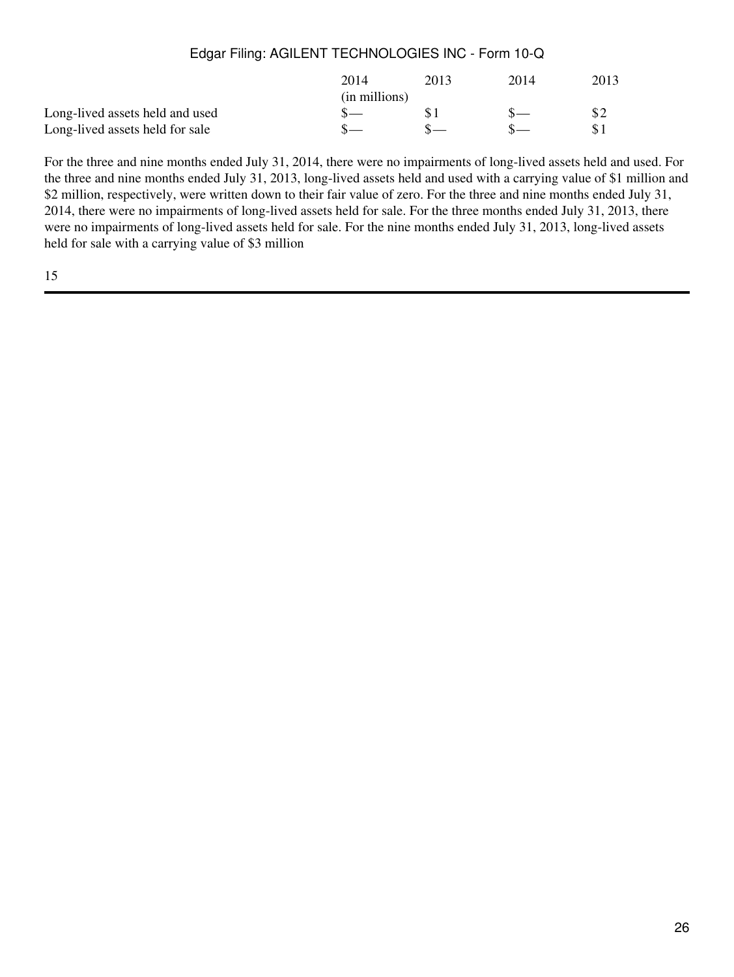|                                 | 2014          | 2013 | 2014 | 2013 |
|---------------------------------|---------------|------|------|------|
|                                 | (in millions) |      |      |      |
| Long-lived assets held and used |               |      |      |      |
| Long-lived assets held for sale |               |      |      |      |

For the three and nine months ended July 31, 2014, there were no impairments of long-lived assets held and used. For the three and nine months ended July 31, 2013, long-lived assets held and used with a carrying value of \$1 million and \$2 million, respectively, were written down to their fair value of zero. For the three and nine months ended July 31, 2014, there were no impairments of long-lived assets held for sale. For the three months ended July 31, 2013, there were no impairments of long-lived assets held for sale. For the nine months ended July 31, 2013, long-lived assets held for sale with a carrying value of \$3 million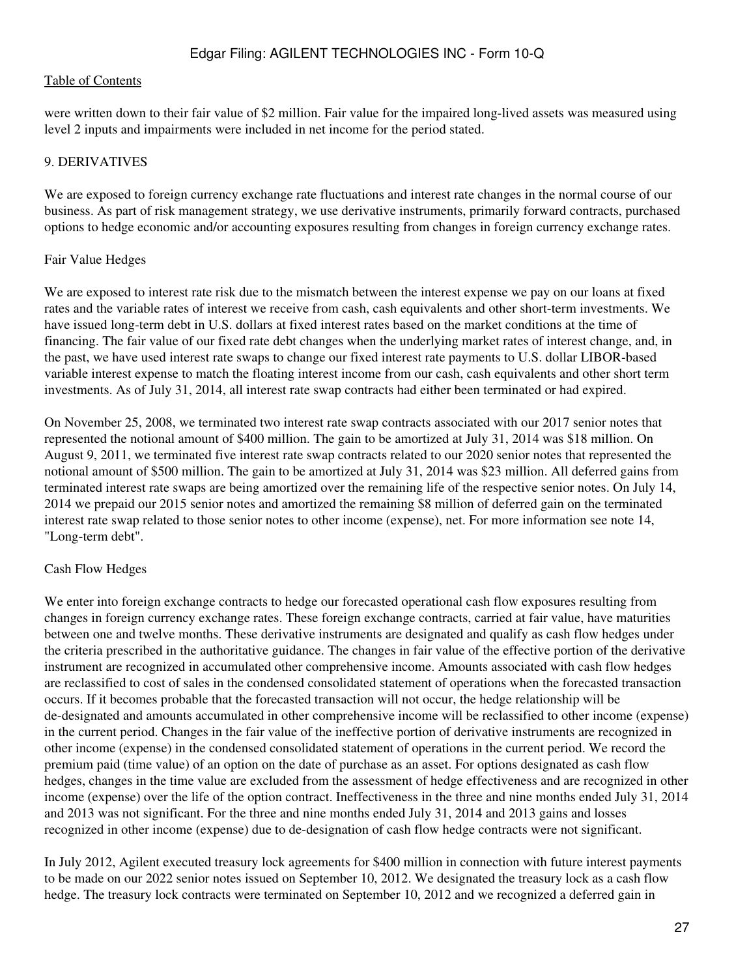were written down to their fair value of \$2 million. Fair value for the impaired long-lived assets was measured using level 2 inputs and impairments were included in net income for the period stated.

### 9. DERIVATIVES

We are exposed to foreign currency exchange rate fluctuations and interest rate changes in the normal course of our business. As part of risk management strategy, we use derivative instruments, primarily forward contracts, purchased options to hedge economic and/or accounting exposures resulting from changes in foreign currency exchange rates.

#### Fair Value Hedges

We are exposed to interest rate risk due to the mismatch between the interest expense we pay on our loans at fixed rates and the variable rates of interest we receive from cash, cash equivalents and other short-term investments. We have issued long-term debt in U.S. dollars at fixed interest rates based on the market conditions at the time of financing. The fair value of our fixed rate debt changes when the underlying market rates of interest change, and, in the past, we have used interest rate swaps to change our fixed interest rate payments to U.S. dollar LIBOR-based variable interest expense to match the floating interest income from our cash, cash equivalents and other short term investments. As of July 31, 2014, all interest rate swap contracts had either been terminated or had expired.

On November 25, 2008, we terminated two interest rate swap contracts associated with our 2017 senior notes that represented the notional amount of \$400 million. The gain to be amortized at July 31, 2014 was \$18 million. On August 9, 2011, we terminated five interest rate swap contracts related to our 2020 senior notes that represented the notional amount of \$500 million. The gain to be amortized at July 31, 2014 was \$23 million. All deferred gains from terminated interest rate swaps are being amortized over the remaining life of the respective senior notes. On July 14, 2014 we prepaid our 2015 senior notes and amortized the remaining \$8 million of deferred gain on the terminated interest rate swap related to those senior notes to other income (expense), net. For more information see note 14, "Long-term debt".

### Cash Flow Hedges

We enter into foreign exchange contracts to hedge our forecasted operational cash flow exposures resulting from changes in foreign currency exchange rates. These foreign exchange contracts, carried at fair value, have maturities between one and twelve months. These derivative instruments are designated and qualify as cash flow hedges under the criteria prescribed in the authoritative guidance. The changes in fair value of the effective portion of the derivative instrument are recognized in accumulated other comprehensive income. Amounts associated with cash flow hedges are reclassified to cost of sales in the condensed consolidated statement of operations when the forecasted transaction occurs. If it becomes probable that the forecasted transaction will not occur, the hedge relationship will be de-designated and amounts accumulated in other comprehensive income will be reclassified to other income (expense) in the current period. Changes in the fair value of the ineffective portion of derivative instruments are recognized in other income (expense) in the condensed consolidated statement of operations in the current period. We record the premium paid (time value) of an option on the date of purchase as an asset. For options designated as cash flow hedges, changes in the time value are excluded from the assessment of hedge effectiveness and are recognized in other income (expense) over the life of the option contract. Ineffectiveness in the three and nine months ended July 31, 2014 and 2013 was not significant. For the three and nine months ended July 31, 2014 and 2013 gains and losses recognized in other income (expense) due to de-designation of cash flow hedge contracts were not significant.

In July 2012, Agilent executed treasury lock agreements for \$400 million in connection with future interest payments to be made on our 2022 senior notes issued on September 10, 2012. We designated the treasury lock as a cash flow hedge. The treasury lock contracts were terminated on September 10, 2012 and we recognized a deferred gain in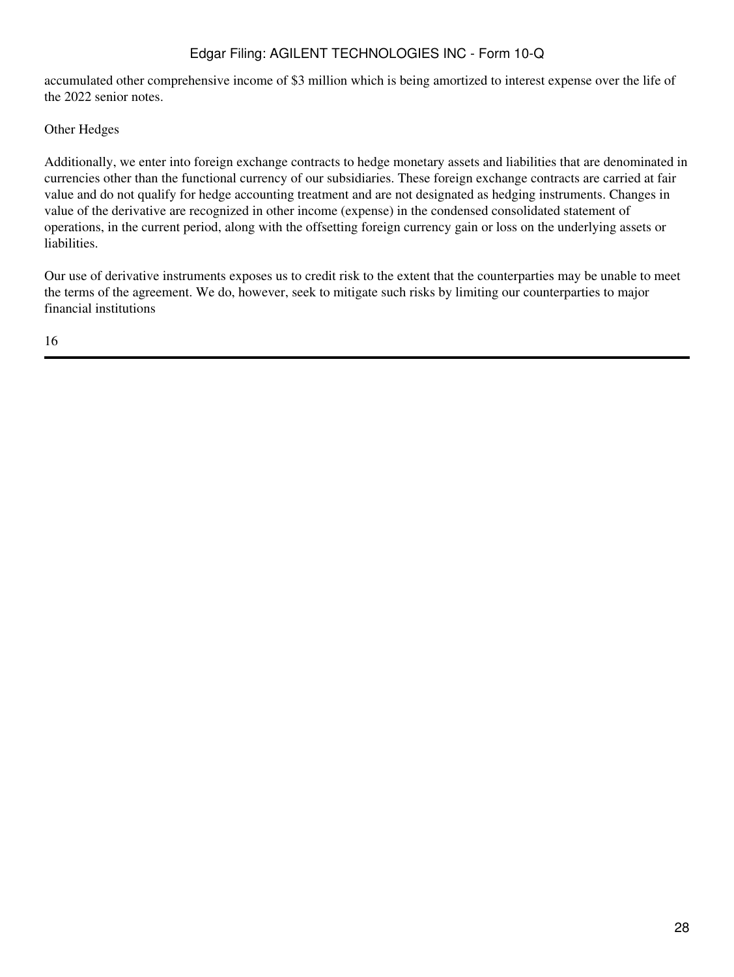accumulated other comprehensive income of \$3 million which is being amortized to interest expense over the life of the 2022 senior notes.

Other Hedges

Additionally, we enter into foreign exchange contracts to hedge monetary assets and liabilities that are denominated in currencies other than the functional currency of our subsidiaries. These foreign exchange contracts are carried at fair value and do not qualify for hedge accounting treatment and are not designated as hedging instruments. Changes in value of the derivative are recognized in other income (expense) in the condensed consolidated statement of operations, in the current period, along with the offsetting foreign currency gain or loss on the underlying assets or liabilities.

Our use of derivative instruments exposes us to credit risk to the extent that the counterparties may be unable to meet the terms of the agreement. We do, however, seek to mitigate such risks by limiting our counterparties to major financial institutions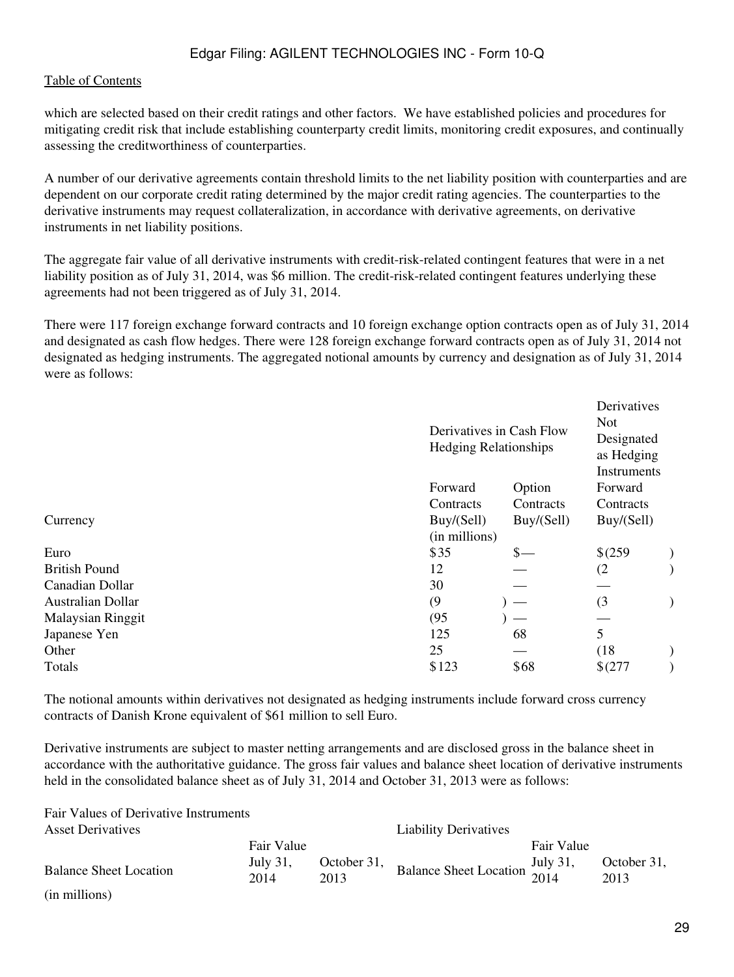Fair Values of Derivative Instruments

which are selected based on their credit ratings and other factors. We have established policies and procedures for mitigating credit risk that include establishing counterparty credit limits, monitoring credit exposures, and continually assessing the creditworthiness of counterparties.

A number of our derivative agreements contain threshold limits to the net liability position with counterparties and are dependent on our corporate credit rating determined by the major credit rating agencies. The counterparties to the derivative instruments may request collateralization, in accordance with derivative agreements, on derivative instruments in net liability positions.

The aggregate fair value of all derivative instruments with credit-risk-related contingent features that were in a net liability position as of July 31, 2014, was \$6 million. The credit-risk-related contingent features underlying these agreements had not been triggered as of July 31, 2014.

There were 117 foreign exchange forward contracts and 10 foreign exchange option contracts open as of July 31, 2014 and designated as cash flow hedges. There were 128 foreign exchange forward contracts open as of July 31, 2014 not designated as hedging instruments. The aggregated notional amounts by currency and designation as of July 31, 2014 were as follows:

|                          | Derivatives in Cash Flow<br><b>Hedging Relationships</b> |            |             |  |
|--------------------------|----------------------------------------------------------|------------|-------------|--|
|                          | Forward                                                  | Option     | Forward     |  |
|                          | Contracts                                                | Contracts  | Contracts   |  |
| Currency                 | Buy/(Sell)                                               | Buy/(Sell) | Buy/(Sell)  |  |
|                          | (in millions)                                            |            |             |  |
| Euro                     | \$35                                                     | \$—        | \$(259)     |  |
| <b>British Pound</b>     | 12                                                       |            | (2)         |  |
| Canadian Dollar          | 30                                                       |            |             |  |
| <b>Australian Dollar</b> | (9)                                                      |            | (3)         |  |
| Malaysian Ringgit        | (95)                                                     |            |             |  |
| Japanese Yen             | 125                                                      | 68         | 5           |  |
| Other                    | 25                                                       |            | (18)        |  |
| Totals                   | \$123                                                    | \$68       | $$^{(277)}$ |  |
|                          |                                                          |            |             |  |

The notional amounts within derivatives not designated as hedging instruments include forward cross currency contracts of Danish Krone equivalent of \$61 million to sell Euro.

Derivative instruments are subject to master netting arrangements and are disclosed gross in the balance sheet in accordance with the authoritative guidance. The gross fair values and balance sheet location of derivative instruments held in the consolidated balance sheet as of July 31, 2014 and October 31, 2013 were as follows:

| <b>Asset Derivatives</b>      |                  |      | <b>Liability Derivatives</b>                                   |            |                     |
|-------------------------------|------------------|------|----------------------------------------------------------------|------------|---------------------|
|                               | Fair Value       |      |                                                                | Fair Value |                     |
| <b>Balance Sheet Location</b> | July 31,<br>2014 | 2013 | October 31, Balance Sheet Location $\frac{July}{2014}$<br>2013 |            | October 31,<br>2013 |
| (in millions)                 |                  |      |                                                                |            |                     |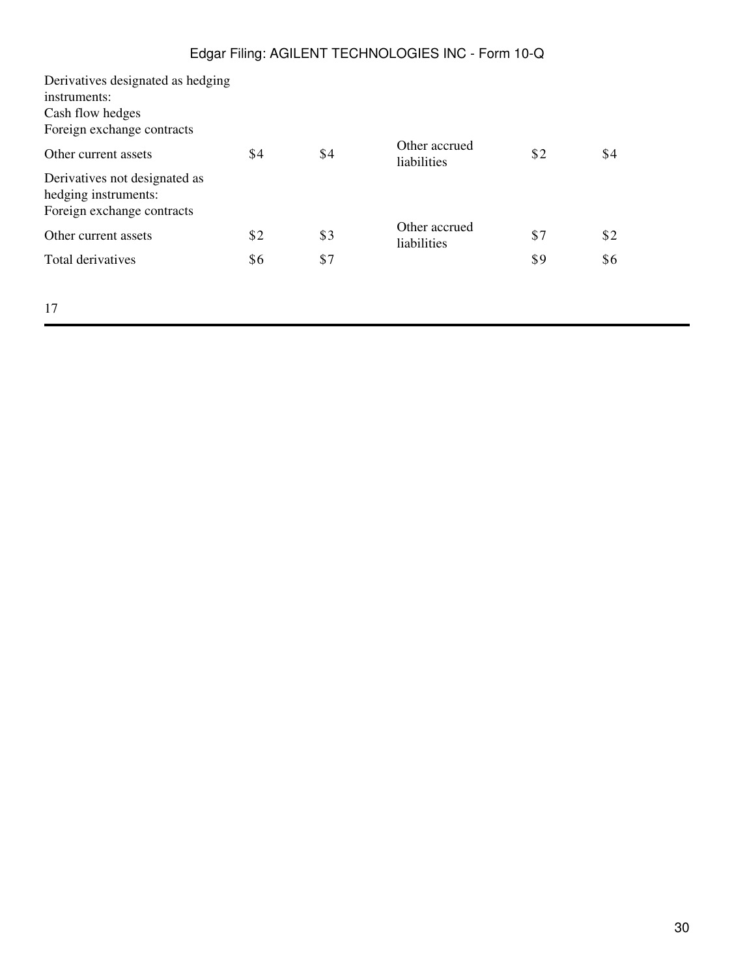| Derivatives designated as hedging |     |     |                              |     |     |  |
|-----------------------------------|-----|-----|------------------------------|-----|-----|--|
| instruments:                      |     |     |                              |     |     |  |
| Cash flow hedges                  |     |     |                              |     |     |  |
| Foreign exchange contracts        |     |     |                              |     |     |  |
| Other current assets              | \$4 | \$4 | Other accrued<br>liabilities | \$2 | \$4 |  |
| Derivatives not designated as     |     |     |                              |     |     |  |
| hedging instruments:              |     |     |                              |     |     |  |
| Foreign exchange contracts        |     |     |                              |     |     |  |
| Other current assets              | \$2 | \$3 | Other accrued<br>liabilities | \$7 | \$2 |  |
| Total derivatives                 | \$6 | \$7 |                              | \$9 | \$6 |  |
|                                   |     |     |                              |     |     |  |
| 17                                |     |     |                              |     |     |  |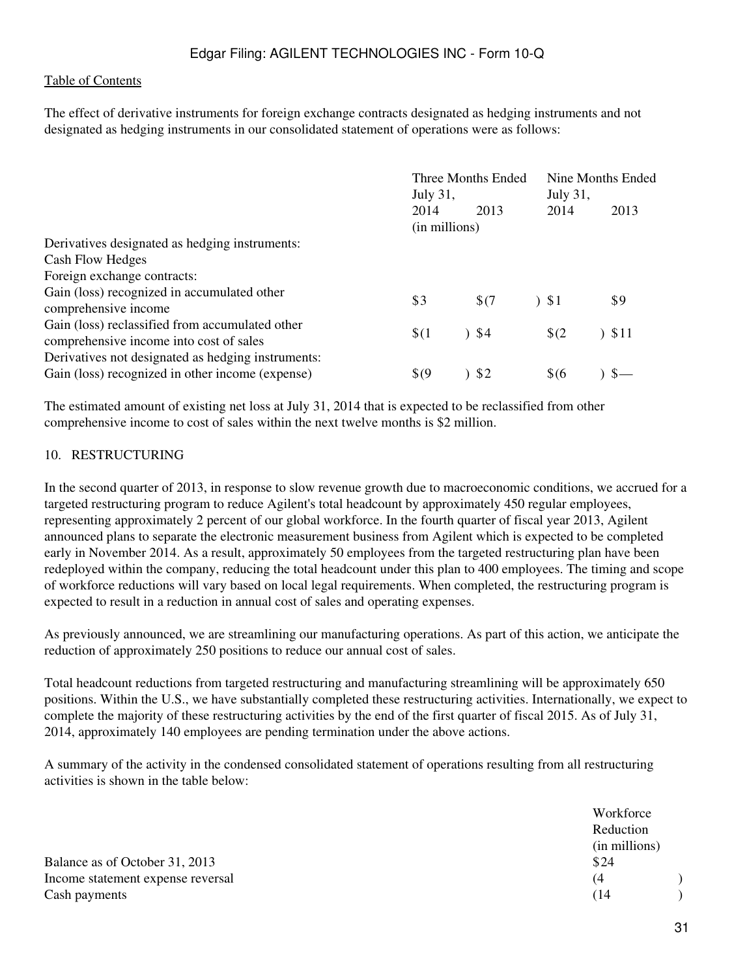The effect of derivative instruments for foreign exchange contracts designated as hedging instruments and not designated as hedging instruments in our consolidated statement of operations were as follows:

|                                                                                                        | Three Months Ended<br>July 31, |       | Nine Months Ended<br>July 31, |          |
|--------------------------------------------------------------------------------------------------------|--------------------------------|-------|-------------------------------|----------|
|                                                                                                        | 2014<br>(in millions)          | 2013  | 2014                          | 2013     |
| Derivatives designated as hedging instruments:                                                         |                                |       |                               |          |
| Cash Flow Hedges                                                                                       |                                |       |                               |          |
| Foreign exchange contracts:                                                                            |                                |       |                               |          |
| Gain (loss) recognized in accumulated other<br>comprehensive income                                    | \$3                            | \$(7) | 51                            | \$9      |
| Gain (loss) reclassified from accumulated other<br>comprehensive income into cost of sales             | \$(1)                          | 34    | $\sqrt{2}$                    | $)$ \$11 |
| Derivatives not designated as hedging instruments:<br>Gain (loss) recognized in other income (expense) | $\sqrt[6]{9}$                  | \$2   | $$^{6}$                       |          |

The estimated amount of existing net loss at July 31, 2014 that is expected to be reclassified from other comprehensive income to cost of sales within the next twelve months is \$2 million.

#### 10. RESTRUCTURING

In the second quarter of 2013, in response to slow revenue growth due to macroeconomic conditions, we accrued for a targeted restructuring program to reduce Agilent's total headcount by approximately 450 regular employees, representing approximately 2 percent of our global workforce. In the fourth quarter of fiscal year 2013, Agilent announced plans to separate the electronic measurement business from Agilent which is expected to be completed early in November 2014. As a result, approximately 50 employees from the targeted restructuring plan have been redeployed within the company, reducing the total headcount under this plan to 400 employees. The timing and scope of workforce reductions will vary based on local legal requirements. When completed, the restructuring program is expected to result in a reduction in annual cost of sales and operating expenses.

As previously announced, we are streamlining our manufacturing operations. As part of this action, we anticipate the reduction of approximately 250 positions to reduce our annual cost of sales.

Total headcount reductions from targeted restructuring and manufacturing streamlining will be approximately 650 positions. Within the U.S., we have substantially completed these restructuring activities. Internationally, we expect to complete the majority of these restructuring activities by the end of the first quarter of fiscal 2015. As of July 31, 2014, approximately 140 employees are pending termination under the above actions.

A summary of the activity in the condensed consolidated statement of operations resulting from all restructuring activities is shown in the table below:

|                                   | Workforce     |
|-----------------------------------|---------------|
|                                   | Reduction     |
|                                   | (in millions) |
| Balance as of October 31, 2013    | \$24          |
| Income statement expense reversal | (4)           |
| Cash payments                     | (14           |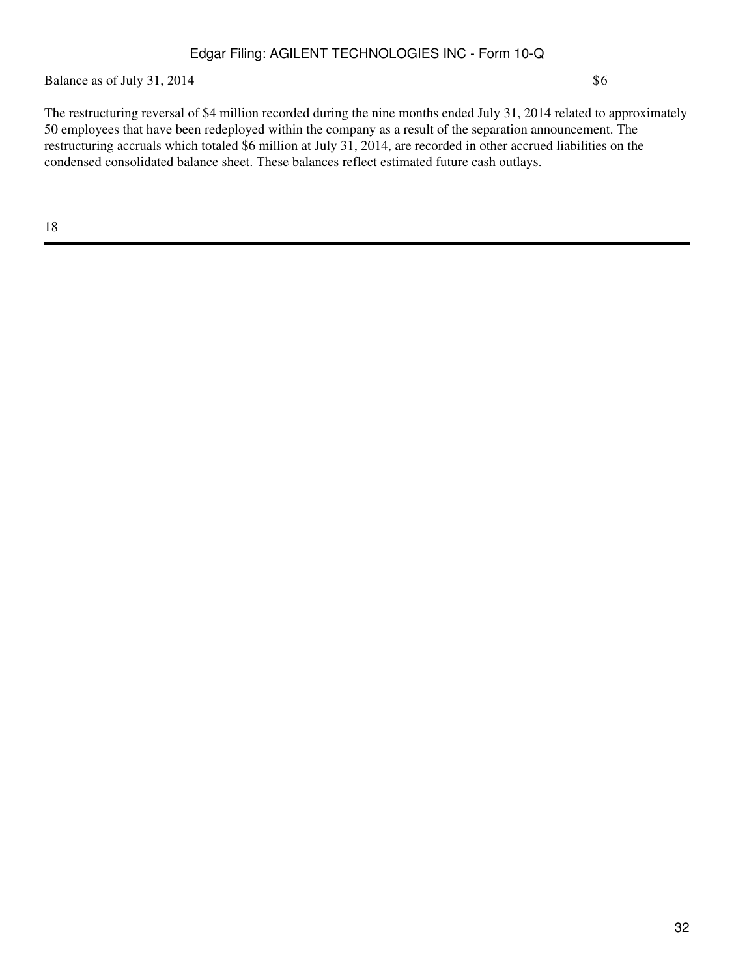Balance as of July 31, 2014  $$6$ 

The restructuring reversal of \$4 million recorded during the nine months ended July 31, 2014 related to approximately 50 employees that have been redeployed within the company as a result of the separation announcement. The restructuring accruals which totaled \$6 million at July 31, 2014, are recorded in other accrued liabilities on the condensed consolidated balance sheet. These balances reflect estimated future cash outlays.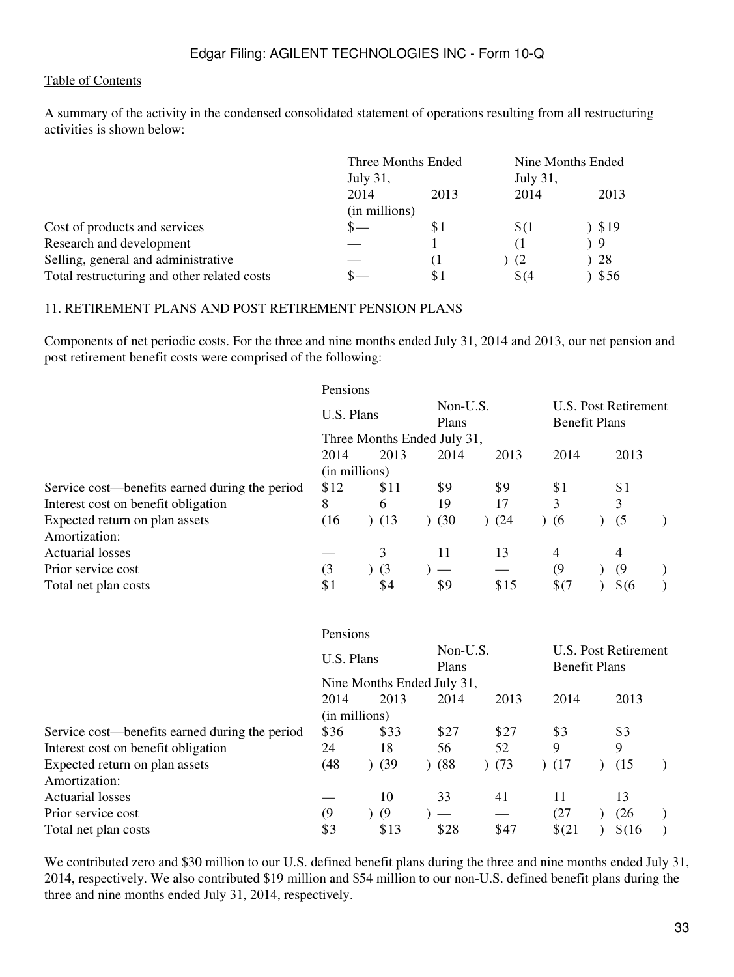A summary of the activity in the condensed consolidated statement of operations resulting from all restructuring activities is shown below:

|                                             | Three Months Ended |                |  | Nine Months Ended |       |  |
|---------------------------------------------|--------------------|----------------|--|-------------------|-------|--|
|                                             | <b>July 31,</b>    |                |  | July 31,          |       |  |
|                                             | 2014               | 2013           |  | 2014              | 2013  |  |
|                                             | (in millions)      |                |  |                   |       |  |
| Cost of products and services               |                    | \$1            |  | \$(1)             | 819 ( |  |
| Research and development                    |                    |                |  | (1                | ) 9   |  |
| Selling, general and administrative         |                    | <sup>(</sup> l |  | - (2              | 28    |  |
| Total restructuring and other related costs |                    | \$1            |  | \$64              | \$56  |  |

#### 11. RETIREMENT PLANS AND POST RETIREMENT PENSION PLANS

Components of net periodic costs. For the three and nine months ended July 31, 2014 and 2013, our net pension and post retirement benefit costs were comprised of the following:

|                                                | Pensions      |                             |                   |      |                      |                      |  |
|------------------------------------------------|---------------|-----------------------------|-------------------|------|----------------------|----------------------|--|
|                                                | U.S. Plans    |                             | Non-U.S.<br>Plans |      | <b>Benefit Plans</b> | U.S. Post Retirement |  |
|                                                |               | Three Months Ended July 31, |                   |      |                      |                      |  |
|                                                | 2014          | 2013                        | 2014              | 2013 | 2014                 | 2013                 |  |
|                                                | (in millions) |                             |                   |      |                      |                      |  |
| Service cost—benefits earned during the period | \$12          | \$11                        | \$9               | \$9  | \$1                  | \$1                  |  |
| Interest cost on benefit obligation            | 8             | 6                           | 19                | 17   | 3                    | 3                    |  |
| Expected return on plan assets                 | (16)          | (13)                        | (30)              | (24) | (6)                  | (5)                  |  |
| Amortization:                                  |               |                             |                   |      |                      |                      |  |
| <b>Actuarial losses</b>                        |               | 3                           | 11                | 13   | 4                    | 4                    |  |
| Prior service cost                             | (3)           | $)$ (3                      |                   |      | (9)                  | (9)                  |  |
| Total net plan costs                           | \$1           | \$4                         | \$9               | \$15 | \$(7)                | $\frac{1}{6}$        |  |

|                                                | Pensions      |                            |                   |      |                      |                      |  |
|------------------------------------------------|---------------|----------------------------|-------------------|------|----------------------|----------------------|--|
|                                                | U.S. Plans    |                            | Non-U.S.<br>Plans |      | <b>Benefit Plans</b> | U.S. Post Retirement |  |
|                                                |               | Nine Months Ended July 31, |                   |      |                      |                      |  |
|                                                | 2014          | 2013                       | 2014              | 2013 | 2014                 | 2013                 |  |
|                                                | (in millions) |                            |                   |      |                      |                      |  |
| Service cost—benefits earned during the period | \$36          | \$33                       | \$27              | \$27 | \$3                  | \$3                  |  |
| Interest cost on benefit obligation            | 24            | 18                         | 56                | 52   | 9                    | 9                    |  |
| Expected return on plan assets                 | (48)          | (39)                       | (88)              | (73) | (17)                 | (15)                 |  |
| Amortization:                                  |               |                            |                   |      |                      |                      |  |
| <b>Actuarial losses</b>                        |               | 10                         | 33                | 41   | 11                   | 13                   |  |
| Prior service cost                             | (9)           | (9)                        |                   |      | (27)                 | (26)                 |  |
| Total net plan costs                           | \$3           | \$13                       | \$28              | \$47 | \$(21)               | \$(16)               |  |

We contributed zero and \$30 million to our U.S. defined benefit plans during the three and nine months ended July 31, 2014, respectively. We also contributed \$19 million and \$54 million to our non-U.S. defined benefit plans during the three and nine months ended July 31, 2014, respectively.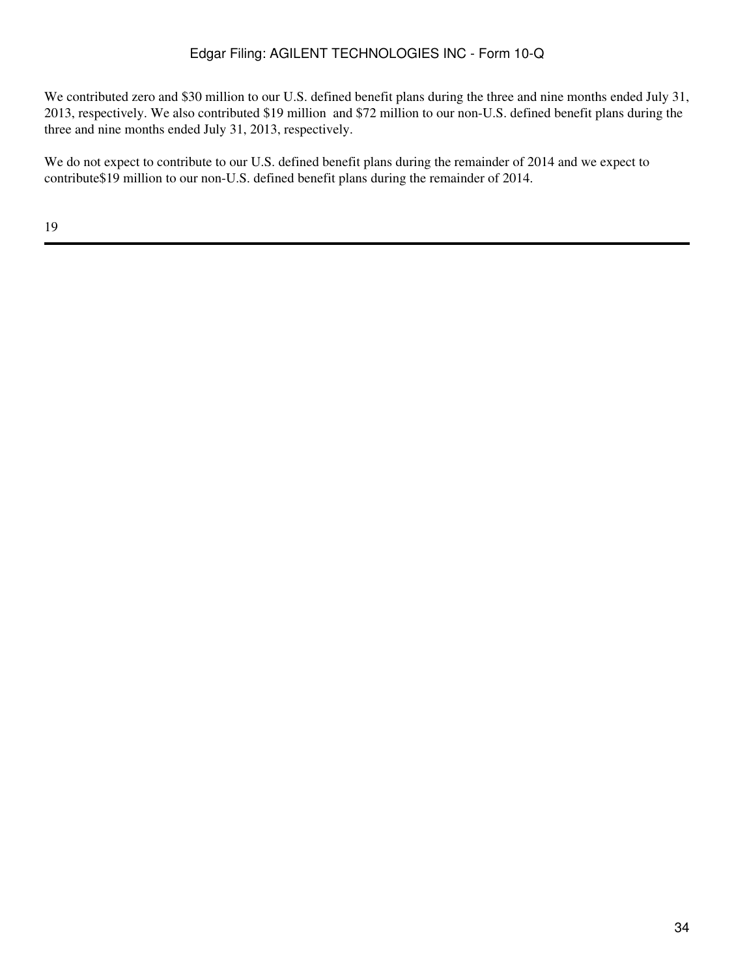We contributed zero and \$30 million to our U.S. defined benefit plans during the three and nine months ended July 31, 2013, respectively. We also contributed \$19 million and \$72 million to our non-U.S. defined benefit plans during the three and nine months ended July 31, 2013, respectively.

We do not expect to contribute to our U.S. defined benefit plans during the remainder of 2014 and we expect to contribute\$19 million to our non-U.S. defined benefit plans during the remainder of 2014.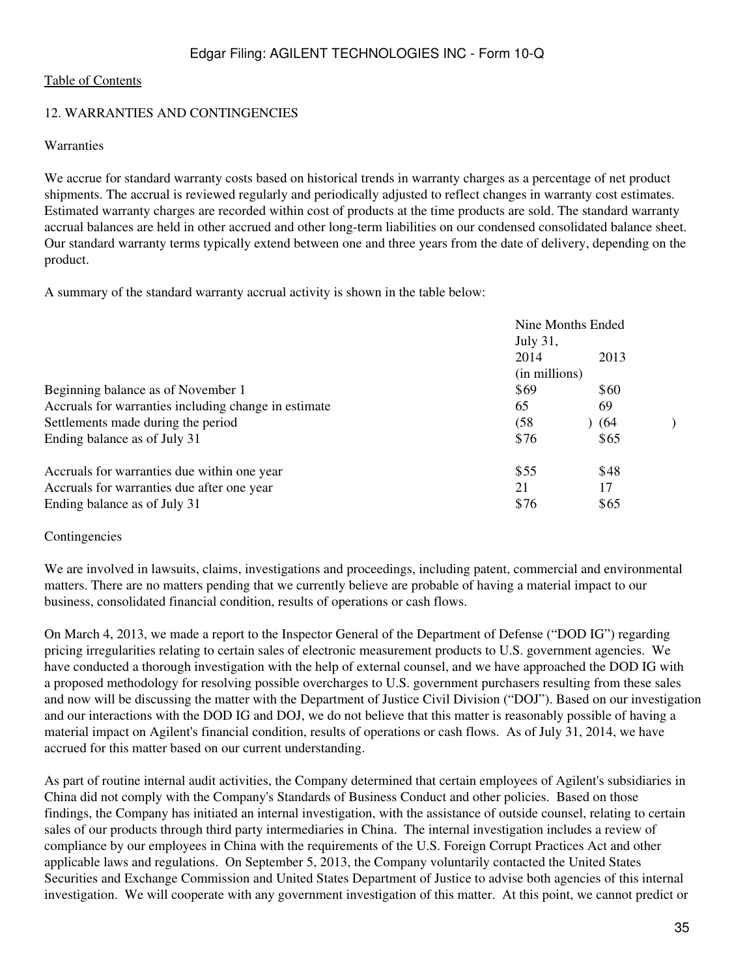#### 12. WARRANTIES AND CONTINGENCIES

#### **Warranties**

We accrue for standard warranty costs based on historical trends in warranty charges as a percentage of net product shipments. The accrual is reviewed regularly and periodically adjusted to reflect changes in warranty cost estimates. Estimated warranty charges are recorded within cost of products at the time products are sold. The standard warranty accrual balances are held in other accrued and other long-term liabilities on our condensed consolidated balance sheet. Our standard warranty terms typically extend between one and three years from the date of delivery, depending on the product.

A summary of the standard warranty accrual activity is shown in the table below:

|                                                      | Nine Months Ended |      |  |
|------------------------------------------------------|-------------------|------|--|
|                                                      | <b>July 31,</b>   |      |  |
|                                                      | 2014              | 2013 |  |
|                                                      | (in millions)     |      |  |
| Beginning balance as of November 1                   | \$69              | \$60 |  |
| Accruals for warranties including change in estimate | 65                | 69   |  |
| Settlements made during the period                   | (58               | (64) |  |
| Ending balance as of July 31                         | \$76              | \$65 |  |
| Accruals for warranties due within one year          | \$55              | \$48 |  |
| Accruals for warranties due after one year           | 21                | 17   |  |
| Ending balance as of July 31                         | \$76              | \$65 |  |

#### Contingencies

We are involved in lawsuits, claims, investigations and proceedings, including patent, commercial and environmental matters. There are no matters pending that we currently believe are probable of having a material impact to our business, consolidated financial condition, results of operations or cash flows.

On March 4, 2013, we made a report to the Inspector General of the Department of Defense ("DOD IG") regarding pricing irregularities relating to certain sales of electronic measurement products to U.S. government agencies. We have conducted a thorough investigation with the help of external counsel, and we have approached the DOD IG with a proposed methodology for resolving possible overcharges to U.S. government purchasers resulting from these sales and now will be discussing the matter with the Department of Justice Civil Division ("DOJ"). Based on our investigation and our interactions with the DOD IG and DOJ, we do not believe that this matter is reasonably possible of having a material impact on Agilent's financial condition, results of operations or cash flows. As of July 31, 2014, we have accrued for this matter based on our current understanding.

As part of routine internal audit activities, the Company determined that certain employees of Agilent's subsidiaries in China did not comply with the Company's Standards of Business Conduct and other policies. Based on those findings, the Company has initiated an internal investigation, with the assistance of outside counsel, relating to certain sales of our products through third party intermediaries in China. The internal investigation includes a review of compliance by our employees in China with the requirements of the U.S. Foreign Corrupt Practices Act and other applicable laws and regulations. On September 5, 2013, the Company voluntarily contacted the United States Securities and Exchange Commission and United States Department of Justice to advise both agencies of this internal investigation. We will cooperate with any government investigation of this matter. At this point, we cannot predict or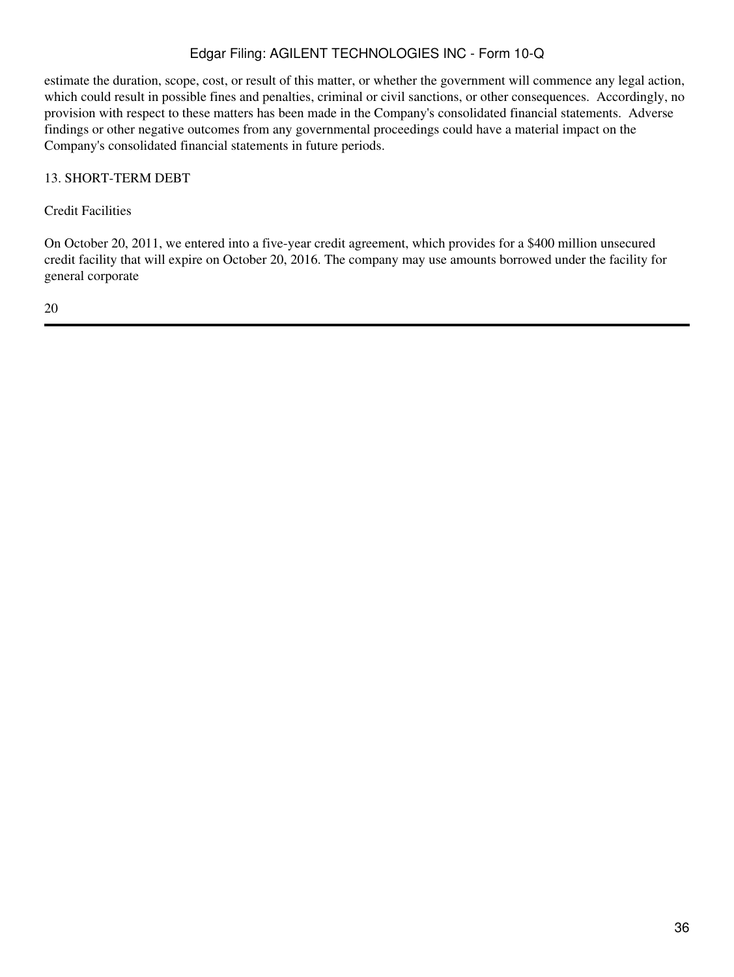estimate the duration, scope, cost, or result of this matter, or whether the government will commence any legal action, which could result in possible fines and penalties, criminal or civil sanctions, or other consequences. Accordingly, no provision with respect to these matters has been made in the Company's consolidated financial statements. Adverse findings or other negative outcomes from any governmental proceedings could have a material impact on the Company's consolidated financial statements in future periods.

#### 13. SHORT-TERM DEBT

Credit Facilities

On October 20, 2011, we entered into a five-year credit agreement, which provides for a \$400 million unsecured credit facility that will expire on October 20, 2016. The company may use amounts borrowed under the facility for general corporate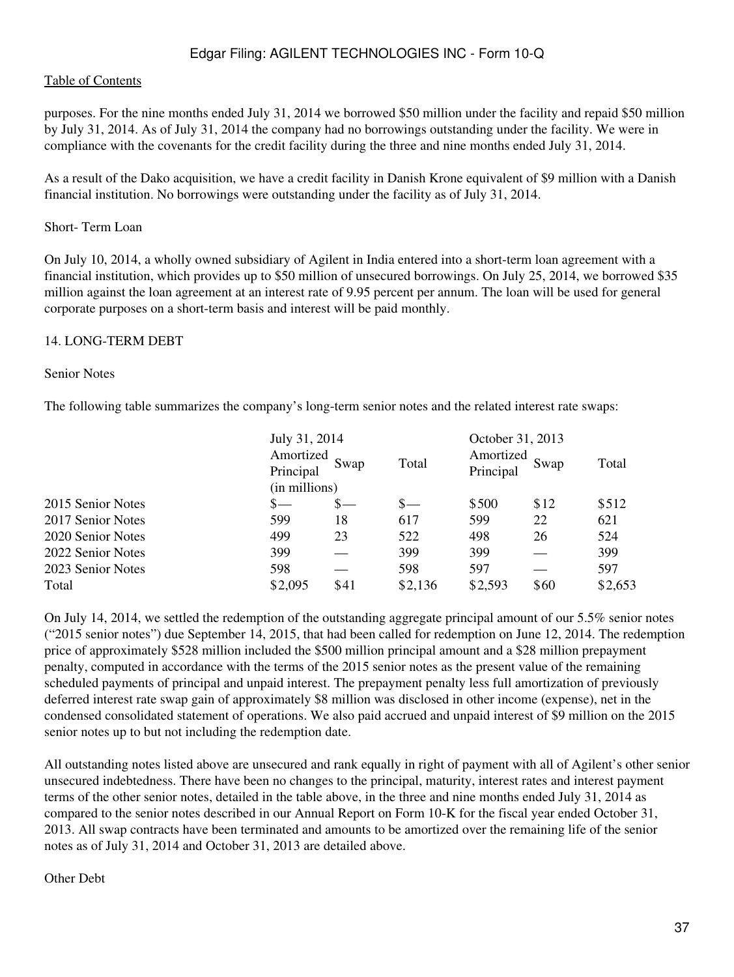#### [Table of Contents](#page-2-0)

purposes. For the nine months ended July 31, 2014 we borrowed \$50 million under the facility and repaid \$50 million by July 31, 2014. As of July 31, 2014 the company had no borrowings outstanding under the facility. We were in compliance with the covenants for the credit facility during the three and nine months ended July 31, 2014.

As a result of the Dako acquisition, we have a credit facility in Danish Krone equivalent of \$9 million with a Danish financial institution. No borrowings were outstanding under the facility as of July 31, 2014.

#### Short- Term Loan

On July 10, 2014, a wholly owned subsidiary of Agilent in India entered into a short-term loan agreement with a financial institution, which provides up to \$50 million of unsecured borrowings. On July 25, 2014, we borrowed \$35 million against the loan agreement at an interest rate of 9.95 percent per annum. The loan will be used for general corporate purposes on a short-term basis and interest will be paid monthly.

#### 14. LONG-TERM DEBT

#### Senior Notes

The following table summarizes the company's long-term senior notes and the related interest rate swaps:

|                   |         | July 31, 2014<br>Amortized<br>Swap<br>Principal<br>(in millions) |         |         | October 31, 2013<br>Amortized<br>Swap | Total   |  |
|-------------------|---------|------------------------------------------------------------------|---------|---------|---------------------------------------|---------|--|
| 2015 Senior Notes |         |                                                                  |         | \$500   | \$12                                  | \$512   |  |
| 2017 Senior Notes | 599     | 18                                                               | 617     | 599     | 22                                    | 621     |  |
| 2020 Senior Notes | 499     | 23                                                               | 522     | 498     | 26                                    | 524     |  |
| 2022 Senior Notes | 399     |                                                                  | 399     | 399     |                                       | 399     |  |
| 2023 Senior Notes | 598     |                                                                  | 598     | 597     |                                       | 597     |  |
| Total             | \$2,095 | \$41                                                             | \$2,136 | \$2,593 | \$60                                  | \$2,653 |  |

On July 14, 2014, we settled the redemption of the outstanding aggregate principal amount of our 5.5% senior notes ("2015 senior notes") due September 14, 2015, that had been called for redemption on June 12, 2014. The redemption price of approximately \$528 million included the \$500 million principal amount and a \$28 million prepayment penalty, computed in accordance with the terms of the 2015 senior notes as the present value of the remaining scheduled payments of principal and unpaid interest. The prepayment penalty less full amortization of previously deferred interest rate swap gain of approximately \$8 million was disclosed in other income (expense), net in the condensed consolidated statement of operations. We also paid accrued and unpaid interest of \$9 million on the 2015 senior notes up to but not including the redemption date.

All outstanding notes listed above are unsecured and rank equally in right of payment with all of Agilent's other senior unsecured indebtedness. There have been no changes to the principal, maturity, interest rates and interest payment terms of the other senior notes, detailed in the table above, in the three and nine months ended July 31, 2014 as compared to the senior notes described in our Annual Report on Form 10-K for the fiscal year ended October 31, 2013. All swap contracts have been terminated and amounts to be amortized over the remaining life of the senior notes as of July 31, 2014 and October 31, 2013 are detailed above.

Other Debt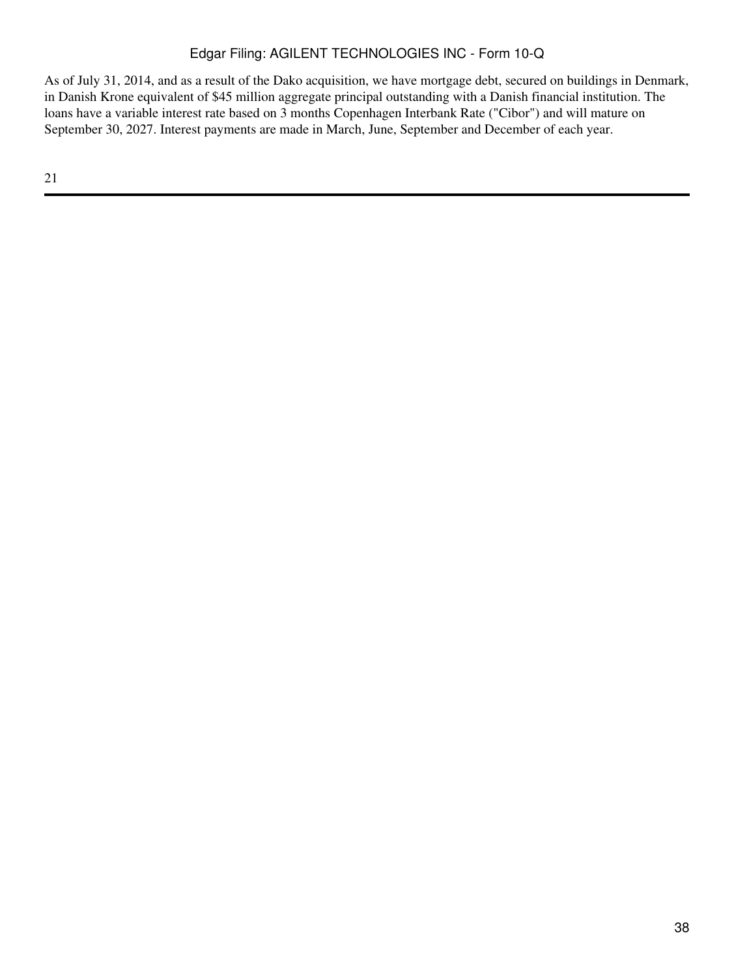As of July 31, 2014, and as a result of the Dako acquisition, we have mortgage debt, secured on buildings in Denmark, in Danish Krone equivalent of \$45 million aggregate principal outstanding with a Danish financial institution. The loans have a variable interest rate based on 3 months Copenhagen Interbank Rate ("Cibor") and will mature on September 30, 2027. Interest payments are made in March, June, September and December of each year.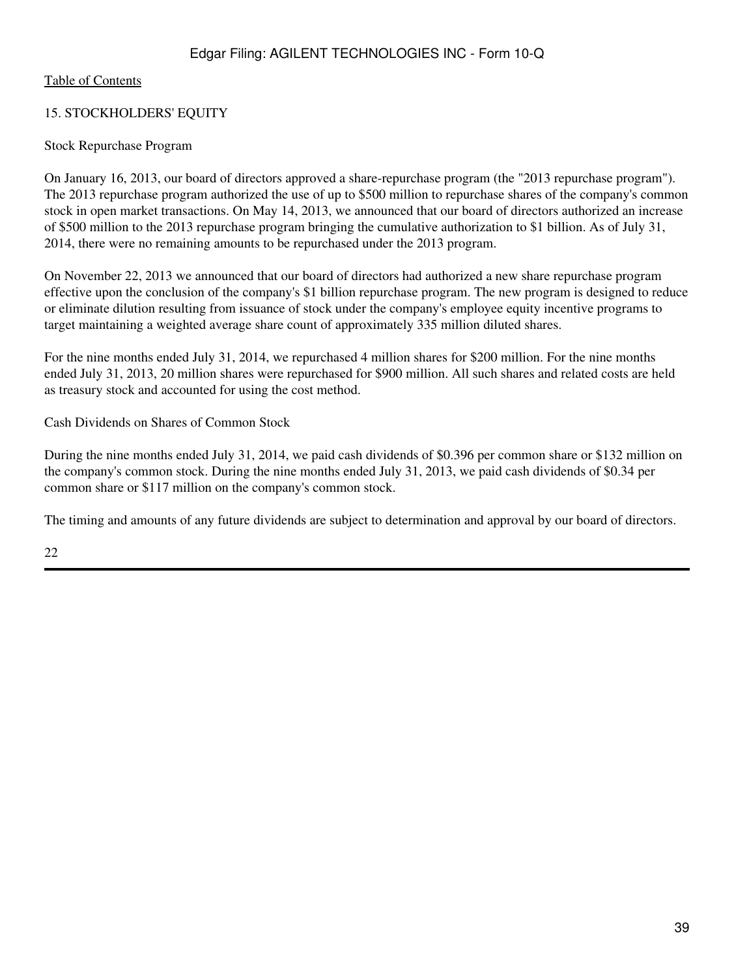## 15. STOCKHOLDERS' EQUITY

## Stock Repurchase Program

On January 16, 2013, our board of directors approved a share-repurchase program (the "2013 repurchase program"). The 2013 repurchase program authorized the use of up to \$500 million to repurchase shares of the company's common stock in open market transactions. On May 14, 2013, we announced that our board of directors authorized an increase of \$500 million to the 2013 repurchase program bringing the cumulative authorization to \$1 billion. As of July 31, 2014, there were no remaining amounts to be repurchased under the 2013 program.

On November 22, 2013 we announced that our board of directors had authorized a new share repurchase program effective upon the conclusion of the company's \$1 billion repurchase program. The new program is designed to reduce or eliminate dilution resulting from issuance of stock under the company's employee equity incentive programs to target maintaining a weighted average share count of approximately 335 million diluted shares.

For the nine months ended July 31, 2014, we repurchased 4 million shares for \$200 million. For the nine months ended July 31, 2013, 20 million shares were repurchased for \$900 million. All such shares and related costs are held as treasury stock and accounted for using the cost method.

Cash Dividends on Shares of Common Stock

During the nine months ended July 31, 2014, we paid cash dividends of \$0.396 per common share or \$132 million on the company's common stock. During the nine months ended July 31, 2013, we paid cash dividends of \$0.34 per common share or \$117 million on the company's common stock.

The timing and amounts of any future dividends are subject to determination and approval by our board of directors.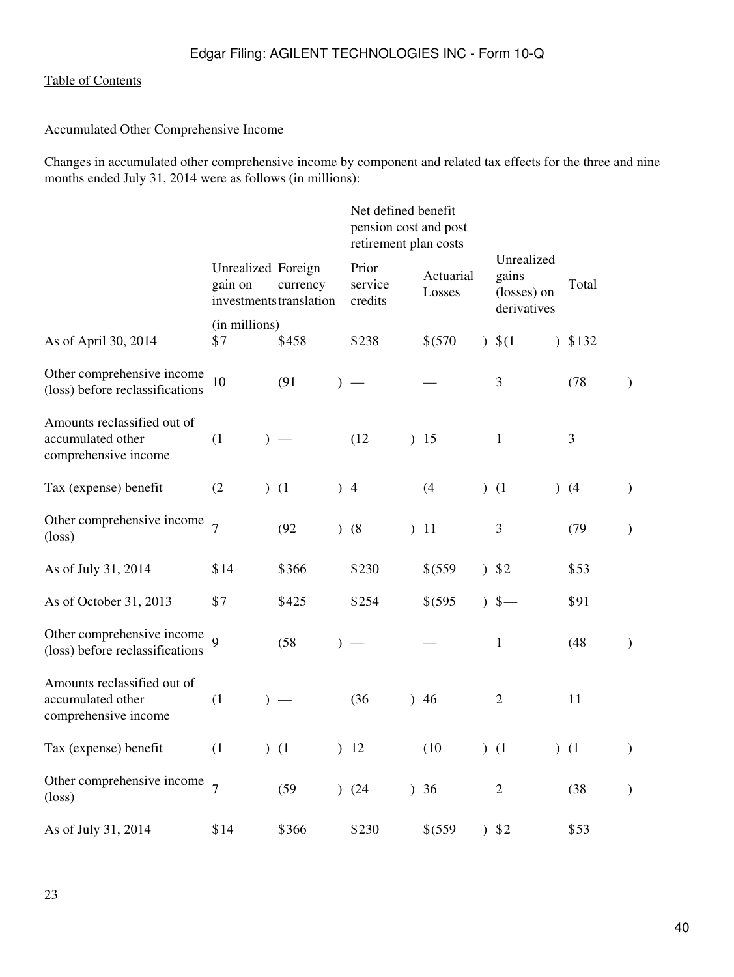Accumulated Other Comprehensive Income

Changes in accumulated other comprehensive income by component and related tax effects for the three and nine months ended July 31, 2014 were as follows (in millions):

|                                                                          |                               |               |                                     |               |                             |           | Net defined benefit<br>pension cost and post<br>retirement plan costs |                                                   |                |               |
|--------------------------------------------------------------------------|-------------------------------|---------------|-------------------------------------|---------------|-----------------------------|-----------|-----------------------------------------------------------------------|---------------------------------------------------|----------------|---------------|
|                                                                          | Unrealized Foreign<br>gain on |               | currency<br>investments translation |               | Prior<br>service<br>credits |           | Actuarial<br>Losses                                                   | Unrealized<br>gains<br>(losses) on<br>derivatives | Total          |               |
| As of April 30, 2014                                                     | (in millions)<br>\$7          |               | \$458                               |               | \$238                       |           | \$(570                                                                | $)$ \$(1)                                         | $)$ \$132      |               |
| Other comprehensive income<br>(loss) before reclassifications            | 10                            |               | (91)                                | $\lambda$     |                             |           |                                                                       | 3                                                 | (78)           | $\mathcal{L}$ |
| Amounts reclassified out of<br>accumulated other<br>comprehensive income | (1)                           |               | $)$ —                               |               | (12)                        |           | 15                                                                    | $\mathbf{1}$                                      | $\mathfrak{Z}$ |               |
| Tax (expense) benefit                                                    | (2)                           |               | (1)                                 |               | $+4$                        |           | (4)                                                                   | (1)                                               | (4)            | $\mathcal{E}$ |
| Other comprehensive income<br>$(\text{loss})$                            | $\overline{7}$                |               | (92)                                | $\mathcal{L}$ | (8)                         | $\lambda$ | 11                                                                    | 3                                                 | (79)           | $\mathcal{E}$ |
| As of July 31, 2014                                                      | \$14                          |               | \$366                               |               | \$230                       |           | \$(559)                                                               | 352                                               | \$53           |               |
| As of October 31, 2013                                                   | \$7                           |               | \$425                               |               | \$254                       |           | \$(595                                                                | $5-$                                              | \$91           |               |
| Other comprehensive income<br>(loss) before reclassifications            |                               |               | (58)                                | $\lambda$     |                             |           |                                                                       | $\mathbf{1}$                                      | (48)           | $\mathcal{E}$ |
| Amounts reclassified out of<br>accumulated other<br>comprehensive income | (1)                           | $\mathcal{L}$ | $\overline{\phantom{m}}$            |               | (36)                        |           | 46                                                                    | $\overline{2}$                                    | 11             |               |
| Tax (expense) benefit                                                    | (1)                           |               | (1)                                 | $\mathcal{L}$ | 12                          |           | (10)                                                                  | (1)                                               | (1)            | $\mathcal{E}$ |
| Other comprehensive income<br>$(\text{loss})$                            | $\overline{7}$                |               | (59)                                | $\mathcal{L}$ | (24)                        |           | )36                                                                   | $\overline{2}$                                    | (38)           | $\mathcal{E}$ |
| As of July 31, 2014                                                      | \$14                          |               | \$366                               |               | \$230                       |           | \$(559                                                                | 32                                                | \$53           |               |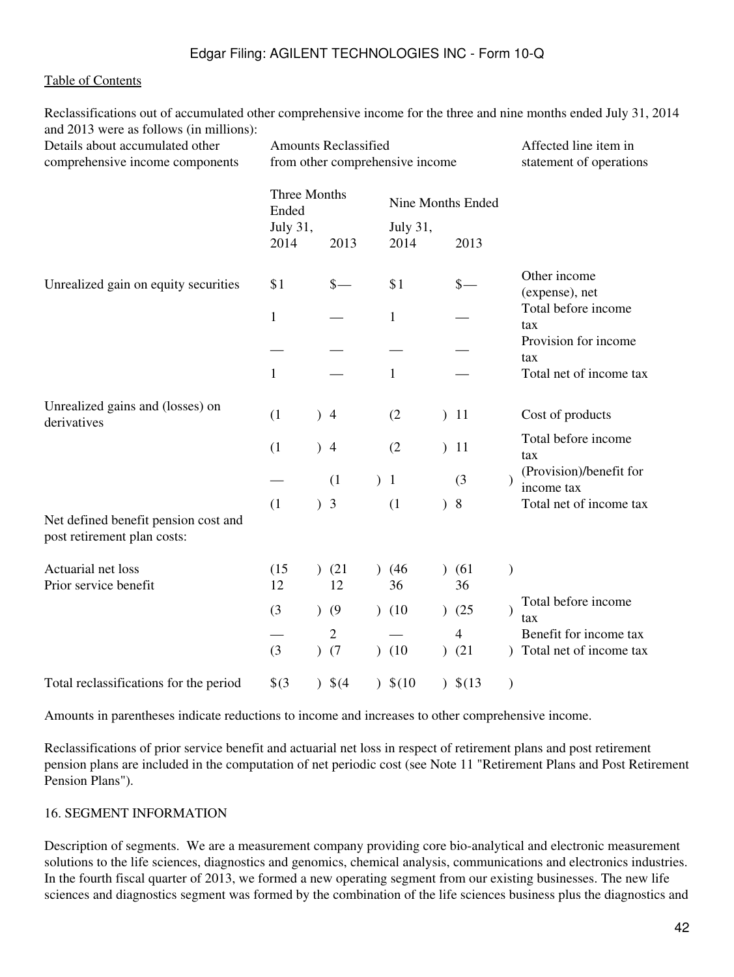Reclassifications out of accumulated other comprehensive income for the three and nine months ended July 31, 2014 and 2013 were as follows (in millions):

| Details about accumulated other<br>comprehensive income components  | <b>Amounts Reclassified</b><br>from other comprehensive income |               |                       |               | Affected line item in<br>statement of operations |                   |                        |               |                                                   |
|---------------------------------------------------------------------|----------------------------------------------------------------|---------------|-----------------------|---------------|--------------------------------------------------|-------------------|------------------------|---------------|---------------------------------------------------|
|                                                                     | Ended                                                          | Three Months  |                       |               |                                                  | Nine Months Ended |                        |               |                                                   |
|                                                                     | July 31,<br>2014                                               |               | 2013                  |               | July 31,<br>2014                                 |                   | 2013                   |               |                                                   |
| Unrealized gain on equity securities                                | \$1                                                            |               | $\frac{\ }{s-}$       |               | \$1                                              |                   | $\frac{\S}{\S}$        |               | Other income<br>(expense), net                    |
|                                                                     | $\mathbf{1}$                                                   |               |                       |               | $\mathbf{1}$                                     |                   |                        |               | Total before income<br>tax                        |
|                                                                     |                                                                |               |                       |               |                                                  |                   |                        |               | Provision for income<br>tax                       |
|                                                                     | 1                                                              |               |                       |               | $\mathbf{1}$                                     |                   |                        |               | Total net of income tax                           |
| Unrealized gains and (losses) on<br>derivatives                     | (1)                                                            | $\mathcal{L}$ | $\overline{4}$        |               | (2)                                              | $\lambda$         | 11                     |               | Cost of products                                  |
|                                                                     | (1)                                                            | $\mathcal{L}$ | $\overline{4}$        |               | (2)                                              | $\lambda$         | 11                     |               | Total before income<br>tax                        |
|                                                                     |                                                                |               | (1)                   |               | )1                                               |                   | (3)                    |               | (Provision)/benefit for<br>income tax             |
| Net defined benefit pension cost and<br>post retirement plan costs: | (1)                                                            | $\mathcal{E}$ | 3                     |               | (1)                                              | $\mathcal{L}$     | $\,8\,$                |               | Total net of income tax                           |
| Actuarial net loss<br>Prior service benefit                         | (15)<br>12                                                     | $\mathcal{L}$ | (21)<br>12            | $\mathcal{L}$ | (46)<br>36                                       | $\mathcal{L}$     | (61)<br>36             | $\mathcal{E}$ |                                                   |
|                                                                     | (3)                                                            | $\mathcal{L}$ | (9)                   |               | (10)                                             | $\mathcal{L}$     | (25)                   | $\mathcal{E}$ | Total before income<br>tax                        |
|                                                                     | (3)                                                            | $\mathcal{L}$ | $\mathfrak{2}$<br>(7) |               | (10)                                             | $\mathcal{L}$     | $\overline{4}$<br>(21) |               | Benefit for income tax<br>Total net of income tax |
| Total reclassifications for the period                              | $\$(3)$                                                        | $\mathcal{L}$ | $\sqrt{4}$            |               | $)$ \$(10)                                       |                   | $)$ \$(13)             | $\mathcal{)}$ |                                                   |

Amounts in parentheses indicate reductions to income and increases to other comprehensive income.

Reclassifications of prior service benefit and actuarial net loss in respect of retirement plans and post retirement pension plans are included in the computation of net periodic cost (see Note 11 "Retirement Plans and Post Retirement Pension Plans").

#### 16. SEGMENT INFORMATION

Description of segments. We are a measurement company providing core bio-analytical and electronic measurement solutions to the life sciences, diagnostics and genomics, chemical analysis, communications and electronics industries. In the fourth fiscal quarter of 2013, we formed a new operating segment from our existing businesses. The new life sciences and diagnostics segment was formed by the combination of the life sciences business plus the diagnostics and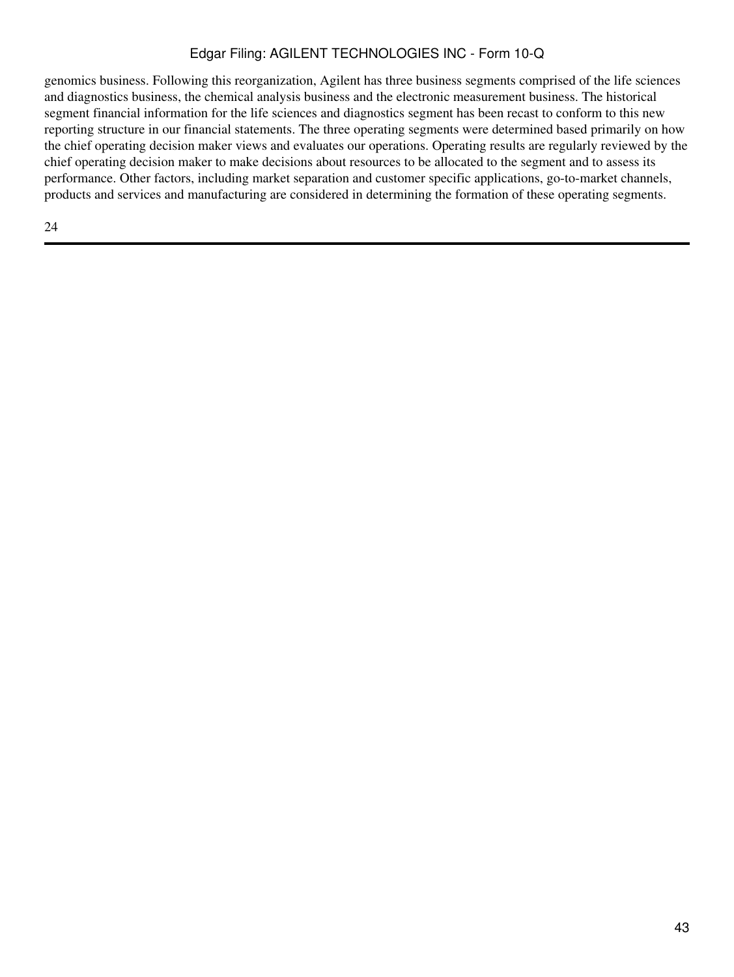genomics business. Following this reorganization, Agilent has three business segments comprised of the life sciences and diagnostics business, the chemical analysis business and the electronic measurement business. The historical segment financial information for the life sciences and diagnostics segment has been recast to conform to this new reporting structure in our financial statements. The three operating segments were determined based primarily on how the chief operating decision maker views and evaluates our operations. Operating results are regularly reviewed by the chief operating decision maker to make decisions about resources to be allocated to the segment and to assess its performance. Other factors, including market separation and customer specific applications, go-to-market channels, products and services and manufacturing are considered in determining the formation of these operating segments.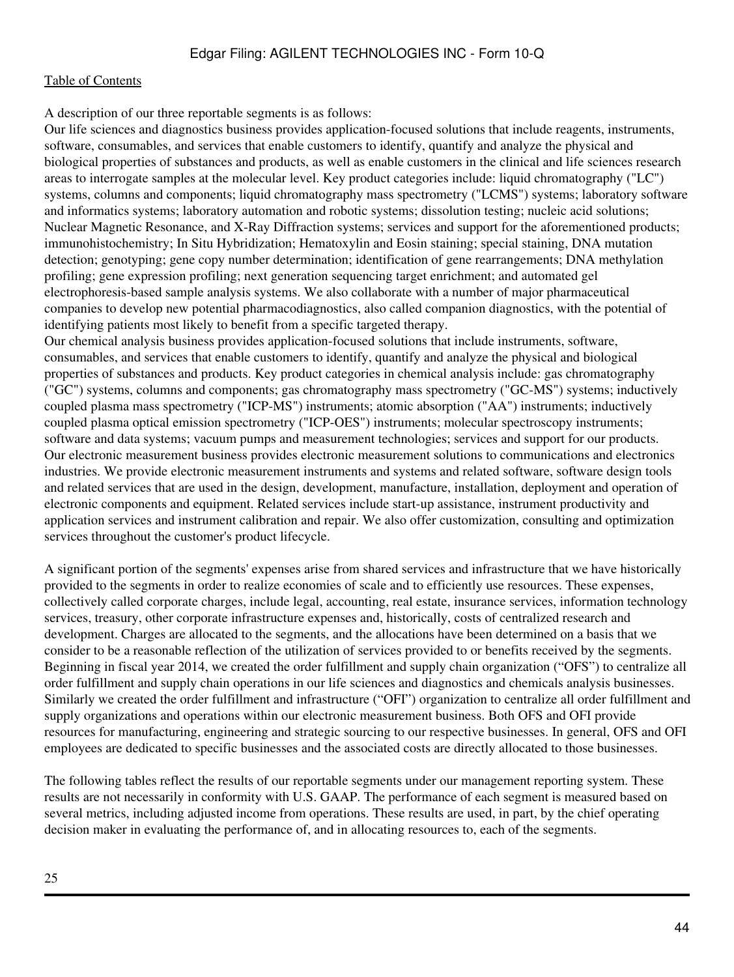A description of our three reportable segments is as follows:

Our life sciences and diagnostics business provides application-focused solutions that include reagents, instruments, software, consumables, and services that enable customers to identify, quantify and analyze the physical and biological properties of substances and products, as well as enable customers in the clinical and life sciences research areas to interrogate samples at the molecular level. Key product categories include: liquid chromatography ("LC") systems, columns and components; liquid chromatography mass spectrometry ("LCMS") systems; laboratory software and informatics systems; laboratory automation and robotic systems; dissolution testing; nucleic acid solutions; Nuclear Magnetic Resonance, and X-Ray Diffraction systems; services and support for the aforementioned products; immunohistochemistry; In Situ Hybridization; Hematoxylin and Eosin staining; special staining, DNA mutation detection; genotyping; gene copy number determination; identification of gene rearrangements; DNA methylation profiling; gene expression profiling; next generation sequencing target enrichment; and automated gel electrophoresis-based sample analysis systems. We also collaborate with a number of major pharmaceutical companies to develop new potential pharmacodiagnostics, also called companion diagnostics, with the potential of identifying patients most likely to benefit from a specific targeted therapy.

Our chemical analysis business provides application-focused solutions that include instruments, software, consumables, and services that enable customers to identify, quantify and analyze the physical and biological properties of substances and products. Key product categories in chemical analysis include: gas chromatography ("GC") systems, columns and components; gas chromatography mass spectrometry ("GC-MS") systems; inductively coupled plasma mass spectrometry ("ICP-MS") instruments; atomic absorption ("AA") instruments; inductively coupled plasma optical emission spectrometry ("ICP-OES") instruments; molecular spectroscopy instruments; software and data systems; vacuum pumps and measurement technologies; services and support for our products. Our electronic measurement business provides electronic measurement solutions to communications and electronics industries. We provide electronic measurement instruments and systems and related software, software design tools and related services that are used in the design, development, manufacture, installation, deployment and operation of electronic components and equipment. Related services include start-up assistance, instrument productivity and application services and instrument calibration and repair. We also offer customization, consulting and optimization services throughout the customer's product lifecycle.

A significant portion of the segments' expenses arise from shared services and infrastructure that we have historically provided to the segments in order to realize economies of scale and to efficiently use resources. These expenses, collectively called corporate charges, include legal, accounting, real estate, insurance services, information technology services, treasury, other corporate infrastructure expenses and, historically, costs of centralized research and development. Charges are allocated to the segments, and the allocations have been determined on a basis that we consider to be a reasonable reflection of the utilization of services provided to or benefits received by the segments. Beginning in fiscal year 2014, we created the order fulfillment and supply chain organization ("OFS") to centralize all order fulfillment and supply chain operations in our life sciences and diagnostics and chemicals analysis businesses. Similarly we created the order fulfillment and infrastructure ("OFI") organization to centralize all order fulfillment and supply organizations and operations within our electronic measurement business. Both OFS and OFI provide resources for manufacturing, engineering and strategic sourcing to our respective businesses. In general, OFS and OFI employees are dedicated to specific businesses and the associated costs are directly allocated to those businesses.

The following tables reflect the results of our reportable segments under our management reporting system. These results are not necessarily in conformity with U.S. GAAP. The performance of each segment is measured based on several metrics, including adjusted income from operations. These results are used, in part, by the chief operating decision maker in evaluating the performance of, and in allocating resources to, each of the segments.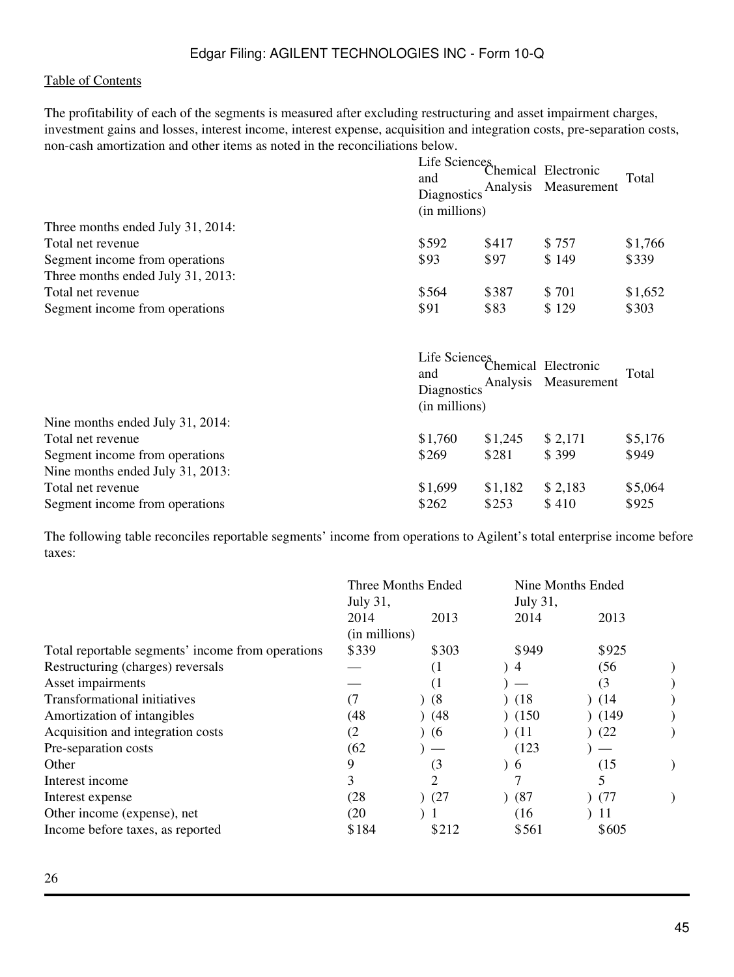The profitability of each of the segments is measured after excluding restructuring and asset impairment charges, investment gains and losses, interest income, interest expense, acquisition and integration costs, pre-separation costs, non-cash amortization and other items as noted in the reconciliations below.

|                                                                     | Life Sciences<br>and<br>(in millions)                | Diagnostics Analysis | Chemical Electronic<br>Measurement          | Total   |
|---------------------------------------------------------------------|------------------------------------------------------|----------------------|---------------------------------------------|---------|
| Three months ended July 31, 2014:                                   |                                                      |                      |                                             |         |
| Total net revenue                                                   | \$592                                                | \$417                | \$757                                       | \$1,766 |
| Segment income from operations<br>Three months ended July 31, 2013: | \$93                                                 | \$97                 | \$149                                       | \$339   |
| Total net revenue                                                   | \$564                                                | \$387                | \$701                                       | \$1,652 |
| Segment income from operations                                      | \$91                                                 | \$83                 | \$129                                       | \$303   |
|                                                                     | Life Sciences<br>and<br>Diagnostics<br>(in millions) |                      | Chemical Electronic<br>Analysis Measurement | Total   |
| Nine months ended July 31, 2014:                                    |                                                      |                      |                                             |         |
| Total net revenue                                                   | \$1,760                                              | \$1,245              | \$2,171                                     | \$5,176 |
| Segment income from operations                                      | \$269                                                | \$281                | \$399                                       | \$949   |
| Nine months ended July 31, 2013:                                    |                                                      |                      |                                             |         |
| Total net revenue                                                   | \$1,699                                              | \$1,182              | \$2,183                                     | \$5,064 |
| Segment income from operations                                      |                                                      |                      |                                             |         |

The following table reconciles reportable segments' income from operations to Agilent's total enterprise income before taxes:

|                                                   | Three Months Ended<br>July 31, |                  | July 31, | Nine Months Ended |  |
|---------------------------------------------------|--------------------------------|------------------|----------|-------------------|--|
|                                                   | 2014                           | 2013             | 2014     | 2013              |  |
|                                                   | (in millions)                  |                  |          |                   |  |
| Total reportable segments' income from operations | \$339                          | \$303            | \$949    | \$925             |  |
| Restructuring (charges) reversals                 |                                | (1)              | 4        | (56)              |  |
| Asset impairments                                 |                                | $\left(1\right)$ |          | (3                |  |
| Transformational initiatives                      | (7)                            | (8)              | (18)     | (14)              |  |
| Amortization of intangibles                       | (48                            | (48)             | (150)    | (149)             |  |
| Acquisition and integration costs                 | (2                             | (6)              | (11)     | (22)              |  |
| Pre-separation costs                              | (62)                           |                  | (123)    |                   |  |
| Other                                             | 9                              | (3)              | 0        | (15)              |  |
| Interest income                                   | 3                              | 2                |          | 5                 |  |
| Interest expense                                  | (28)                           | (27)             | (87)     | (77)              |  |
| Other income (expense), net                       | (20)                           |                  | (16)     | 11                |  |
| Income before taxes, as reported                  | \$184                          | \$212            | \$561    | \$605             |  |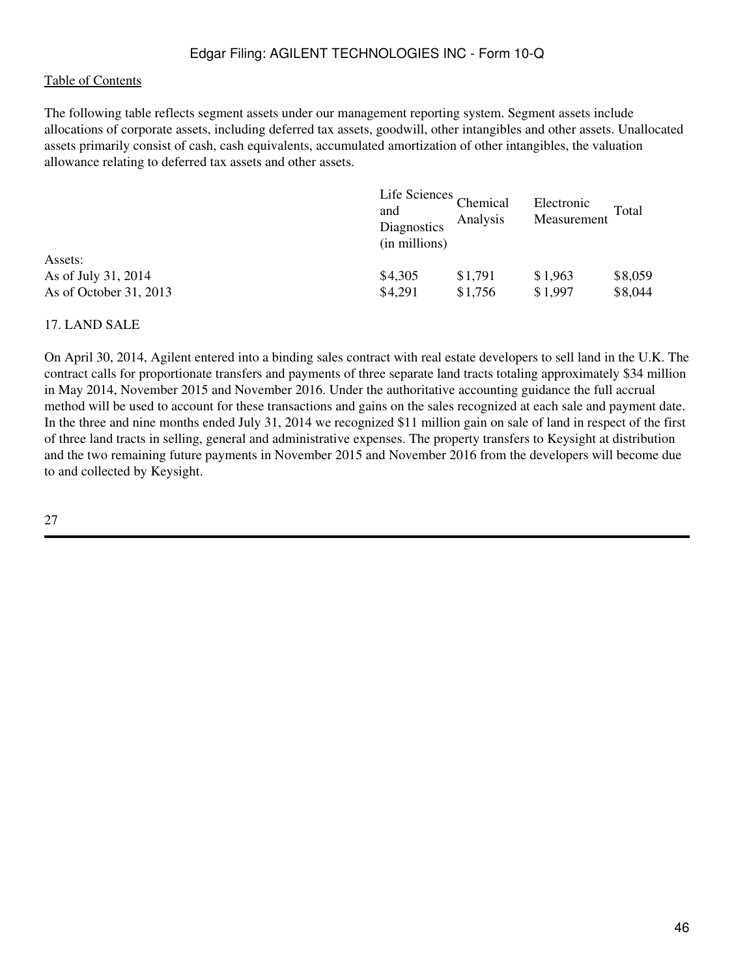#### [Table of Contents](#page-2-0)

The following table reflects segment assets under our management reporting system. Segment assets include allocations of corporate assets, including deferred tax assets, goodwill, other intangibles and other assets. Unallocated assets primarily consist of cash, cash equivalents, accumulated amortization of other intangibles, the valuation allowance relating to deferred tax assets and other assets.

| and<br>Diagnostics<br>(in millions) | Analysis | Electronic<br>Measurement | Total   |  |
|-------------------------------------|----------|---------------------------|---------|--|
|                                     |          |                           |         |  |
| \$4,305                             | \$1,791  | \$1,963                   | \$8,059 |  |
| \$4,291                             | \$1,756  | \$1,997                   | \$8,044 |  |
|                                     |          | Life Sciences Chemical    |         |  |

## 17. LAND SALE

On April 30, 2014, Agilent entered into a binding sales contract with real estate developers to sell land in the U.K. The contract calls for proportionate transfers and payments of three separate land tracts totaling approximately \$34 million in May 2014, November 2015 and November 2016. Under the authoritative accounting guidance the full accrual method will be used to account for these transactions and gains on the sales recognized at each sale and payment date. In the three and nine months ended July 31, 2014 we recognized \$11 million gain on sale of land in respect of the first of three land tracts in selling, general and administrative expenses. The property transfers to Keysight at distribution and the two remaining future payments in November 2015 and November 2016 from the developers will become due to and collected by Keysight.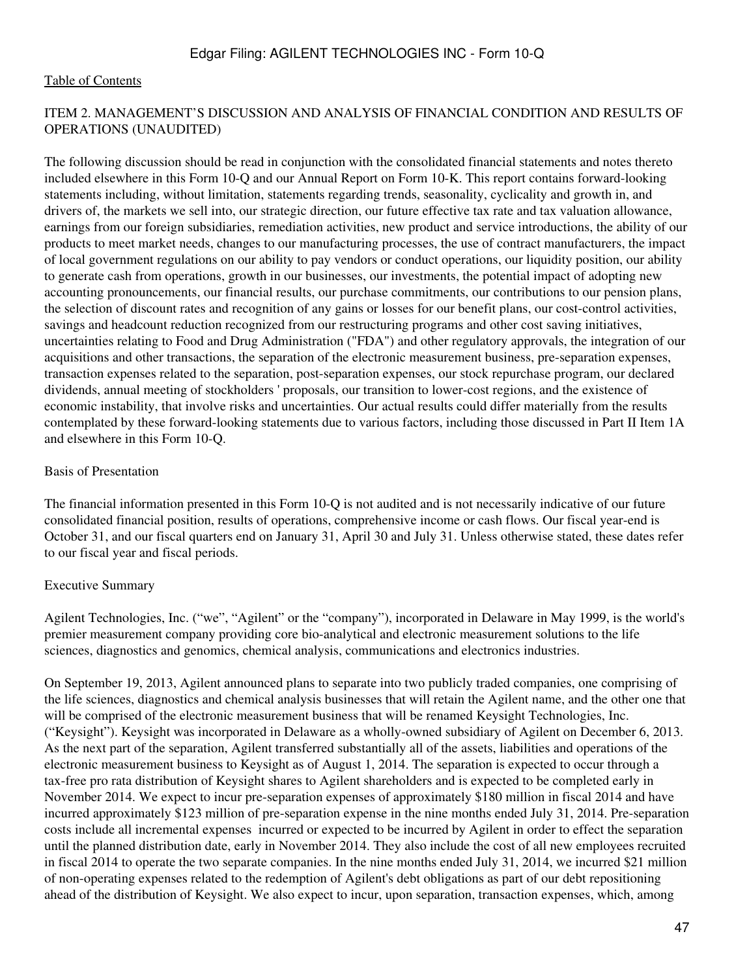## ITEM 2. MANAGEMENT'S DISCUSSION AND ANALYSIS OF FINANCIAL CONDITION AND RESULTS OF OPERATIONS (UNAUDITED)

The following discussion should be read in conjunction with the consolidated financial statements and notes thereto included elsewhere in this Form 10-Q and our Annual Report on Form 10-K. This report contains forward-looking statements including, without limitation, statements regarding trends, seasonality, cyclicality and growth in, and drivers of, the markets we sell into, our strategic direction, our future effective tax rate and tax valuation allowance, earnings from our foreign subsidiaries, remediation activities, new product and service introductions, the ability of our products to meet market needs, changes to our manufacturing processes, the use of contract manufacturers, the impact of local government regulations on our ability to pay vendors or conduct operations, our liquidity position, our ability to generate cash from operations, growth in our businesses, our investments, the potential impact of adopting new accounting pronouncements, our financial results, our purchase commitments, our contributions to our pension plans, the selection of discount rates and recognition of any gains or losses for our benefit plans, our cost-control activities, savings and headcount reduction recognized from our restructuring programs and other cost saving initiatives, uncertainties relating to Food and Drug Administration ("FDA") and other regulatory approvals, the integration of our acquisitions and other transactions, the separation of the electronic measurement business, pre-separation expenses, transaction expenses related to the separation, post-separation expenses, our stock repurchase program, our declared dividends, annual meeting of stockholders ' proposals, our transition to lower-cost regions, and the existence of economic instability, that involve risks and uncertainties. Our actual results could differ materially from the results contemplated by these forward-looking statements due to various factors, including those discussed in Part II Item 1A and elsewhere in this Form 10-Q.

#### Basis of Presentation

The financial information presented in this Form 10-Q is not audited and is not necessarily indicative of our future consolidated financial position, results of operations, comprehensive income or cash flows. Our fiscal year-end is October 31, and our fiscal quarters end on January 31, April 30 and July 31. Unless otherwise stated, these dates refer to our fiscal year and fiscal periods.

#### Executive Summary

Agilent Technologies, Inc. ("we", "Agilent" or the "company"), incorporated in Delaware in May 1999, is the world's premier measurement company providing core bio-analytical and electronic measurement solutions to the life sciences, diagnostics and genomics, chemical analysis, communications and electronics industries.

On September 19, 2013, Agilent announced plans to separate into two publicly traded companies, one comprising of the life sciences, diagnostics and chemical analysis businesses that will retain the Agilent name, and the other one that will be comprised of the electronic measurement business that will be renamed Keysight Technologies, Inc. ("Keysight"). Keysight was incorporated in Delaware as a wholly-owned subsidiary of Agilent on December 6, 2013. As the next part of the separation, Agilent transferred substantially all of the assets, liabilities and operations of the electronic measurement business to Keysight as of August 1, 2014. The separation is expected to occur through a tax-free pro rata distribution of Keysight shares to Agilent shareholders and is expected to be completed early in November 2014. We expect to incur pre-separation expenses of approximately \$180 million in fiscal 2014 and have incurred approximately \$123 million of pre-separation expense in the nine months ended July 31, 2014. Pre-separation costs include all incremental expenses incurred or expected to be incurred by Agilent in order to effect the separation until the planned distribution date, early in November 2014. They also include the cost of all new employees recruited in fiscal 2014 to operate the two separate companies. In the nine months ended July 31, 2014, we incurred \$21 million of non-operating expenses related to the redemption of Agilent's debt obligations as part of our debt repositioning ahead of the distribution of Keysight. We also expect to incur, upon separation, transaction expenses, which, among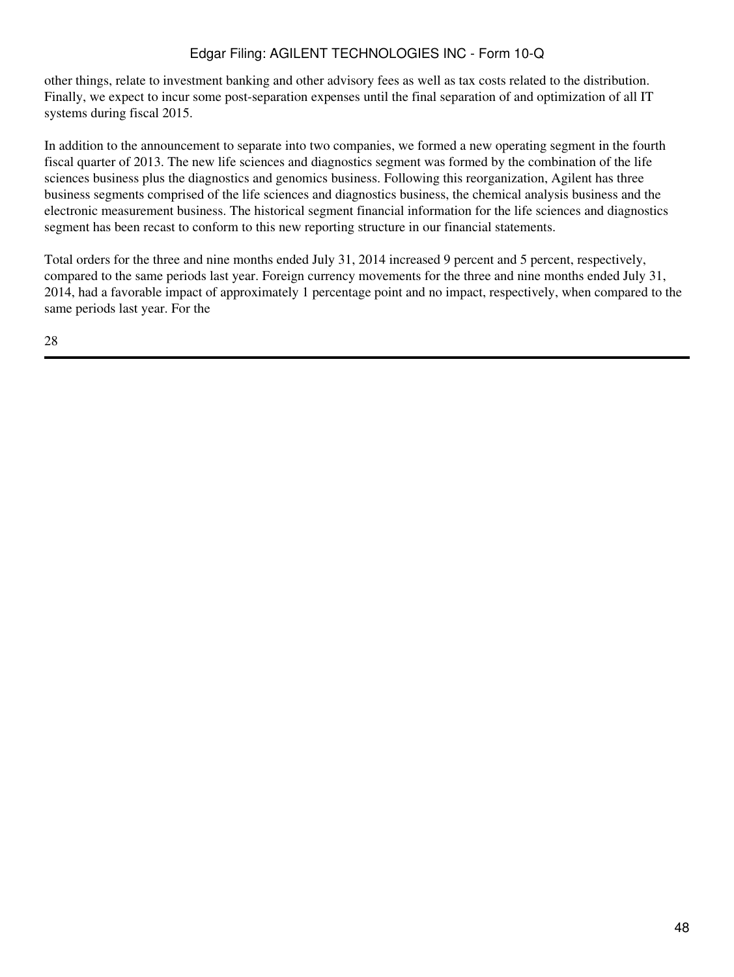other things, relate to investment banking and other advisory fees as well as tax costs related to the distribution. Finally, we expect to incur some post-separation expenses until the final separation of and optimization of all IT systems during fiscal 2015.

In addition to the announcement to separate into two companies, we formed a new operating segment in the fourth fiscal quarter of 2013. The new life sciences and diagnostics segment was formed by the combination of the life sciences business plus the diagnostics and genomics business. Following this reorganization, Agilent has three business segments comprised of the life sciences and diagnostics business, the chemical analysis business and the electronic measurement business. The historical segment financial information for the life sciences and diagnostics segment has been recast to conform to this new reporting structure in our financial statements.

Total orders for the three and nine months ended July 31, 2014 increased 9 percent and 5 percent, respectively, compared to the same periods last year. Foreign currency movements for the three and nine months ended July 31, 2014, had a favorable impact of approximately 1 percentage point and no impact, respectively, when compared to the same periods last year. For the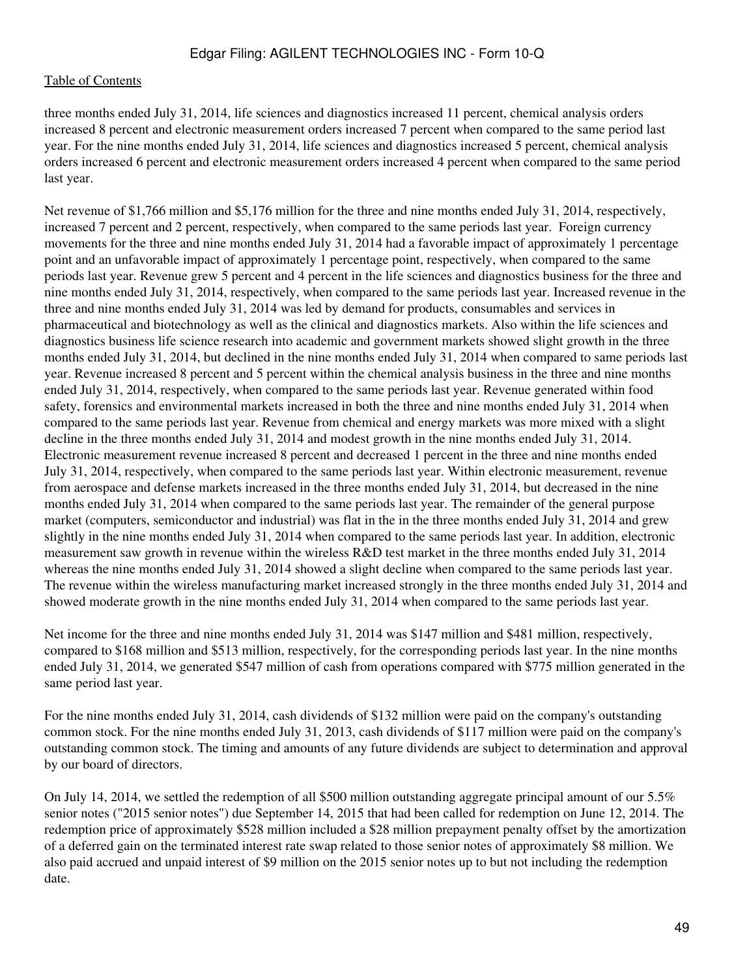three months ended July 31, 2014, life sciences and diagnostics increased 11 percent, chemical analysis orders increased 8 percent and electronic measurement orders increased 7 percent when compared to the same period last year. For the nine months ended July 31, 2014, life sciences and diagnostics increased 5 percent, chemical analysis orders increased 6 percent and electronic measurement orders increased 4 percent when compared to the same period last year.

Net revenue of \$1,766 million and \$5,176 million for the three and nine months ended July 31, 2014, respectively, increased 7 percent and 2 percent, respectively, when compared to the same periods last year. Foreign currency movements for the three and nine months ended July 31, 2014 had a favorable impact of approximately 1 percentage point and an unfavorable impact of approximately 1 percentage point, respectively, when compared to the same periods last year. Revenue grew 5 percent and 4 percent in the life sciences and diagnostics business for the three and nine months ended July 31, 2014, respectively, when compared to the same periods last year. Increased revenue in the three and nine months ended July 31, 2014 was led by demand for products, consumables and services in pharmaceutical and biotechnology as well as the clinical and diagnostics markets. Also within the life sciences and diagnostics business life science research into academic and government markets showed slight growth in the three months ended July 31, 2014, but declined in the nine months ended July 31, 2014 when compared to same periods last year. Revenue increased 8 percent and 5 percent within the chemical analysis business in the three and nine months ended July 31, 2014, respectively, when compared to the same periods last year. Revenue generated within food safety, forensics and environmental markets increased in both the three and nine months ended July 31, 2014 when compared to the same periods last year. Revenue from chemical and energy markets was more mixed with a slight decline in the three months ended July 31, 2014 and modest growth in the nine months ended July 31, 2014. Electronic measurement revenue increased 8 percent and decreased 1 percent in the three and nine months ended July 31, 2014, respectively, when compared to the same periods last year. Within electronic measurement, revenue from aerospace and defense markets increased in the three months ended July 31, 2014, but decreased in the nine months ended July 31, 2014 when compared to the same periods last year. The remainder of the general purpose market (computers, semiconductor and industrial) was flat in the in the three months ended July 31, 2014 and grew slightly in the nine months ended July 31, 2014 when compared to the same periods last year. In addition, electronic measurement saw growth in revenue within the wireless R&D test market in the three months ended July 31, 2014 whereas the nine months ended July 31, 2014 showed a slight decline when compared to the same periods last year. The revenue within the wireless manufacturing market increased strongly in the three months ended July 31, 2014 and showed moderate growth in the nine months ended July 31, 2014 when compared to the same periods last year.

Net income for the three and nine months ended July 31, 2014 was \$147 million and \$481 million, respectively, compared to \$168 million and \$513 million, respectively, for the corresponding periods last year. In the nine months ended July 31, 2014, we generated \$547 million of cash from operations compared with \$775 million generated in the same period last year.

For the nine months ended July 31, 2014, cash dividends of \$132 million were paid on the company's outstanding common stock. For the nine months ended July 31, 2013, cash dividends of \$117 million were paid on the company's outstanding common stock. The timing and amounts of any future dividends are subject to determination and approval by our board of directors.

On July 14, 2014, we settled the redemption of all \$500 million outstanding aggregate principal amount of our 5.5% senior notes ("2015 senior notes") due September 14, 2015 that had been called for redemption on June 12, 2014. The redemption price of approximately \$528 million included a \$28 million prepayment penalty offset by the amortization of a deferred gain on the terminated interest rate swap related to those senior notes of approximately \$8 million. We also paid accrued and unpaid interest of \$9 million on the 2015 senior notes up to but not including the redemption date.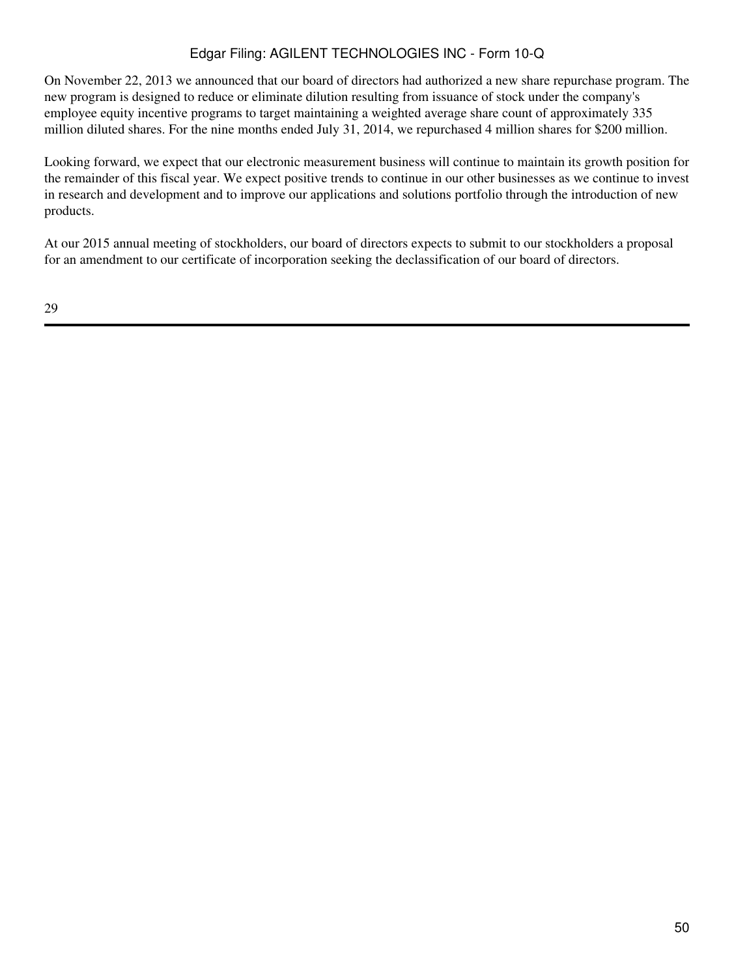On November 22, 2013 we announced that our board of directors had authorized a new share repurchase program. The new program is designed to reduce or eliminate dilution resulting from issuance of stock under the company's employee equity incentive programs to target maintaining a weighted average share count of approximately 335 million diluted shares. For the nine months ended July 31, 2014, we repurchased 4 million shares for \$200 million.

Looking forward, we expect that our electronic measurement business will continue to maintain its growth position for the remainder of this fiscal year. We expect positive trends to continue in our other businesses as we continue to invest in research and development and to improve our applications and solutions portfolio through the introduction of new products.

At our 2015 annual meeting of stockholders, our board of directors expects to submit to our stockholders a proposal for an amendment to our certificate of incorporation seeking the declassification of our board of directors.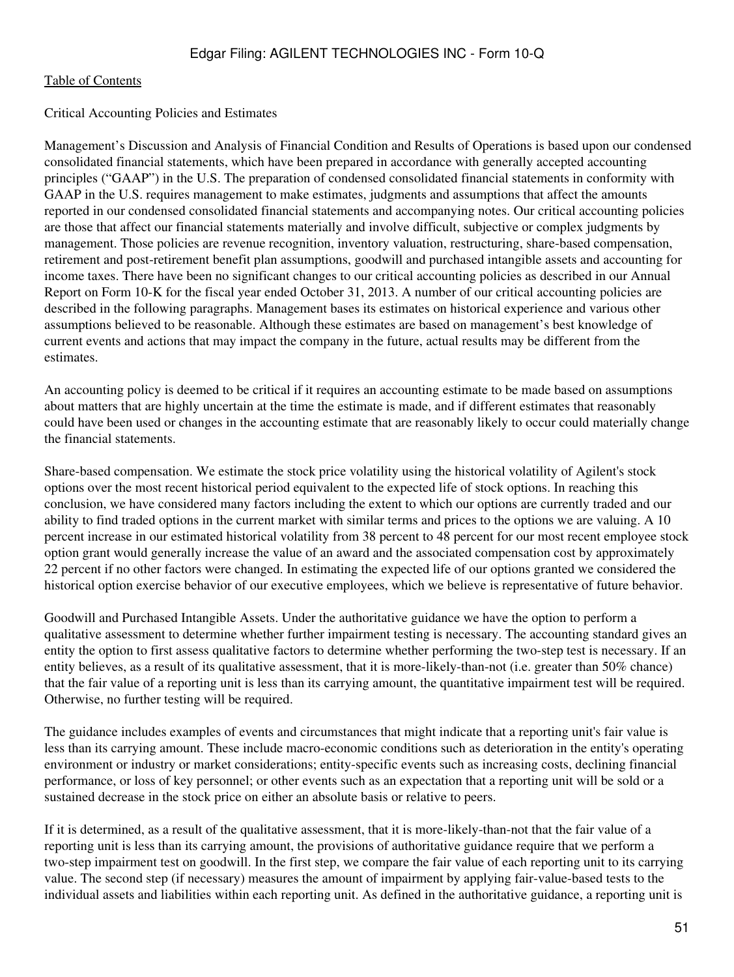### Critical Accounting Policies and Estimates

Management's Discussion and Analysis of Financial Condition and Results of Operations is based upon our condensed consolidated financial statements, which have been prepared in accordance with generally accepted accounting principles ("GAAP") in the U.S. The preparation of condensed consolidated financial statements in conformity with GAAP in the U.S. requires management to make estimates, judgments and assumptions that affect the amounts reported in our condensed consolidated financial statements and accompanying notes. Our critical accounting policies are those that affect our financial statements materially and involve difficult, subjective or complex judgments by management. Those policies are revenue recognition, inventory valuation, restructuring, share-based compensation, retirement and post-retirement benefit plan assumptions, goodwill and purchased intangible assets and accounting for income taxes. There have been no significant changes to our critical accounting policies as described in our Annual Report on Form 10-K for the fiscal year ended October 31, 2013. A number of our critical accounting policies are described in the following paragraphs. Management bases its estimates on historical experience and various other assumptions believed to be reasonable. Although these estimates are based on management's best knowledge of current events and actions that may impact the company in the future, actual results may be different from the estimates.

An accounting policy is deemed to be critical if it requires an accounting estimate to be made based on assumptions about matters that are highly uncertain at the time the estimate is made, and if different estimates that reasonably could have been used or changes in the accounting estimate that are reasonably likely to occur could materially change the financial statements.

Share-based compensation. We estimate the stock price volatility using the historical volatility of Agilent's stock options over the most recent historical period equivalent to the expected life of stock options. In reaching this conclusion, we have considered many factors including the extent to which our options are currently traded and our ability to find traded options in the current market with similar terms and prices to the options we are valuing. A 10 percent increase in our estimated historical volatility from 38 percent to 48 percent for our most recent employee stock option grant would generally increase the value of an award and the associated compensation cost by approximately 22 percent if no other factors were changed. In estimating the expected life of our options granted we considered the historical option exercise behavior of our executive employees, which we believe is representative of future behavior.

Goodwill and Purchased Intangible Assets. Under the authoritative guidance we have the option to perform a qualitative assessment to determine whether further impairment testing is necessary. The accounting standard gives an entity the option to first assess qualitative factors to determine whether performing the two-step test is necessary. If an entity believes, as a result of its qualitative assessment, that it is more-likely-than-not (i.e. greater than 50% chance) that the fair value of a reporting unit is less than its carrying amount, the quantitative impairment test will be required. Otherwise, no further testing will be required.

The guidance includes examples of events and circumstances that might indicate that a reporting unit's fair value is less than its carrying amount. These include macro-economic conditions such as deterioration in the entity's operating environment or industry or market considerations; entity-specific events such as increasing costs, declining financial performance, or loss of key personnel; or other events such as an expectation that a reporting unit will be sold or a sustained decrease in the stock price on either an absolute basis or relative to peers.

If it is determined, as a result of the qualitative assessment, that it is more-likely-than-not that the fair value of a reporting unit is less than its carrying amount, the provisions of authoritative guidance require that we perform a two-step impairment test on goodwill. In the first step, we compare the fair value of each reporting unit to its carrying value. The second step (if necessary) measures the amount of impairment by applying fair-value-based tests to the individual assets and liabilities within each reporting unit. As defined in the authoritative guidance, a reporting unit is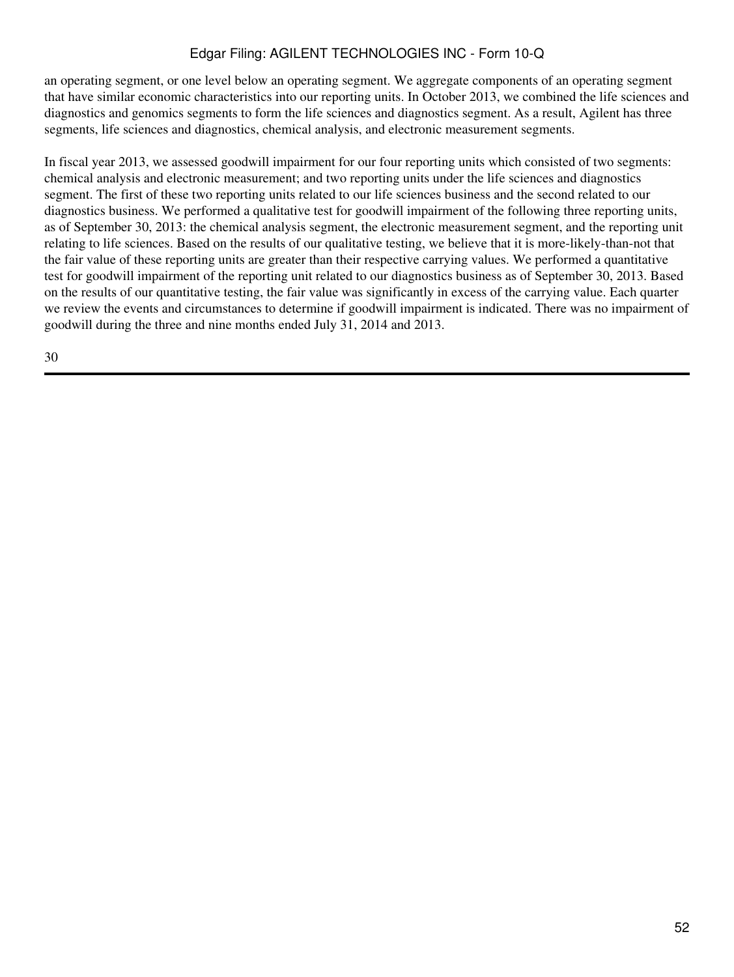an operating segment, or one level below an operating segment. We aggregate components of an operating segment that have similar economic characteristics into our reporting units. In October 2013, we combined the life sciences and diagnostics and genomics segments to form the life sciences and diagnostics segment. As a result, Agilent has three segments, life sciences and diagnostics, chemical analysis, and electronic measurement segments.

In fiscal year 2013, we assessed goodwill impairment for our four reporting units which consisted of two segments: chemical analysis and electronic measurement; and two reporting units under the life sciences and diagnostics segment. The first of these two reporting units related to our life sciences business and the second related to our diagnostics business. We performed a qualitative test for goodwill impairment of the following three reporting units, as of September 30, 2013: the chemical analysis segment, the electronic measurement segment, and the reporting unit relating to life sciences. Based on the results of our qualitative testing, we believe that it is more-likely-than-not that the fair value of these reporting units are greater than their respective carrying values. We performed a quantitative test for goodwill impairment of the reporting unit related to our diagnostics business as of September 30, 2013. Based on the results of our quantitative testing, the fair value was significantly in excess of the carrying value. Each quarter we review the events and circumstances to determine if goodwill impairment is indicated. There was no impairment of goodwill during the three and nine months ended July 31, 2014 and 2013.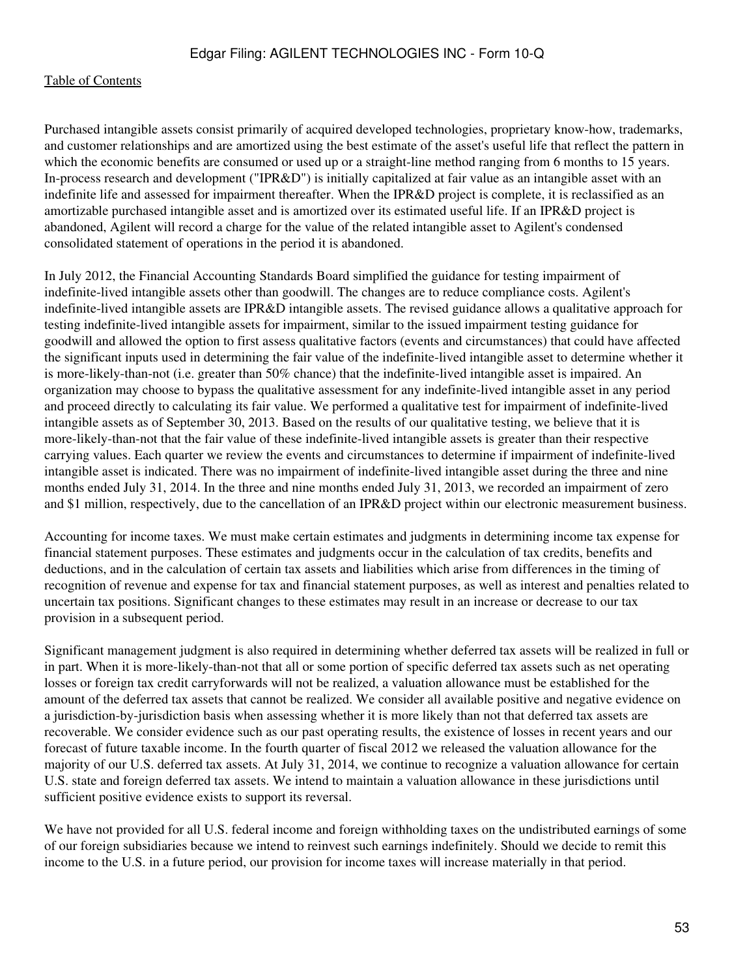Purchased intangible assets consist primarily of acquired developed technologies, proprietary know-how, trademarks, and customer relationships and are amortized using the best estimate of the asset's useful life that reflect the pattern in which the economic benefits are consumed or used up or a straight-line method ranging from 6 months to 15 years. In-process research and development ("IPR&D") is initially capitalized at fair value as an intangible asset with an indefinite life and assessed for impairment thereafter. When the IPR&D project is complete, it is reclassified as an amortizable purchased intangible asset and is amortized over its estimated useful life. If an IPR&D project is abandoned, Agilent will record a charge for the value of the related intangible asset to Agilent's condensed consolidated statement of operations in the period it is abandoned.

In July 2012, the Financial Accounting Standards Board simplified the guidance for testing impairment of indefinite-lived intangible assets other than goodwill. The changes are to reduce compliance costs. Agilent's indefinite-lived intangible assets are IPR&D intangible assets. The revised guidance allows a qualitative approach for testing indefinite-lived intangible assets for impairment, similar to the issued impairment testing guidance for goodwill and allowed the option to first assess qualitative factors (events and circumstances) that could have affected the significant inputs used in determining the fair value of the indefinite-lived intangible asset to determine whether it is more-likely-than-not (i.e. greater than 50% chance) that the indefinite-lived intangible asset is impaired. An organization may choose to bypass the qualitative assessment for any indefinite-lived intangible asset in any period and proceed directly to calculating its fair value. We performed a qualitative test for impairment of indefinite-lived intangible assets as of September 30, 2013. Based on the results of our qualitative testing, we believe that it is more-likely-than-not that the fair value of these indefinite-lived intangible assets is greater than their respective carrying values. Each quarter we review the events and circumstances to determine if impairment of indefinite-lived intangible asset is indicated. There was no impairment of indefinite-lived intangible asset during the three and nine months ended July 31, 2014. In the three and nine months ended July 31, 2013, we recorded an impairment of zero and \$1 million, respectively, due to the cancellation of an IPR&D project within our electronic measurement business.

Accounting for income taxes. We must make certain estimates and judgments in determining income tax expense for financial statement purposes. These estimates and judgments occur in the calculation of tax credits, benefits and deductions, and in the calculation of certain tax assets and liabilities which arise from differences in the timing of recognition of revenue and expense for tax and financial statement purposes, as well as interest and penalties related to uncertain tax positions. Significant changes to these estimates may result in an increase or decrease to our tax provision in a subsequent period.

Significant management judgment is also required in determining whether deferred tax assets will be realized in full or in part. When it is more-likely-than-not that all or some portion of specific deferred tax assets such as net operating losses or foreign tax credit carryforwards will not be realized, a valuation allowance must be established for the amount of the deferred tax assets that cannot be realized. We consider all available positive and negative evidence on a jurisdiction-by-jurisdiction basis when assessing whether it is more likely than not that deferred tax assets are recoverable. We consider evidence such as our past operating results, the existence of losses in recent years and our forecast of future taxable income. In the fourth quarter of fiscal 2012 we released the valuation allowance for the majority of our U.S. deferred tax assets. At July 31, 2014, we continue to recognize a valuation allowance for certain U.S. state and foreign deferred tax assets. We intend to maintain a valuation allowance in these jurisdictions until sufficient positive evidence exists to support its reversal.

We have not provided for all U.S. federal income and foreign withholding taxes on the undistributed earnings of some of our foreign subsidiaries because we intend to reinvest such earnings indefinitely. Should we decide to remit this income to the U.S. in a future period, our provision for income taxes will increase materially in that period.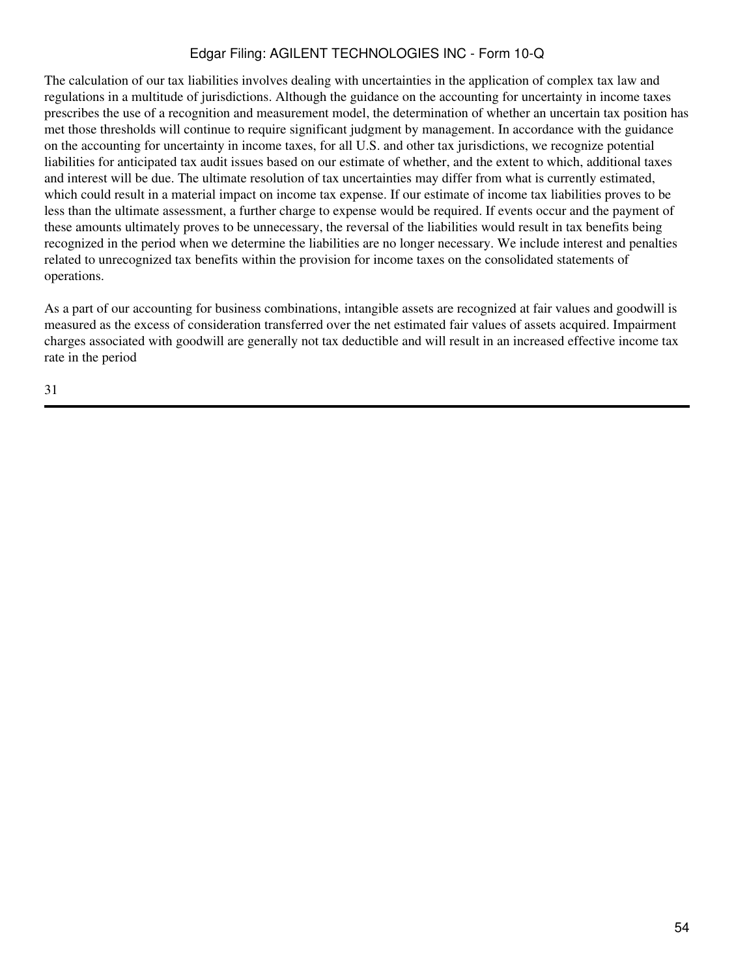The calculation of our tax liabilities involves dealing with uncertainties in the application of complex tax law and regulations in a multitude of jurisdictions. Although the guidance on the accounting for uncertainty in income taxes prescribes the use of a recognition and measurement model, the determination of whether an uncertain tax position has met those thresholds will continue to require significant judgment by management. In accordance with the guidance on the accounting for uncertainty in income taxes, for all U.S. and other tax jurisdictions, we recognize potential liabilities for anticipated tax audit issues based on our estimate of whether, and the extent to which, additional taxes and interest will be due. The ultimate resolution of tax uncertainties may differ from what is currently estimated, which could result in a material impact on income tax expense. If our estimate of income tax liabilities proves to be less than the ultimate assessment, a further charge to expense would be required. If events occur and the payment of these amounts ultimately proves to be unnecessary, the reversal of the liabilities would result in tax benefits being recognized in the period when we determine the liabilities are no longer necessary. We include interest and penalties related to unrecognized tax benefits within the provision for income taxes on the consolidated statements of operations.

As a part of our accounting for business combinations, intangible assets are recognized at fair values and goodwill is measured as the excess of consideration transferred over the net estimated fair values of assets acquired. Impairment charges associated with goodwill are generally not tax deductible and will result in an increased effective income tax rate in the period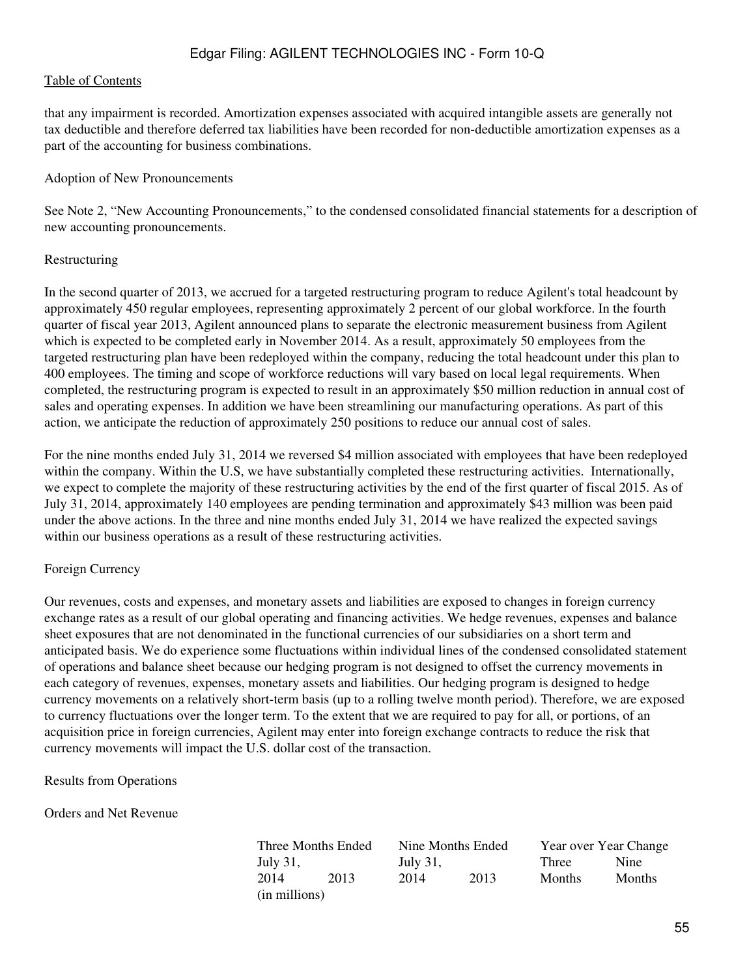that any impairment is recorded. Amortization expenses associated with acquired intangible assets are generally not tax deductible and therefore deferred tax liabilities have been recorded for non-deductible amortization expenses as a part of the accounting for business combinations.

#### Adoption of New Pronouncements

See Note 2, "New Accounting Pronouncements," to the condensed consolidated financial statements for a description of new accounting pronouncements.

### Restructuring

In the second quarter of 2013, we accrued for a targeted restructuring program to reduce Agilent's total headcount by approximately 450 regular employees, representing approximately 2 percent of our global workforce. In the fourth quarter of fiscal year 2013, Agilent announced plans to separate the electronic measurement business from Agilent which is expected to be completed early in November 2014. As a result, approximately 50 employees from the targeted restructuring plan have been redeployed within the company, reducing the total headcount under this plan to 400 employees. The timing and scope of workforce reductions will vary based on local legal requirements. When completed, the restructuring program is expected to result in an approximately \$50 million reduction in annual cost of sales and operating expenses. In addition we have been streamlining our manufacturing operations. As part of this action, we anticipate the reduction of approximately 250 positions to reduce our annual cost of sales.

For the nine months ended July 31, 2014 we reversed \$4 million associated with employees that have been redeployed within the company. Within the U.S, we have substantially completed these restructuring activities. Internationally, we expect to complete the majority of these restructuring activities by the end of the first quarter of fiscal 2015. As of July 31, 2014, approximately 140 employees are pending termination and approximately \$43 million was been paid under the above actions. In the three and nine months ended July 31, 2014 we have realized the expected savings within our business operations as a result of these restructuring activities.

## Foreign Currency

Our revenues, costs and expenses, and monetary assets and liabilities are exposed to changes in foreign currency exchange rates as a result of our global operating and financing activities. We hedge revenues, expenses and balance sheet exposures that are not denominated in the functional currencies of our subsidiaries on a short term and anticipated basis. We do experience some fluctuations within individual lines of the condensed consolidated statement of operations and balance sheet because our hedging program is not designed to offset the currency movements in each category of revenues, expenses, monetary assets and liabilities. Our hedging program is designed to hedge currency movements on a relatively short-term basis (up to a rolling twelve month period). Therefore, we are exposed to currency fluctuations over the longer term. To the extent that we are required to pay for all, or portions, of an acquisition price in foreign currencies, Agilent may enter into foreign exchange contracts to reduce the risk that currency movements will impact the U.S. dollar cost of the transaction.

Results from Operations

Orders and Net Revenue

| Three Months Ended |      | Nine Months Ended |      | Year over Year Change |               |  |  |  |
|--------------------|------|-------------------|------|-----------------------|---------------|--|--|--|
| July 31,           |      | July 31,          |      | Three                 | Nine          |  |  |  |
| 2014               | 2013 | 2014              | 2013 | <b>Months</b>         | <b>Months</b> |  |  |  |
| (in millions)      |      |                   |      |                       |               |  |  |  |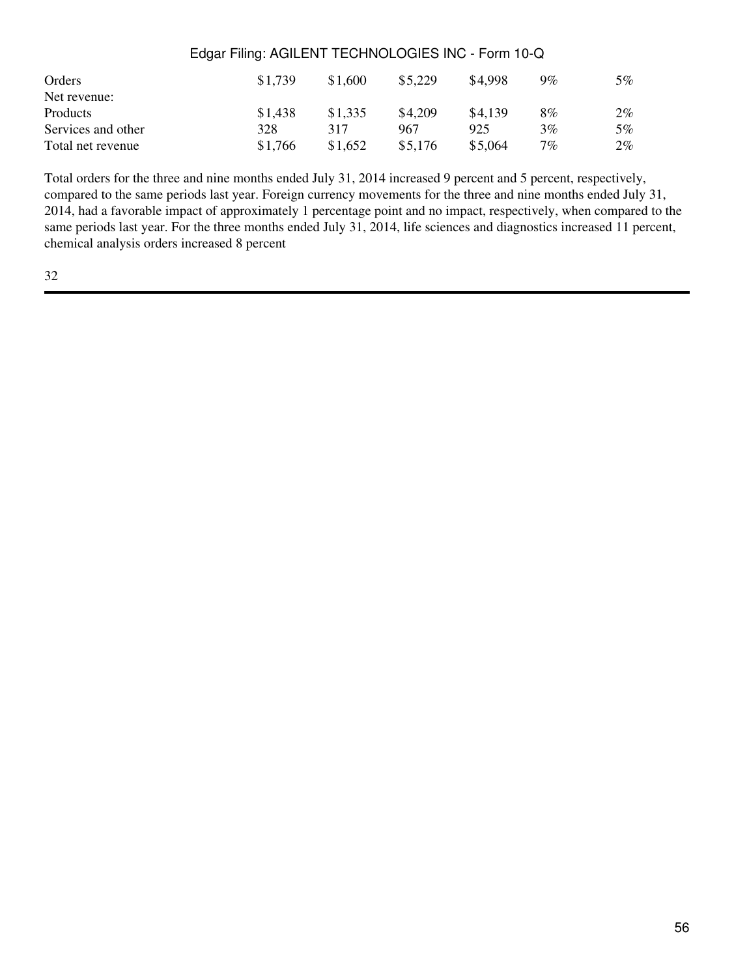| Orders             | \$1.739 | \$1,600 | \$5,229 | \$4,998 | $9\%$ | 5%    |
|--------------------|---------|---------|---------|---------|-------|-------|
| Net revenue:       |         |         |         |         |       |       |
| <b>Products</b>    | \$1,438 | \$1,335 | \$4.209 | \$4,139 | $8\%$ | 2%    |
| Services and other | 328     | 317     | 967     | 925     | $3\%$ | 5%    |
| Total net revenue  | \$1,766 | \$1,652 | \$5,176 | \$5,064 | $7\%$ | $2\%$ |

Total orders for the three and nine months ended July 31, 2014 increased 9 percent and 5 percent, respectively, compared to the same periods last year. Foreign currency movements for the three and nine months ended July 31, 2014, had a favorable impact of approximately 1 percentage point and no impact, respectively, when compared to the same periods last year. For the three months ended July 31, 2014, life sciences and diagnostics increased 11 percent, chemical analysis orders increased 8 percent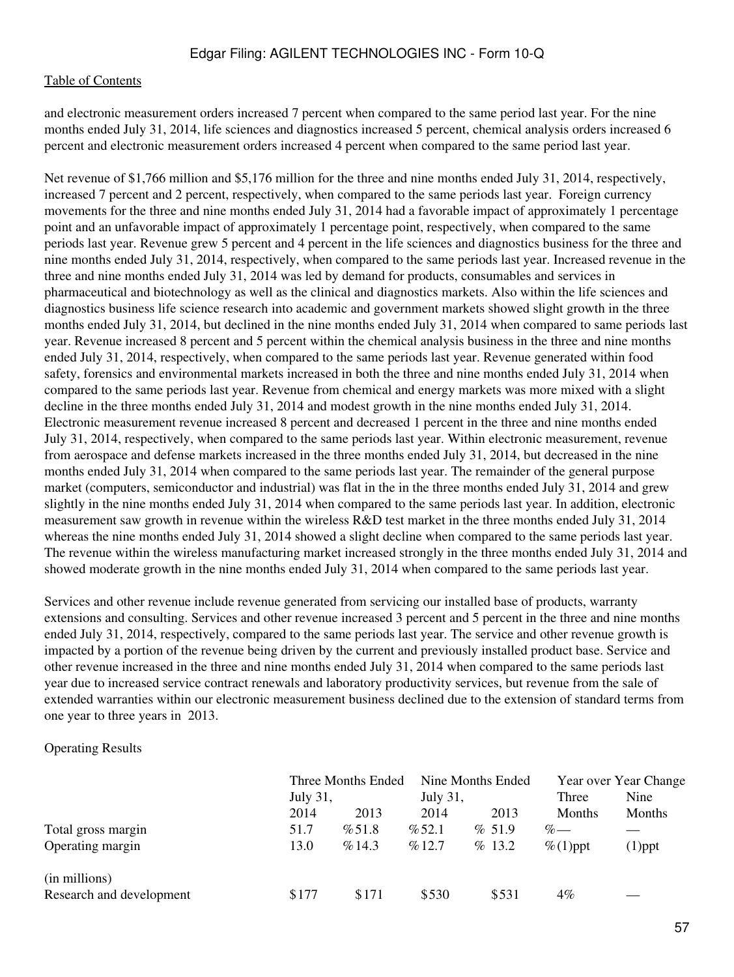and electronic measurement orders increased 7 percent when compared to the same period last year. For the nine months ended July 31, 2014, life sciences and diagnostics increased 5 percent, chemical analysis orders increased 6 percent and electronic measurement orders increased 4 percent when compared to the same period last year.

Net revenue of \$1,766 million and \$5,176 million for the three and nine months ended July 31, 2014, respectively, increased 7 percent and 2 percent, respectively, when compared to the same periods last year. Foreign currency movements for the three and nine months ended July 31, 2014 had a favorable impact of approximately 1 percentage point and an unfavorable impact of approximately 1 percentage point, respectively, when compared to the same periods last year. Revenue grew 5 percent and 4 percent in the life sciences and diagnostics business for the three and nine months ended July 31, 2014, respectively, when compared to the same periods last year. Increased revenue in the three and nine months ended July 31, 2014 was led by demand for products, consumables and services in pharmaceutical and biotechnology as well as the clinical and diagnostics markets. Also within the life sciences and diagnostics business life science research into academic and government markets showed slight growth in the three months ended July 31, 2014, but declined in the nine months ended July 31, 2014 when compared to same periods last year. Revenue increased 8 percent and 5 percent within the chemical analysis business in the three and nine months ended July 31, 2014, respectively, when compared to the same periods last year. Revenue generated within food safety, forensics and environmental markets increased in both the three and nine months ended July 31, 2014 when compared to the same periods last year. Revenue from chemical and energy markets was more mixed with a slight decline in the three months ended July 31, 2014 and modest growth in the nine months ended July 31, 2014. Electronic measurement revenue increased 8 percent and decreased 1 percent in the three and nine months ended July 31, 2014, respectively, when compared to the same periods last year. Within electronic measurement, revenue from aerospace and defense markets increased in the three months ended July 31, 2014, but decreased in the nine months ended July 31, 2014 when compared to the same periods last year. The remainder of the general purpose market (computers, semiconductor and industrial) was flat in the in the three months ended July 31, 2014 and grew slightly in the nine months ended July 31, 2014 when compared to the same periods last year. In addition, electronic measurement saw growth in revenue within the wireless R&D test market in the three months ended July 31, 2014 whereas the nine months ended July 31, 2014 showed a slight decline when compared to the same periods last year. The revenue within the wireless manufacturing market increased strongly in the three months ended July 31, 2014 and showed moderate growth in the nine months ended July 31, 2014 when compared to the same periods last year.

Services and other revenue include revenue generated from servicing our installed base of products, warranty extensions and consulting. Services and other revenue increased 3 percent and 5 percent in the three and nine months ended July 31, 2014, respectively, compared to the same periods last year. The service and other revenue growth is impacted by a portion of the revenue being driven by the current and previously installed product base. Service and other revenue increased in the three and nine months ended July 31, 2014 when compared to the same periods last year due to increased service contract renewals and laboratory productivity services, but revenue from the sale of extended warranties within our electronic measurement business declined due to the extension of standard terms from one year to three years in 2013.

Operating Results

|                          | Three Months Ended<br>July 31, |       | July 31, | Nine Months Ended | Three         | Year over Year Change<br>Nine |  |
|--------------------------|--------------------------------|-------|----------|-------------------|---------------|-------------------------------|--|
|                          | 2014                           | 2013  | 2014     | 2013              | <b>Months</b> | Months                        |  |
| Total gross margin       | 51.7                           | %51.8 | % 52.1   | % 51.9            | $\%$ —        |                               |  |
| Operating margin         | 13.0                           | %14.3 | %12.7    | % 13.2            | $\%$ (1)ppt   | $(1)$ ppt                     |  |
| (in millions)            |                                |       |          |                   |               |                               |  |
| Research and development | \$177                          | \$171 | \$530    | \$531             | $4\%$         |                               |  |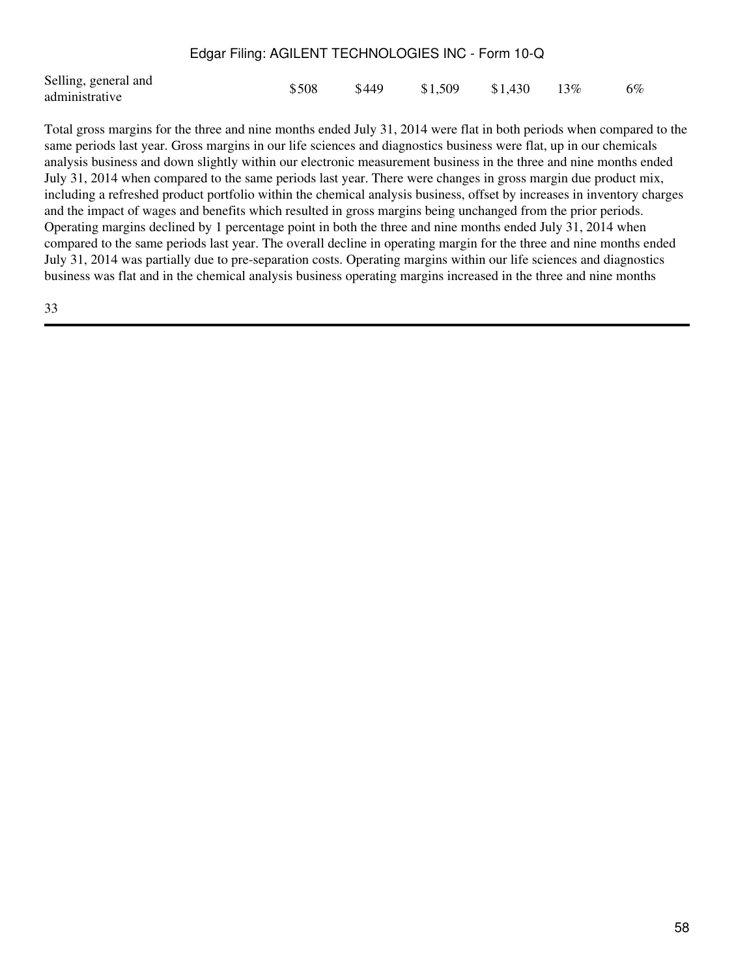| Selling, general and<br>\$508<br>$$1,509$ $$1,430$<br>\$449<br>administrative | 13\% | 6% |
|-------------------------------------------------------------------------------|------|----|
|-------------------------------------------------------------------------------|------|----|

Total gross margins for the three and nine months ended July 31, 2014 were flat in both periods when compared to the same periods last year. Gross margins in our life sciences and diagnostics business were flat, up in our chemicals analysis business and down slightly within our electronic measurement business in the three and nine months ended July 31, 2014 when compared to the same periods last year. There were changes in gross margin due product mix, including a refreshed product portfolio within the chemical analysis business, offset by increases in inventory charges and the impact of wages and benefits which resulted in gross margins being unchanged from the prior periods. Operating margins declined by 1 percentage point in both the three and nine months ended July 31, 2014 when compared to the same periods last year. The overall decline in operating margin for the three and nine months ended July 31, 2014 was partially due to pre-separation costs. Operating margins within our life sciences and diagnostics business was flat and in the chemical analysis business operating margins increased in the three and nine months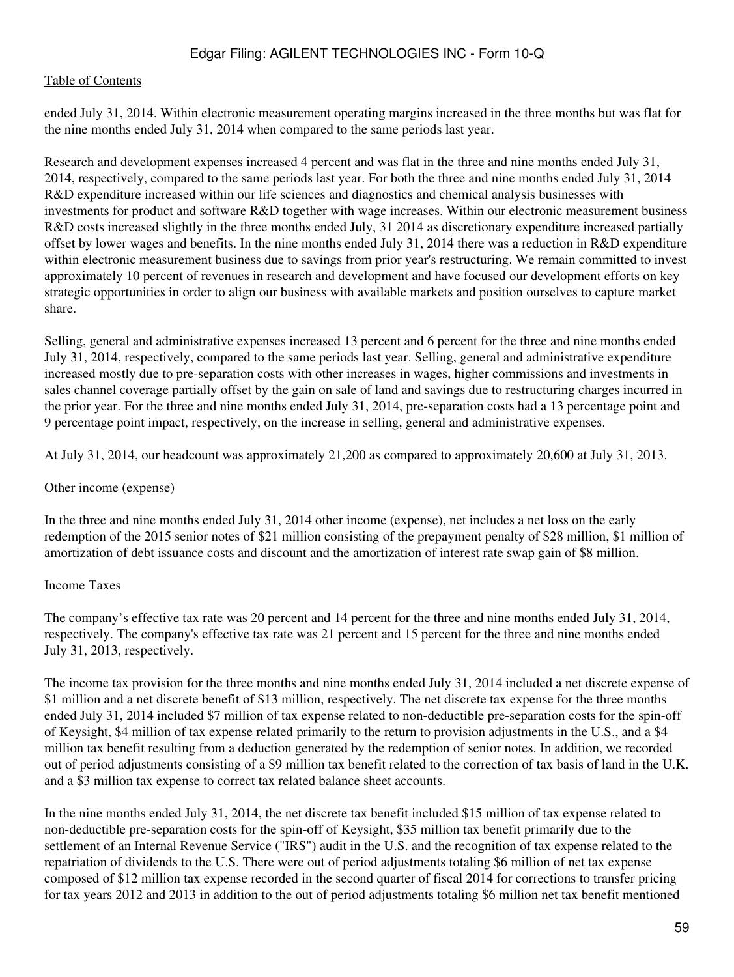ended July 31, 2014. Within electronic measurement operating margins increased in the three months but was flat for the nine months ended July 31, 2014 when compared to the same periods last year.

Research and development expenses increased 4 percent and was flat in the three and nine months ended July 31, 2014, respectively, compared to the same periods last year. For both the three and nine months ended July 31, 2014 R&D expenditure increased within our life sciences and diagnostics and chemical analysis businesses with investments for product and software R&D together with wage increases. Within our electronic measurement business R&D costs increased slightly in the three months ended July, 31 2014 as discretionary expenditure increased partially offset by lower wages and benefits. In the nine months ended July 31, 2014 there was a reduction in R&D expenditure within electronic measurement business due to savings from prior year's restructuring. We remain committed to invest approximately 10 percent of revenues in research and development and have focused our development efforts on key strategic opportunities in order to align our business with available markets and position ourselves to capture market share.

Selling, general and administrative expenses increased 13 percent and 6 percent for the three and nine months ended July 31, 2014, respectively, compared to the same periods last year. Selling, general and administrative expenditure increased mostly due to pre-separation costs with other increases in wages, higher commissions and investments in sales channel coverage partially offset by the gain on sale of land and savings due to restructuring charges incurred in the prior year. For the three and nine months ended July 31, 2014, pre-separation costs had a 13 percentage point and 9 percentage point impact, respectively, on the increase in selling, general and administrative expenses.

At July 31, 2014, our headcount was approximately 21,200 as compared to approximately 20,600 at July 31, 2013.

#### Other income (expense)

In the three and nine months ended July 31, 2014 other income (expense), net includes a net loss on the early redemption of the 2015 senior notes of \$21 million consisting of the prepayment penalty of \$28 million, \$1 million of amortization of debt issuance costs and discount and the amortization of interest rate swap gain of \$8 million.

## Income Taxes

The company's effective tax rate was 20 percent and 14 percent for the three and nine months ended July 31, 2014, respectively. The company's effective tax rate was 21 percent and 15 percent for the three and nine months ended July 31, 2013, respectively.

The income tax provision for the three months and nine months ended July 31, 2014 included a net discrete expense of \$1 million and a net discrete benefit of \$13 million, respectively. The net discrete tax expense for the three months ended July 31, 2014 included \$7 million of tax expense related to non-deductible pre-separation costs for the spin-off of Keysight, \$4 million of tax expense related primarily to the return to provision adjustments in the U.S., and a \$4 million tax benefit resulting from a deduction generated by the redemption of senior notes. In addition, we recorded out of period adjustments consisting of a \$9 million tax benefit related to the correction of tax basis of land in the U.K. and a \$3 million tax expense to correct tax related balance sheet accounts.

In the nine months ended July 31, 2014, the net discrete tax benefit included \$15 million of tax expense related to non-deductible pre-separation costs for the spin-off of Keysight, \$35 million tax benefit primarily due to the settlement of an Internal Revenue Service ("IRS") audit in the U.S. and the recognition of tax expense related to the repatriation of dividends to the U.S. There were out of period adjustments totaling \$6 million of net tax expense composed of \$12 million tax expense recorded in the second quarter of fiscal 2014 for corrections to transfer pricing for tax years 2012 and 2013 in addition to the out of period adjustments totaling \$6 million net tax benefit mentioned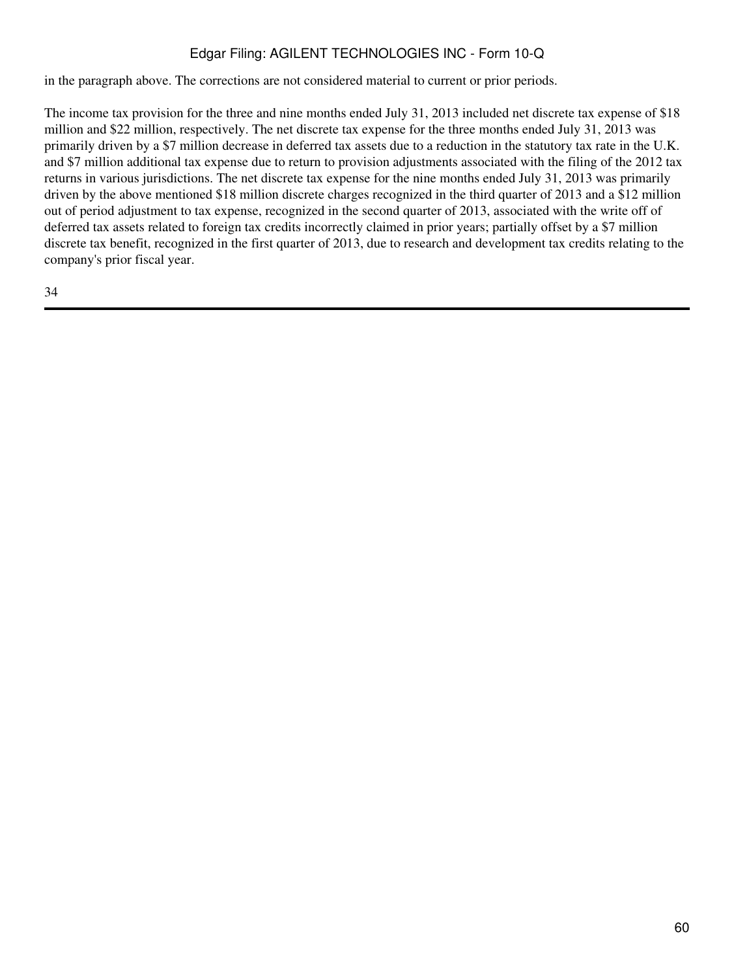in the paragraph above. The corrections are not considered material to current or prior periods.

The income tax provision for the three and nine months ended July 31, 2013 included net discrete tax expense of \$18 million and \$22 million, respectively. The net discrete tax expense for the three months ended July 31, 2013 was primarily driven by a \$7 million decrease in deferred tax assets due to a reduction in the statutory tax rate in the U.K. and \$7 million additional tax expense due to return to provision adjustments associated with the filing of the 2012 tax returns in various jurisdictions. The net discrete tax expense for the nine months ended July 31, 2013 was primarily driven by the above mentioned \$18 million discrete charges recognized in the third quarter of 2013 and a \$12 million out of period adjustment to tax expense, recognized in the second quarter of 2013, associated with the write off of deferred tax assets related to foreign tax credits incorrectly claimed in prior years; partially offset by a \$7 million discrete tax benefit, recognized in the first quarter of 2013, due to research and development tax credits relating to the company's prior fiscal year.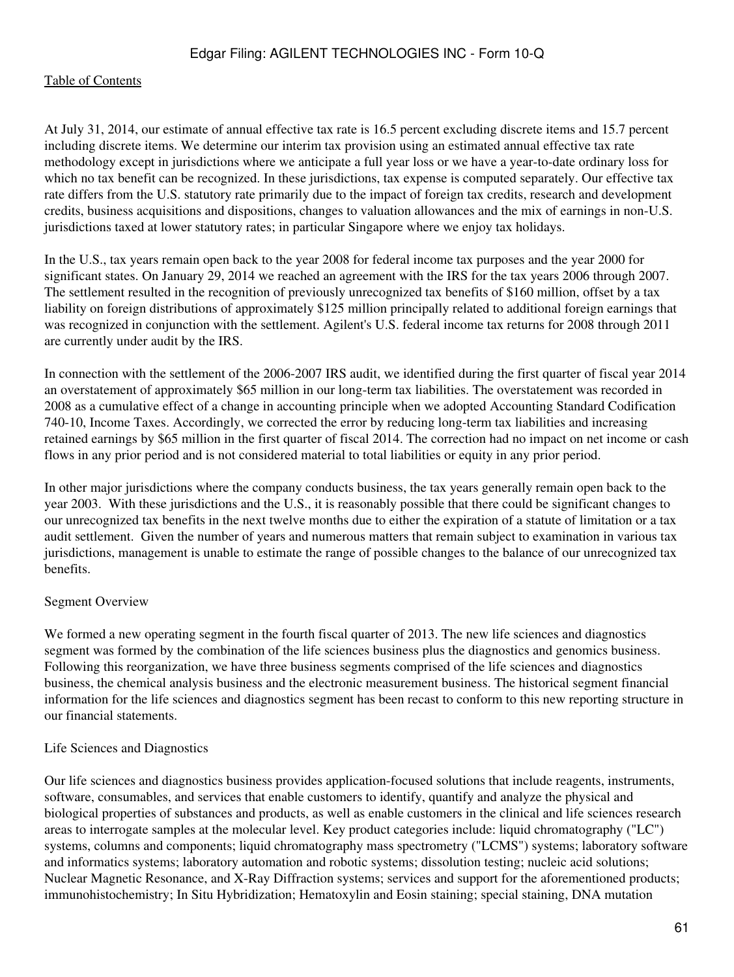At July 31, 2014, our estimate of annual effective tax rate is 16.5 percent excluding discrete items and 15.7 percent including discrete items. We determine our interim tax provision using an estimated annual effective tax rate methodology except in jurisdictions where we anticipate a full year loss or we have a year-to-date ordinary loss for which no tax benefit can be recognized. In these jurisdictions, tax expense is computed separately. Our effective tax rate differs from the U.S. statutory rate primarily due to the impact of foreign tax credits, research and development credits, business acquisitions and dispositions, changes to valuation allowances and the mix of earnings in non-U.S. jurisdictions taxed at lower statutory rates; in particular Singapore where we enjoy tax holidays.

In the U.S., tax years remain open back to the year 2008 for federal income tax purposes and the year 2000 for significant states. On January 29, 2014 we reached an agreement with the IRS for the tax years 2006 through 2007. The settlement resulted in the recognition of previously unrecognized tax benefits of \$160 million, offset by a tax liability on foreign distributions of approximately \$125 million principally related to additional foreign earnings that was recognized in conjunction with the settlement. Agilent's U.S. federal income tax returns for 2008 through 2011 are currently under audit by the IRS.

In connection with the settlement of the 2006-2007 IRS audit, we identified during the first quarter of fiscal year 2014 an overstatement of approximately \$65 million in our long-term tax liabilities. The overstatement was recorded in 2008 as a cumulative effect of a change in accounting principle when we adopted Accounting Standard Codification 740-10, Income Taxes. Accordingly, we corrected the error by reducing long-term tax liabilities and increasing retained earnings by \$65 million in the first quarter of fiscal 2014. The correction had no impact on net income or cash flows in any prior period and is not considered material to total liabilities or equity in any prior period.

In other major jurisdictions where the company conducts business, the tax years generally remain open back to the year 2003. With these jurisdictions and the U.S., it is reasonably possible that there could be significant changes to our unrecognized tax benefits in the next twelve months due to either the expiration of a statute of limitation or a tax audit settlement. Given the number of years and numerous matters that remain subject to examination in various tax jurisdictions, management is unable to estimate the range of possible changes to the balance of our unrecognized tax benefits.

## Segment Overview

We formed a new operating segment in the fourth fiscal quarter of 2013. The new life sciences and diagnostics segment was formed by the combination of the life sciences business plus the diagnostics and genomics business. Following this reorganization, we have three business segments comprised of the life sciences and diagnostics business, the chemical analysis business and the electronic measurement business. The historical segment financial information for the life sciences and diagnostics segment has been recast to conform to this new reporting structure in our financial statements.

## Life Sciences and Diagnostics

Our life sciences and diagnostics business provides application-focused solutions that include reagents, instruments, software, consumables, and services that enable customers to identify, quantify and analyze the physical and biological properties of substances and products, as well as enable customers in the clinical and life sciences research areas to interrogate samples at the molecular level. Key product categories include: liquid chromatography ("LC") systems, columns and components; liquid chromatography mass spectrometry ("LCMS") systems; laboratory software and informatics systems; laboratory automation and robotic systems; dissolution testing; nucleic acid solutions; Nuclear Magnetic Resonance, and X-Ray Diffraction systems; services and support for the aforementioned products; immunohistochemistry; In Situ Hybridization; Hematoxylin and Eosin staining; special staining, DNA mutation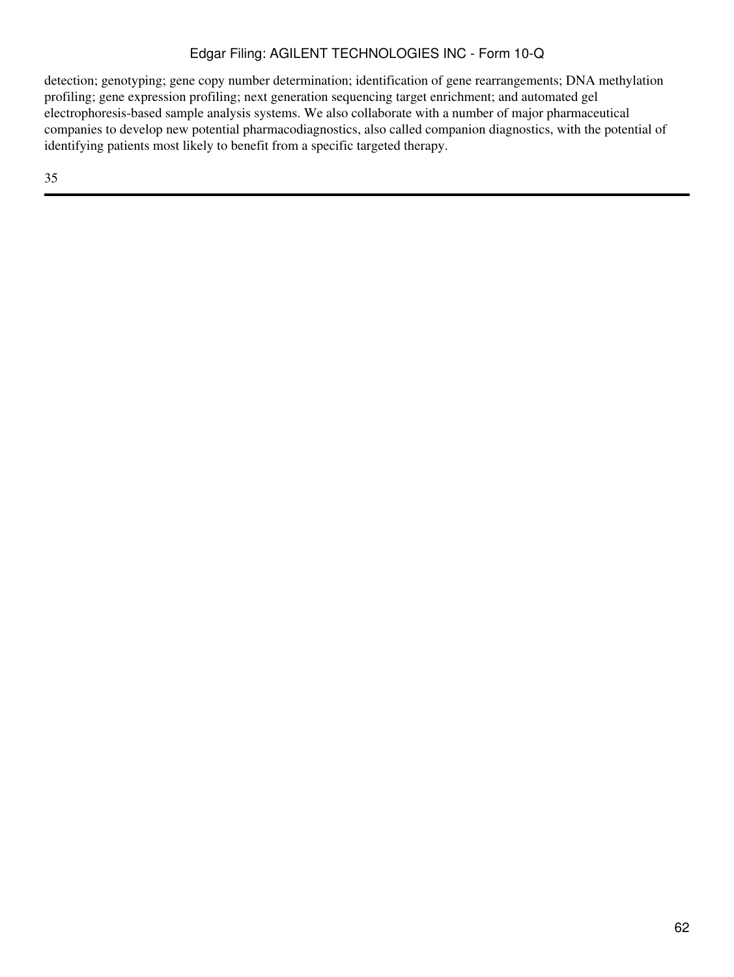detection; genotyping; gene copy number determination; identification of gene rearrangements; DNA methylation profiling; gene expression profiling; next generation sequencing target enrichment; and automated gel electrophoresis-based sample analysis systems. We also collaborate with a number of major pharmaceutical companies to develop new potential pharmacodiagnostics, also called companion diagnostics, with the potential of identifying patients most likely to benefit from a specific targeted therapy.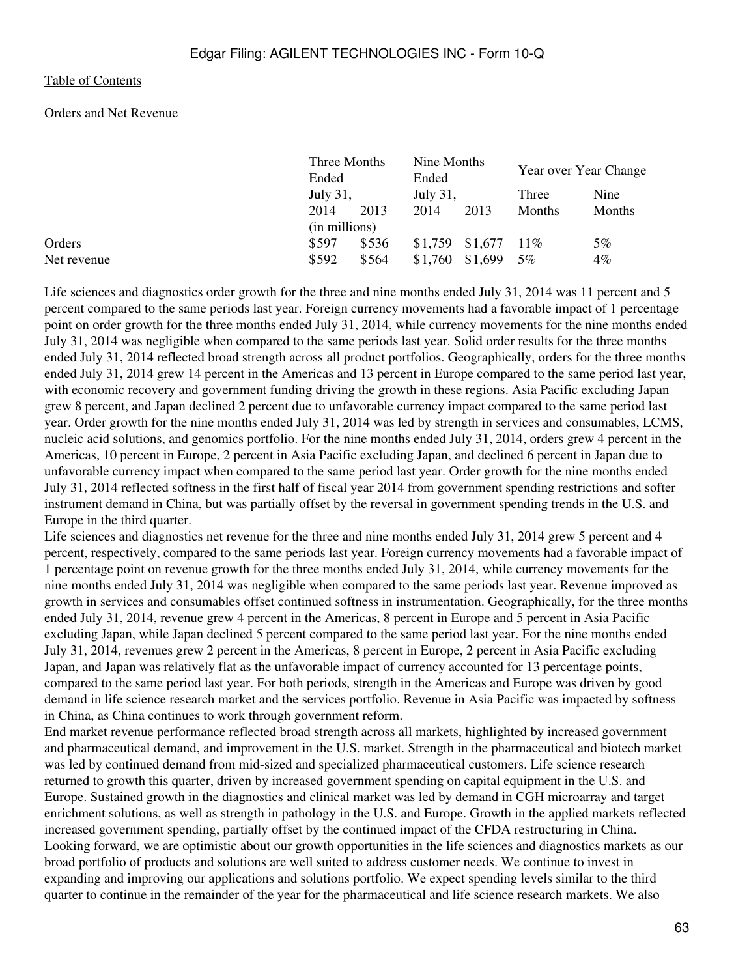#### Orders and Net Revenue

|             | Three Months<br>Ended<br>July 31, |       | Nine Months<br>Ended |         | Year over Year Change |        |  |
|-------------|-----------------------------------|-------|----------------------|---------|-----------------------|--------|--|
|             |                                   |       | July 31,             |         | Three                 | Nine   |  |
|             | 2014<br>2013                      |       | 2014                 | 2013    | <b>Months</b>         | Months |  |
|             | (in millions)                     |       |                      |         |                       |        |  |
| Orders      | \$597                             | \$536 | \$1,759              | \$1,677 | $11\%$                | 5%     |  |
| Net revenue | \$592                             | \$564 | \$1,760              | \$1,699 | 5%                    | $4\%$  |  |

Life sciences and diagnostics order growth for the three and nine months ended July 31, 2014 was 11 percent and 5 percent compared to the same periods last year. Foreign currency movements had a favorable impact of 1 percentage point on order growth for the three months ended July 31, 2014, while currency movements for the nine months ended July 31, 2014 was negligible when compared to the same periods last year. Solid order results for the three months ended July 31, 2014 reflected broad strength across all product portfolios. Geographically, orders for the three months ended July 31, 2014 grew 14 percent in the Americas and 13 percent in Europe compared to the same period last year, with economic recovery and government funding driving the growth in these regions. Asia Pacific excluding Japan grew 8 percent, and Japan declined 2 percent due to unfavorable currency impact compared to the same period last year. Order growth for the nine months ended July 31, 2014 was led by strength in services and consumables, LCMS, nucleic acid solutions, and genomics portfolio. For the nine months ended July 31, 2014, orders grew 4 percent in the Americas, 10 percent in Europe, 2 percent in Asia Pacific excluding Japan, and declined 6 percent in Japan due to unfavorable currency impact when compared to the same period last year. Order growth for the nine months ended July 31, 2014 reflected softness in the first half of fiscal year 2014 from government spending restrictions and softer instrument demand in China, but was partially offset by the reversal in government spending trends in the U.S. and Europe in the third quarter.

Life sciences and diagnostics net revenue for the three and nine months ended July 31, 2014 grew 5 percent and 4 percent, respectively, compared to the same periods last year. Foreign currency movements had a favorable impact of 1 percentage point on revenue growth for the three months ended July 31, 2014, while currency movements for the nine months ended July 31, 2014 was negligible when compared to the same periods last year. Revenue improved as growth in services and consumables offset continued softness in instrumentation. Geographically, for the three months ended July 31, 2014, revenue grew 4 percent in the Americas, 8 percent in Europe and 5 percent in Asia Pacific excluding Japan, while Japan declined 5 percent compared to the same period last year. For the nine months ended July 31, 2014, revenues grew 2 percent in the Americas, 8 percent in Europe, 2 percent in Asia Pacific excluding Japan, and Japan was relatively flat as the unfavorable impact of currency accounted for 13 percentage points, compared to the same period last year. For both periods, strength in the Americas and Europe was driven by good demand in life science research market and the services portfolio. Revenue in Asia Pacific was impacted by softness in China, as China continues to work through government reform.

End market revenue performance reflected broad strength across all markets, highlighted by increased government and pharmaceutical demand, and improvement in the U.S. market. Strength in the pharmaceutical and biotech market was led by continued demand from mid-sized and specialized pharmaceutical customers. Life science research returned to growth this quarter, driven by increased government spending on capital equipment in the U.S. and Europe. Sustained growth in the diagnostics and clinical market was led by demand in CGH microarray and target enrichment solutions, as well as strength in pathology in the U.S. and Europe. Growth in the applied markets reflected increased government spending, partially offset by the continued impact of the CFDA restructuring in China. Looking forward, we are optimistic about our growth opportunities in the life sciences and diagnostics markets as our broad portfolio of products and solutions are well suited to address customer needs. We continue to invest in expanding and improving our applications and solutions portfolio. We expect spending levels similar to the third quarter to continue in the remainder of the year for the pharmaceutical and life science research markets. We also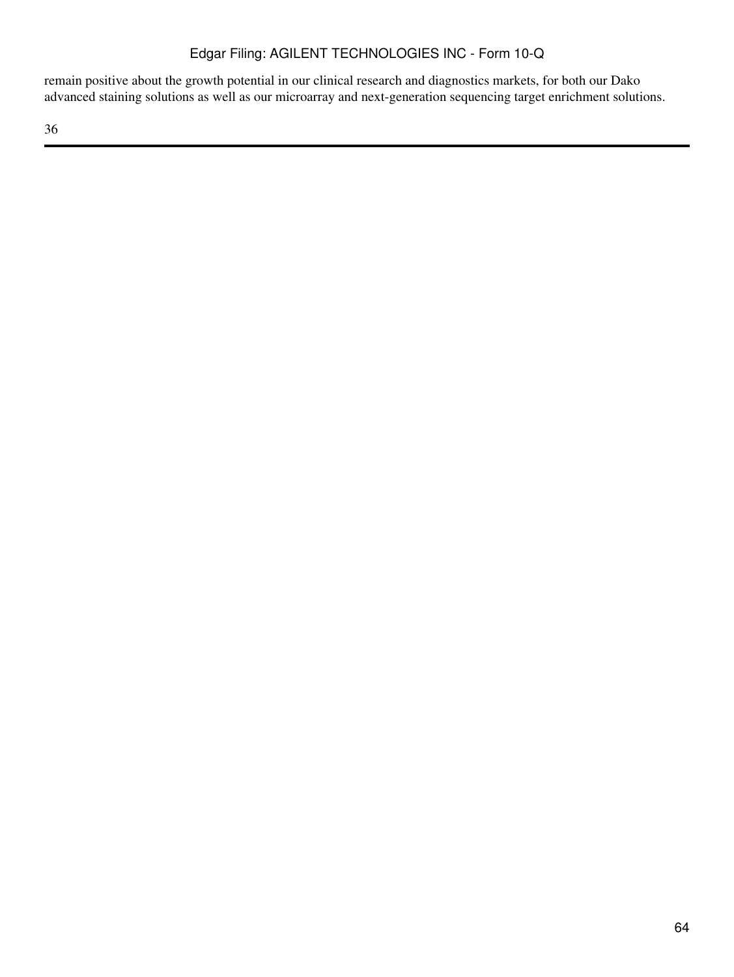remain positive about the growth potential in our clinical research and diagnostics markets, for both our Dako advanced staining solutions as well as our microarray and next-generation sequencing target enrichment solutions.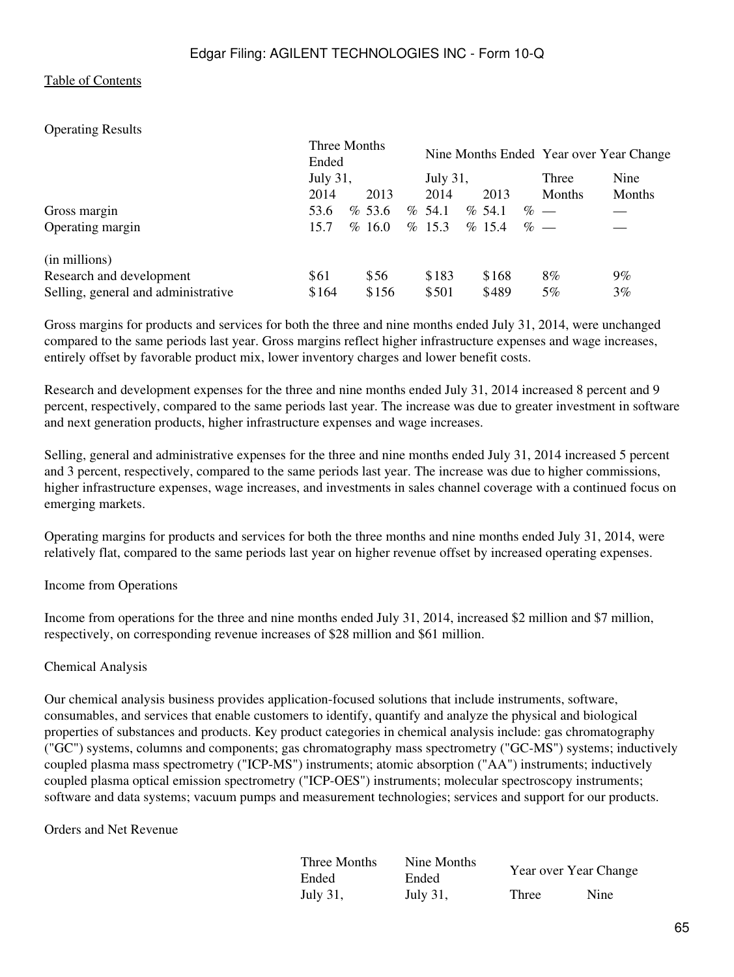### Operating Results

|                                     | Three Months<br>Ended<br>July 31, |                |       | <b>July 31,</b> |           |       |  | Nine Months Ended Year over Year Change |        |
|-------------------------------------|-----------------------------------|----------------|-------|-----------------|-----------|-------|--|-----------------------------------------|--------|
|                                     |                                   |                |       |                 |           |       |  | Three                                   | Nine   |
|                                     | 2014                              | 2013           |       | 2014            |           | 2013  |  | Months                                  | Months |
| Gross margin                        | 53.6                              | % 53.6<br>$\%$ | 54.1  |                 | $\%$ 54.1 |       |  | $% -$                                   |        |
| Operating margin                    | 15.7                              | %16.0          | %15.3 |                 | $\%$ 15.4 |       |  | $\%$ —                                  |        |
| (in millions)                       |                                   |                |       |                 |           |       |  |                                         |        |
| Research and development            | \$61                              | \$56           |       | \$183           |           | \$168 |  | 8%                                      | $9\%$  |
| Selling, general and administrative | \$164                             | \$156          |       | \$501           |           | \$489 |  | 5%                                      | $3\%$  |

Gross margins for products and services for both the three and nine months ended July 31, 2014, were unchanged compared to the same periods last year. Gross margins reflect higher infrastructure expenses and wage increases, entirely offset by favorable product mix, lower inventory charges and lower benefit costs.

Research and development expenses for the three and nine months ended July 31, 2014 increased 8 percent and 9 percent, respectively, compared to the same periods last year. The increase was due to greater investment in software and next generation products, higher infrastructure expenses and wage increases.

Selling, general and administrative expenses for the three and nine months ended July 31, 2014 increased 5 percent and 3 percent, respectively, compared to the same periods last year. The increase was due to higher commissions, higher infrastructure expenses, wage increases, and investments in sales channel coverage with a continued focus on emerging markets.

Operating margins for products and services for both the three months and nine months ended July 31, 2014, were relatively flat, compared to the same periods last year on higher revenue offset by increased operating expenses.

#### Income from Operations

Income from operations for the three and nine months ended July 31, 2014, increased \$2 million and \$7 million, respectively, on corresponding revenue increases of \$28 million and \$61 million.

#### Chemical Analysis

Our chemical analysis business provides application-focused solutions that include instruments, software, consumables, and services that enable customers to identify, quantify and analyze the physical and biological properties of substances and products. Key product categories in chemical analysis include: gas chromatography ("GC") systems, columns and components; gas chromatography mass spectrometry ("GC-MS") systems; inductively coupled plasma mass spectrometry ("ICP-MS") instruments; atomic absorption ("AA") instruments; inductively coupled plasma optical emission spectrometry ("ICP-OES") instruments; molecular spectroscopy instruments; software and data systems; vacuum pumps and measurement technologies; services and support for our products.

#### Orders and Net Revenue

| Three Months | Nine Months | Year over Year Change |      |  |  |  |  |
|--------------|-------------|-----------------------|------|--|--|--|--|
| Ended        | Ended       |                       |      |  |  |  |  |
| July 31,     | July 31,    | Three                 | Nine |  |  |  |  |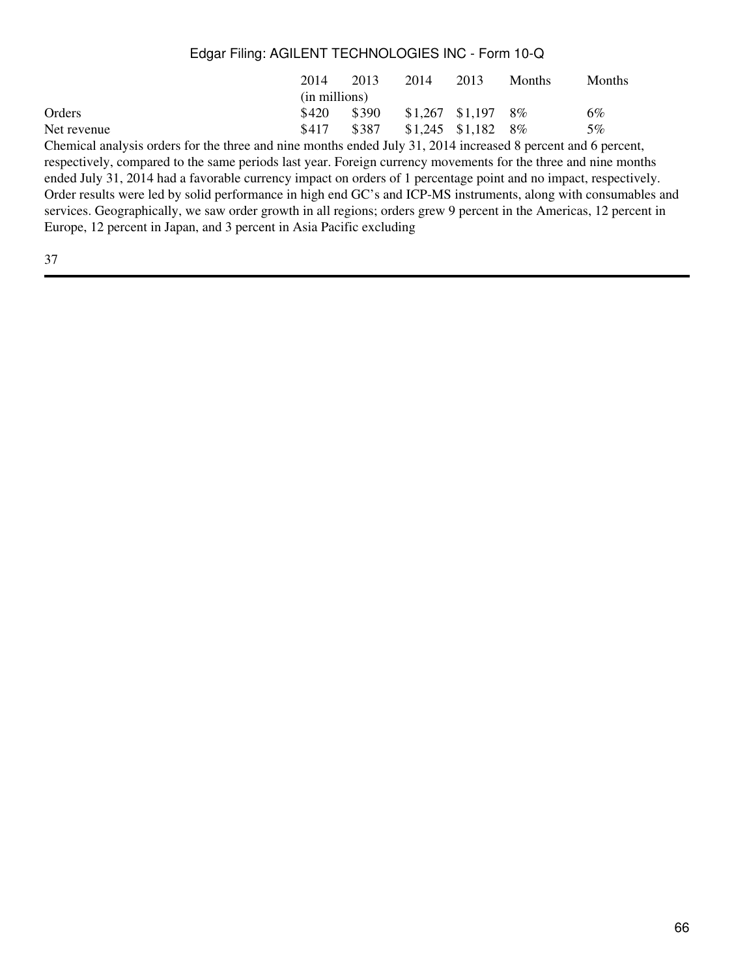|             | 2014          | 2013  | 2014                    | 2013                    | <b>Months</b> | <b>Months</b> |  |  |  |  |
|-------------|---------------|-------|-------------------------|-------------------------|---------------|---------------|--|--|--|--|
|             | (in millions) |       |                         |                         |               |               |  |  |  |  |
| Orders      | \$420         | \$390 |                         | $$1,267$ $$1,197$ $8\%$ |               | 6%            |  |  |  |  |
| Net revenue | \$417         | \$387 | $$1,245$ $$1,182$ $8\%$ |                         |               | 5%            |  |  |  |  |
| ____        |               |       |                         |                         |               |               |  |  |  |  |

Chemical analysis orders for the three and nine months ended July 31, 2014 increased 8 percent and 6 percent, respectively, compared to the same periods last year. Foreign currency movements for the three and nine months ended July 31, 2014 had a favorable currency impact on orders of 1 percentage point and no impact, respectively. Order results were led by solid performance in high end GC's and ICP-MS instruments, along with consumables and services. Geographically, we saw order growth in all regions; orders grew 9 percent in the Americas, 12 percent in Europe, 12 percent in Japan, and 3 percent in Asia Pacific excluding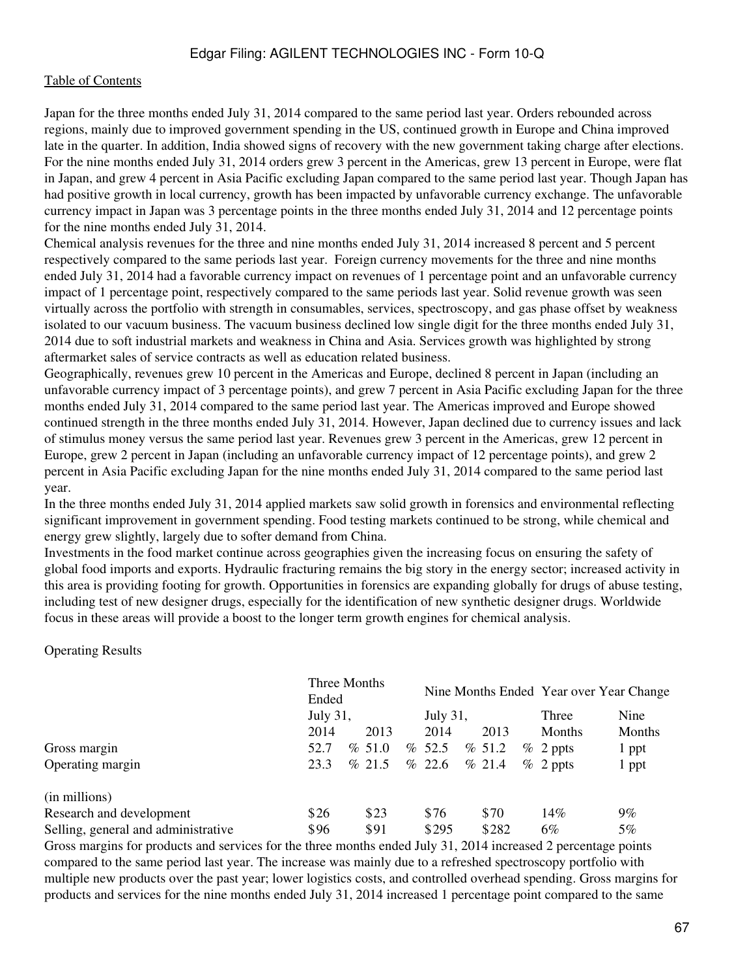#### [Table of Contents](#page-2-0)

Japan for the three months ended July 31, 2014 compared to the same period last year. Orders rebounded across regions, mainly due to improved government spending in the US, continued growth in Europe and China improved late in the quarter. In addition, India showed signs of recovery with the new government taking charge after elections. For the nine months ended July 31, 2014 orders grew 3 percent in the Americas, grew 13 percent in Europe, were flat in Japan, and grew 4 percent in Asia Pacific excluding Japan compared to the same period last year. Though Japan has had positive growth in local currency, growth has been impacted by unfavorable currency exchange. The unfavorable currency impact in Japan was 3 percentage points in the three months ended July 31, 2014 and 12 percentage points for the nine months ended July 31, 2014.

Chemical analysis revenues for the three and nine months ended July 31, 2014 increased 8 percent and 5 percent respectively compared to the same periods last year. Foreign currency movements for the three and nine months ended July 31, 2014 had a favorable currency impact on revenues of 1 percentage point and an unfavorable currency impact of 1 percentage point, respectively compared to the same periods last year. Solid revenue growth was seen virtually across the portfolio with strength in consumables, services, spectroscopy, and gas phase offset by weakness isolated to our vacuum business. The vacuum business declined low single digit for the three months ended July 31, 2014 due to soft industrial markets and weakness in China and Asia. Services growth was highlighted by strong aftermarket sales of service contracts as well as education related business.

Geographically, revenues grew 10 percent in the Americas and Europe, declined 8 percent in Japan (including an unfavorable currency impact of 3 percentage points), and grew 7 percent in Asia Pacific excluding Japan for the three months ended July 31, 2014 compared to the same period last year. The Americas improved and Europe showed continued strength in the three months ended July 31, 2014. However, Japan declined due to currency issues and lack of stimulus money versus the same period last year. Revenues grew 3 percent in the Americas, grew 12 percent in Europe, grew 2 percent in Japan (including an unfavorable currency impact of 12 percentage points), and grew 2 percent in Asia Pacific excluding Japan for the nine months ended July 31, 2014 compared to the same period last year.

In the three months ended July 31, 2014 applied markets saw solid growth in forensics and environmental reflecting significant improvement in government spending. Food testing markets continued to be strong, while chemical and energy grew slightly, largely due to softer demand from China.

Investments in the food market continue across geographies given the increasing focus on ensuring the safety of global food imports and exports. Hydraulic fracturing remains the big story in the energy sector; increased activity in this area is providing footing for growth. Opportunities in forensics are expanding globally for drugs of abuse testing, including test of new designer drugs, especially for the identification of new synthetic designer drugs. Worldwide focus in these areas will provide a boost to the longer term growth engines for chemical analysis.

#### Operating Results

|                                     | Three Months<br>Ended |  |        |  | Nine Months Ended Year over Year Change |  |        |  |               |        |
|-------------------------------------|-----------------------|--|--------|--|-----------------------------------------|--|--------|--|---------------|--------|
|                                     | July 31,              |  |        |  | July 31,                                |  |        |  | Three         | Nine   |
|                                     | 2014                  |  | 2013   |  | 2014                                    |  | 2013   |  | <b>Months</b> | Months |
| Gross margin                        | 52.7                  |  | % 51.0 |  | % 52.5                                  |  | % 51.2 |  | $\%$ 2 ppts   | 1 ppt  |
| Operating margin                    | 23.3                  |  | % 21.5 |  | % 22.6                                  |  | % 21.4 |  | $\%$ 2 ppts   | 1 ppt  |
| (in millions)                       |                       |  |        |  |                                         |  |        |  |               |        |
| Research and development            | \$26                  |  | \$23   |  | \$76                                    |  | \$70   |  | 14%           | $9\%$  |
| Selling, general and administrative | \$96                  |  | \$91   |  | \$295                                   |  | \$282  |  | 6%            | 5%     |

Gross margins for products and services for the three months ended July 31, 2014 increased 2 percentage points compared to the same period last year. The increase was mainly due to a refreshed spectroscopy portfolio with multiple new products over the past year; lower logistics costs, and controlled overhead spending. Gross margins for products and services for the nine months ended July 31, 2014 increased 1 percentage point compared to the same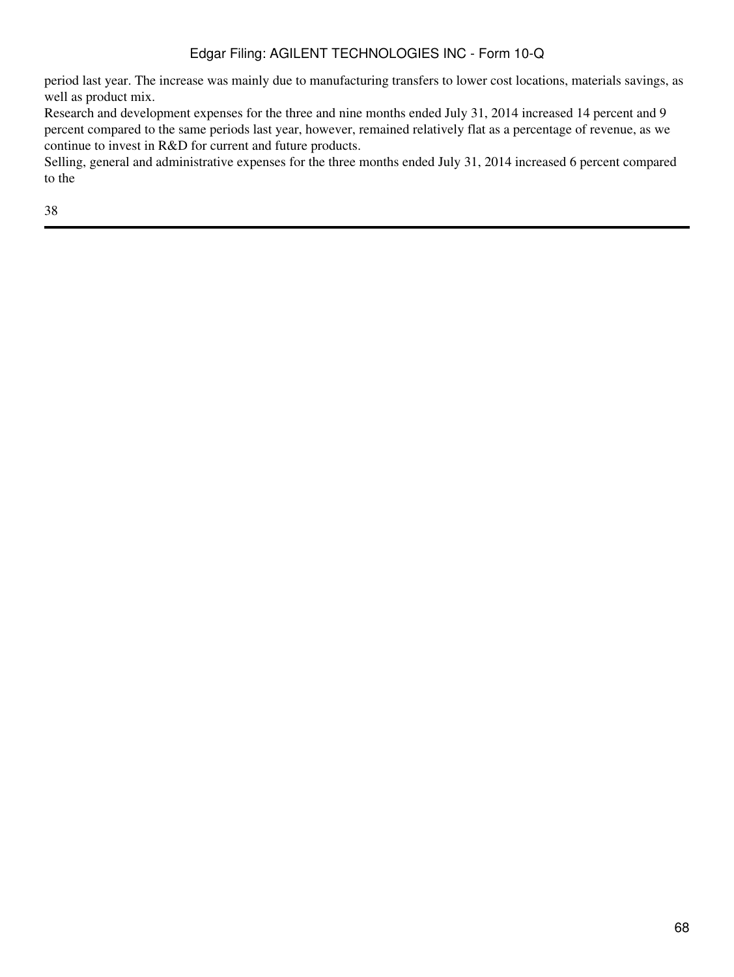period last year. The increase was mainly due to manufacturing transfers to lower cost locations, materials savings, as well as product mix.

Research and development expenses for the three and nine months ended July 31, 2014 increased 14 percent and 9 percent compared to the same periods last year, however, remained relatively flat as a percentage of revenue, as we continue to invest in R&D for current and future products.

Selling, general and administrative expenses for the three months ended July 31, 2014 increased 6 percent compared to the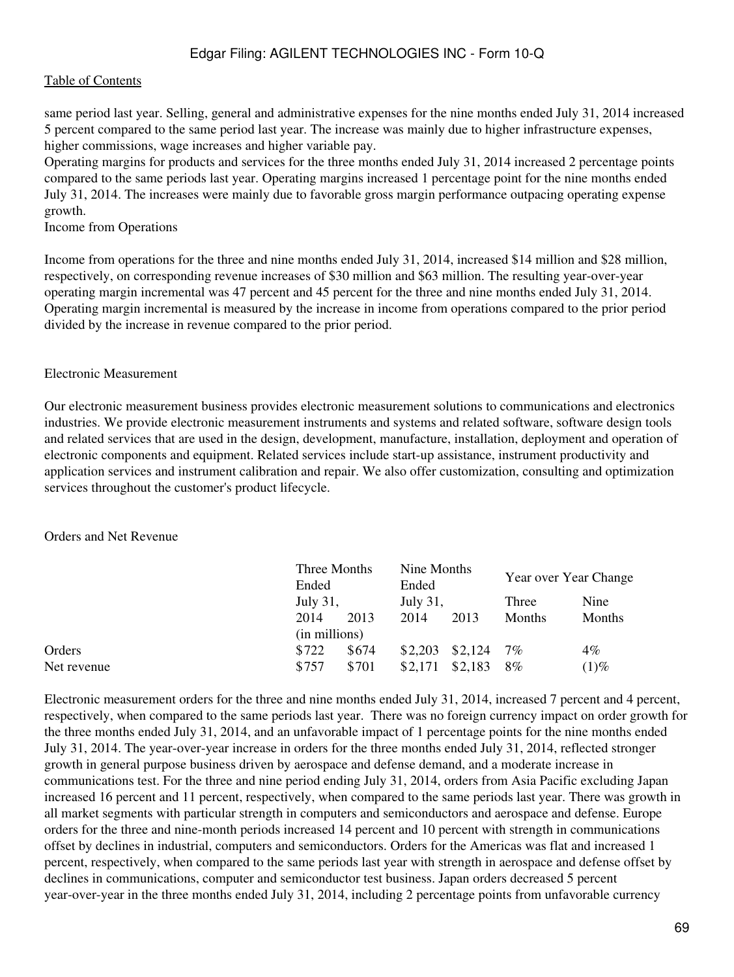#### [Table of Contents](#page-2-0)

same period last year. Selling, general and administrative expenses for the nine months ended July 31, 2014 increased 5 percent compared to the same period last year. The increase was mainly due to higher infrastructure expenses, higher commissions, wage increases and higher variable pay.

Operating margins for products and services for the three months ended July 31, 2014 increased 2 percentage points compared to the same periods last year. Operating margins increased 1 percentage point for the nine months ended July 31, 2014. The increases were mainly due to favorable gross margin performance outpacing operating expense growth.

Income from Operations

Income from operations for the three and nine months ended July 31, 2014, increased \$14 million and \$28 million, respectively, on corresponding revenue increases of \$30 million and \$63 million. The resulting year-over-year operating margin incremental was 47 percent and 45 percent for the three and nine months ended July 31, 2014. Operating margin incremental is measured by the increase in income from operations compared to the prior period divided by the increase in revenue compared to the prior period.

#### Electronic Measurement

Our electronic measurement business provides electronic measurement solutions to communications and electronics industries. We provide electronic measurement instruments and systems and related software, software design tools and related services that are used in the design, development, manufacture, installation, deployment and operation of electronic components and equipment. Related services include start-up assistance, instrument productivity and application services and instrument calibration and repair. We also offer customization, consulting and optimization services throughout the customer's product lifecycle.

Orders and Net Revenue

|             | Three Months<br>Ended    |       | Nine Months<br>Ended |         | Year over Year Change |         |  |
|-------------|--------------------------|-------|----------------------|---------|-----------------------|---------|--|
|             | July 31,<br>2014<br>2013 |       | July 31,             |         | Three                 | Nine    |  |
|             |                          |       | 2014<br>2013         |         | <b>Months</b>         | Months  |  |
|             | (in millions)            |       |                      |         |                       |         |  |
| Orders      | \$722                    | \$674 | \$2,203              | \$2,124 | 7%                    | $4\%$   |  |
| Net revenue | \$757                    | \$701 | \$2,171              | \$2,183 | 8%                    | $(1)\%$ |  |

Electronic measurement orders for the three and nine months ended July 31, 2014, increased 7 percent and 4 percent, respectively, when compared to the same periods last year. There was no foreign currency impact on order growth for the three months ended July 31, 2014, and an unfavorable impact of 1 percentage points for the nine months ended July 31, 2014. The year-over-year increase in orders for the three months ended July 31, 2014, reflected stronger growth in general purpose business driven by aerospace and defense demand, and a moderate increase in communications test. For the three and nine period ending July 31, 2014, orders from Asia Pacific excluding Japan increased 16 percent and 11 percent, respectively, when compared to the same periods last year. There was growth in all market segments with particular strength in computers and semiconductors and aerospace and defense. Europe orders for the three and nine-month periods increased 14 percent and 10 percent with strength in communications offset by declines in industrial, computers and semiconductors. Orders for the Americas was flat and increased 1 percent, respectively, when compared to the same periods last year with strength in aerospace and defense offset by declines in communications, computer and semiconductor test business. Japan orders decreased 5 percent year-over-year in the three months ended July 31, 2014, including 2 percentage points from unfavorable currency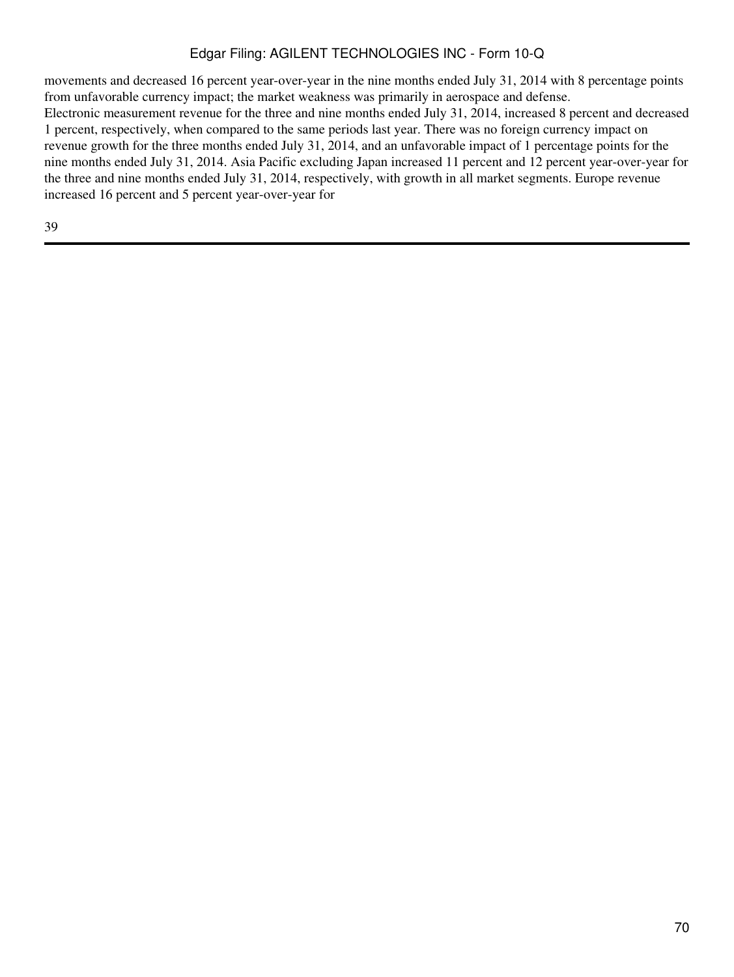movements and decreased 16 percent year-over-year in the nine months ended July 31, 2014 with 8 percentage points from unfavorable currency impact; the market weakness was primarily in aerospace and defense. Electronic measurement revenue for the three and nine months ended July 31, 2014, increased 8 percent and decreased 1 percent, respectively, when compared to the same periods last year. There was no foreign currency impact on revenue growth for the three months ended July 31, 2014, and an unfavorable impact of 1 percentage points for the nine months ended July 31, 2014. Asia Pacific excluding Japan increased 11 percent and 12 percent year-over-year for the three and nine months ended July 31, 2014, respectively, with growth in all market segments. Europe revenue increased 16 percent and 5 percent year-over-year for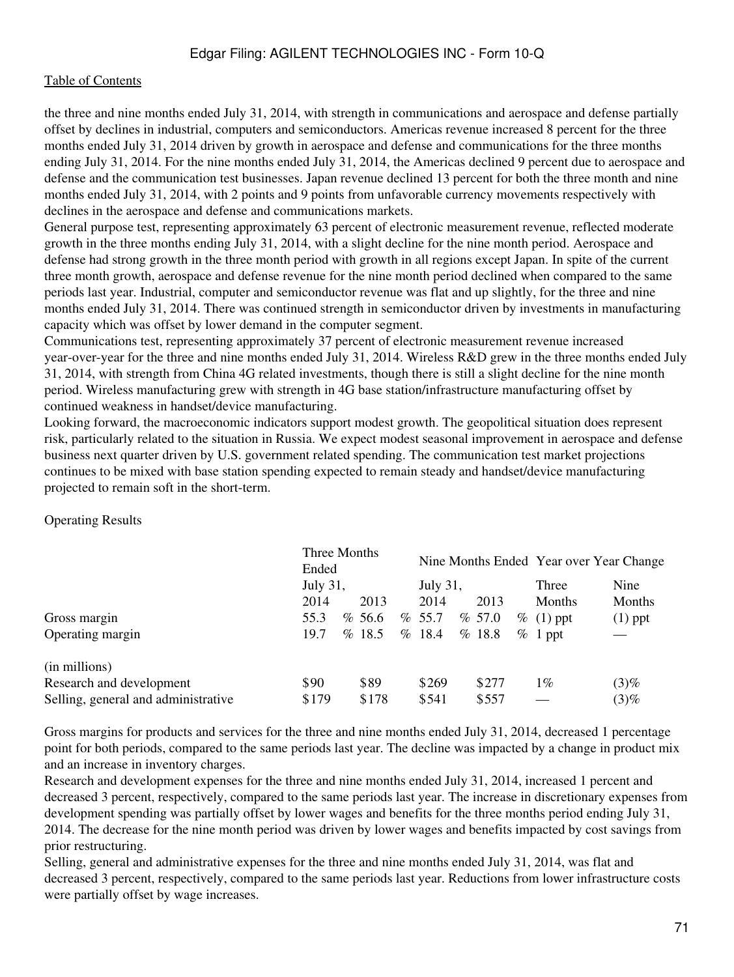the three and nine months ended July 31, 2014, with strength in communications and aerospace and defense partially offset by declines in industrial, computers and semiconductors. Americas revenue increased 8 percent for the three months ended July 31, 2014 driven by growth in aerospace and defense and communications for the three months ending July 31, 2014. For the nine months ended July 31, 2014, the Americas declined 9 percent due to aerospace and defense and the communication test businesses. Japan revenue declined 13 percent for both the three month and nine months ended July 31, 2014, with 2 points and 9 points from unfavorable currency movements respectively with declines in the aerospace and defense and communications markets.

General purpose test, representing approximately 63 percent of electronic measurement revenue, reflected moderate growth in the three months ending July 31, 2014, with a slight decline for the nine month period. Aerospace and defense had strong growth in the three month period with growth in all regions except Japan. In spite of the current three month growth, aerospace and defense revenue for the nine month period declined when compared to the same periods last year. Industrial, computer and semiconductor revenue was flat and up slightly, for the three and nine months ended July 31, 2014. There was continued strength in semiconductor driven by investments in manufacturing capacity which was offset by lower demand in the computer segment.

Communications test, representing approximately 37 percent of electronic measurement revenue increased year-over-year for the three and nine months ended July 31, 2014. Wireless R&D grew in the three months ended July 31, 2014, with strength from China 4G related investments, though there is still a slight decline for the nine month period. Wireless manufacturing grew with strength in 4G base station/infrastructure manufacturing offset by continued weakness in handset/device manufacturing.

Looking forward, the macroeconomic indicators support modest growth. The geopolitical situation does represent risk, particularly related to the situation in Russia. We expect modest seasonal improvement in aerospace and defense business next quarter driven by U.S. government related spending. The communication test market projections continues to be mixed with base station spending expected to remain steady and handset/device manufacturing projected to remain soft in the short-term.

#### Operating Results

|                                     | Three Months<br>Ended |  |        |  |          |        | Nine Months Ended Year over Year Change |           |
|-------------------------------------|-----------------------|--|--------|--|----------|--------|-----------------------------------------|-----------|
|                                     | <b>July 31,</b>       |  |        |  | July 31, |        | Three                                   | Nine      |
|                                     | 2014                  |  | 2013   |  | 2014     | 2013   | <b>Months</b>                           | Months    |
| Gross margin                        | 55.3                  |  | % 56.6 |  | % 55.7   | % 57.0 | $\%$ (1) ppt                            | $(1)$ ppt |
| Operating margin                    | 19.7                  |  | %18.5  |  | % 18.4   | %18.8  | $\%$ 1 ppt                              |           |
| (in millions)                       |                       |  |        |  |          |        |                                         |           |
| Research and development            | \$90                  |  | \$89   |  | \$269    | \$277  | $1\%$                                   | (3)%      |
| Selling, general and administrative | \$179                 |  | \$178  |  | \$541    | \$557  |                                         | (3)%      |

Gross margins for products and services for the three and nine months ended July 31, 2014, decreased 1 percentage point for both periods, compared to the same periods last year. The decline was impacted by a change in product mix and an increase in inventory charges.

Research and development expenses for the three and nine months ended July 31, 2014, increased 1 percent and decreased 3 percent, respectively, compared to the same periods last year. The increase in discretionary expenses from development spending was partially offset by lower wages and benefits for the three months period ending July 31, 2014. The decrease for the nine month period was driven by lower wages and benefits impacted by cost savings from prior restructuring.

Selling, general and administrative expenses for the three and nine months ended July 31, 2014, was flat and decreased 3 percent, respectively, compared to the same periods last year. Reductions from lower infrastructure costs were partially offset by wage increases.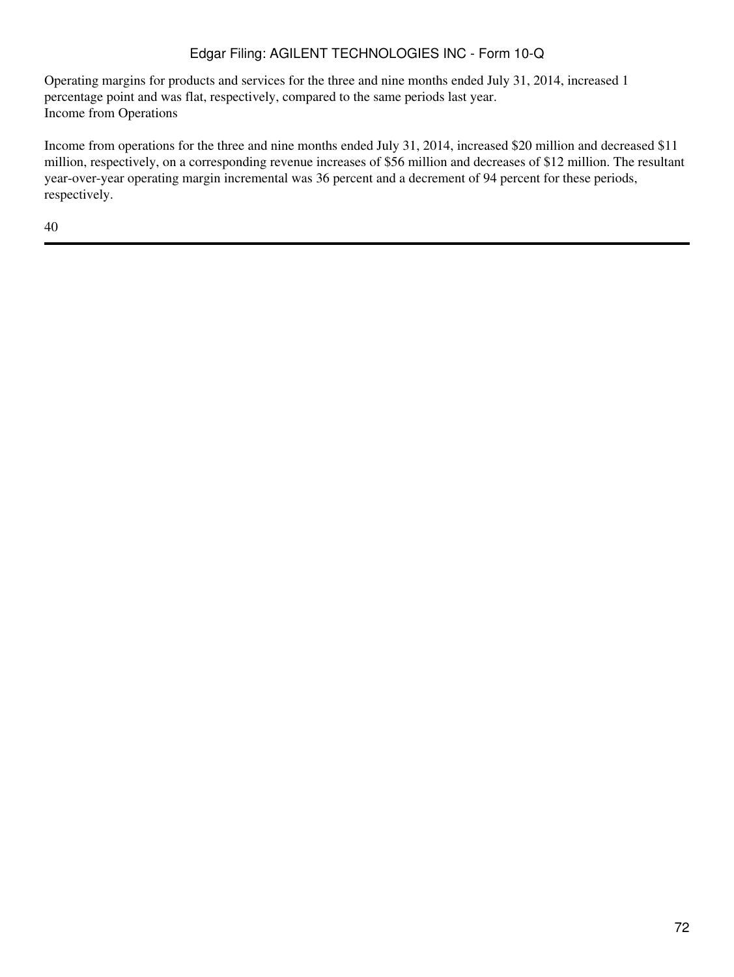Operating margins for products and services for the three and nine months ended July 31, 2014, increased 1 percentage point and was flat, respectively, compared to the same periods last year. Income from Operations

Income from operations for the three and nine months ended July 31, 2014, increased \$20 million and decreased \$11 million, respectively, on a corresponding revenue increases of \$56 million and decreases of \$12 million. The resultant year-over-year operating margin incremental was 36 percent and a decrement of 94 percent for these periods, respectively.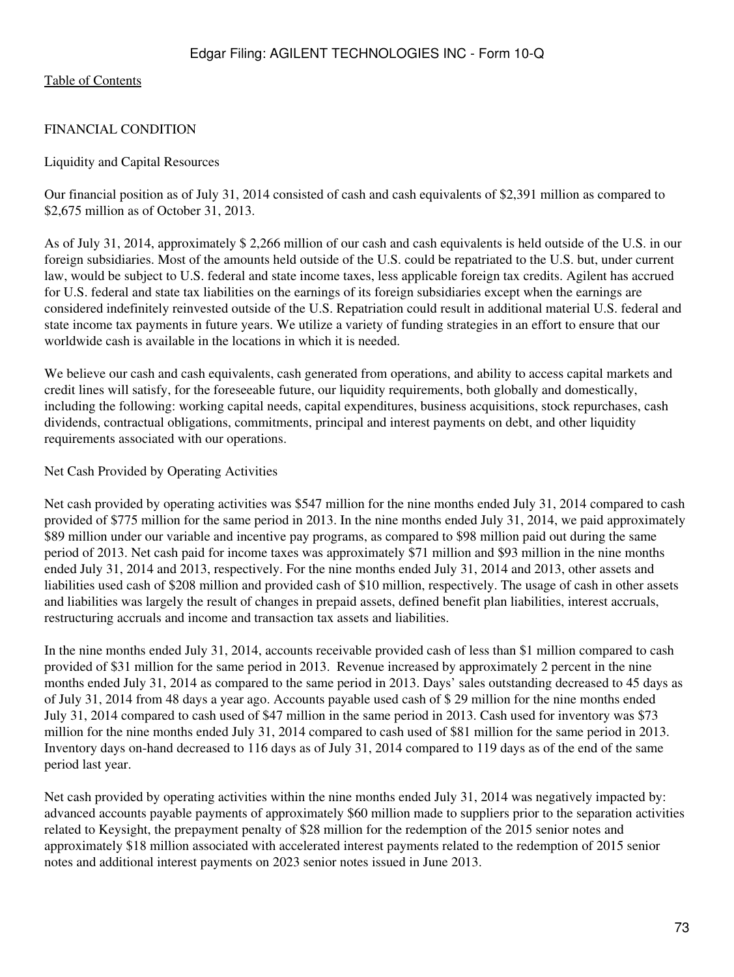## FINANCIAL CONDITION

### Liquidity and Capital Resources

Our financial position as of July 31, 2014 consisted of cash and cash equivalents of \$2,391 million as compared to \$2,675 million as of October 31, 2013.

As of July 31, 2014, approximately \$ 2,266 million of our cash and cash equivalents is held outside of the U.S. in our foreign subsidiaries. Most of the amounts held outside of the U.S. could be repatriated to the U.S. but, under current law, would be subject to U.S. federal and state income taxes, less applicable foreign tax credits. Agilent has accrued for U.S. federal and state tax liabilities on the earnings of its foreign subsidiaries except when the earnings are considered indefinitely reinvested outside of the U.S. Repatriation could result in additional material U.S. federal and state income tax payments in future years. We utilize a variety of funding strategies in an effort to ensure that our worldwide cash is available in the locations in which it is needed.

We believe our cash and cash equivalents, cash generated from operations, and ability to access capital markets and credit lines will satisfy, for the foreseeable future, our liquidity requirements, both globally and domestically, including the following: working capital needs, capital expenditures, business acquisitions, stock repurchases, cash dividends, contractual obligations, commitments, principal and interest payments on debt, and other liquidity requirements associated with our operations.

### Net Cash Provided by Operating Activities

Net cash provided by operating activities was \$547 million for the nine months ended July 31, 2014 compared to cash provided of \$775 million for the same period in 2013. In the nine months ended July 31, 2014, we paid approximately \$89 million under our variable and incentive pay programs, as compared to \$98 million paid out during the same period of 2013. Net cash paid for income taxes was approximately \$71 million and \$93 million in the nine months ended July 31, 2014 and 2013, respectively. For the nine months ended July 31, 2014 and 2013, other assets and liabilities used cash of \$208 million and provided cash of \$10 million, respectively. The usage of cash in other assets and liabilities was largely the result of changes in prepaid assets, defined benefit plan liabilities, interest accruals, restructuring accruals and income and transaction tax assets and liabilities.

In the nine months ended July 31, 2014, accounts receivable provided cash of less than \$1 million compared to cash provided of \$31 million for the same period in 2013. Revenue increased by approximately 2 percent in the nine months ended July 31, 2014 as compared to the same period in 2013. Days' sales outstanding decreased to 45 days as of July 31, 2014 from 48 days a year ago. Accounts payable used cash of \$ 29 million for the nine months ended July 31, 2014 compared to cash used of \$47 million in the same period in 2013. Cash used for inventory was \$73 million for the nine months ended July 31, 2014 compared to cash used of \$81 million for the same period in 2013. Inventory days on-hand decreased to 116 days as of July 31, 2014 compared to 119 days as of the end of the same period last year.

Net cash provided by operating activities within the nine months ended July 31, 2014 was negatively impacted by: advanced accounts payable payments of approximately \$60 million made to suppliers prior to the separation activities related to Keysight, the prepayment penalty of \$28 million for the redemption of the 2015 senior notes and approximately \$18 million associated with accelerated interest payments related to the redemption of 2015 senior notes and additional interest payments on 2023 senior notes issued in June 2013.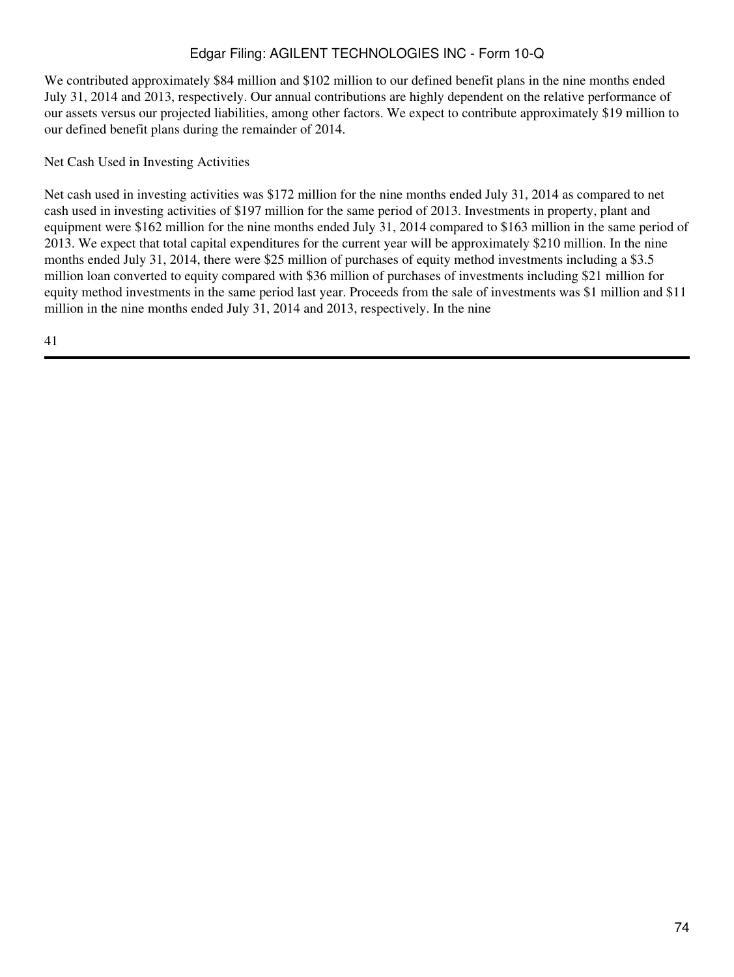We contributed approximately \$84 million and \$102 million to our defined benefit plans in the nine months ended July 31, 2014 and 2013, respectively. Our annual contributions are highly dependent on the relative performance of our assets versus our projected liabilities, among other factors. We expect to contribute approximately \$19 million to our defined benefit plans during the remainder of 2014.

Net Cash Used in Investing Activities

Net cash used in investing activities was \$172 million for the nine months ended July 31, 2014 as compared to net cash used in investing activities of \$197 million for the same period of 2013. Investments in property, plant and equipment were \$162 million for the nine months ended July 31, 2014 compared to \$163 million in the same period of 2013. We expect that total capital expenditures for the current year will be approximately \$210 million. In the nine months ended July 31, 2014, there were \$25 million of purchases of equity method investments including a \$3.5 million loan converted to equity compared with \$36 million of purchases of investments including \$21 million for equity method investments in the same period last year. Proceeds from the sale of investments was \$1 million and \$11 million in the nine months ended July 31, 2014 and 2013, respectively. In the nine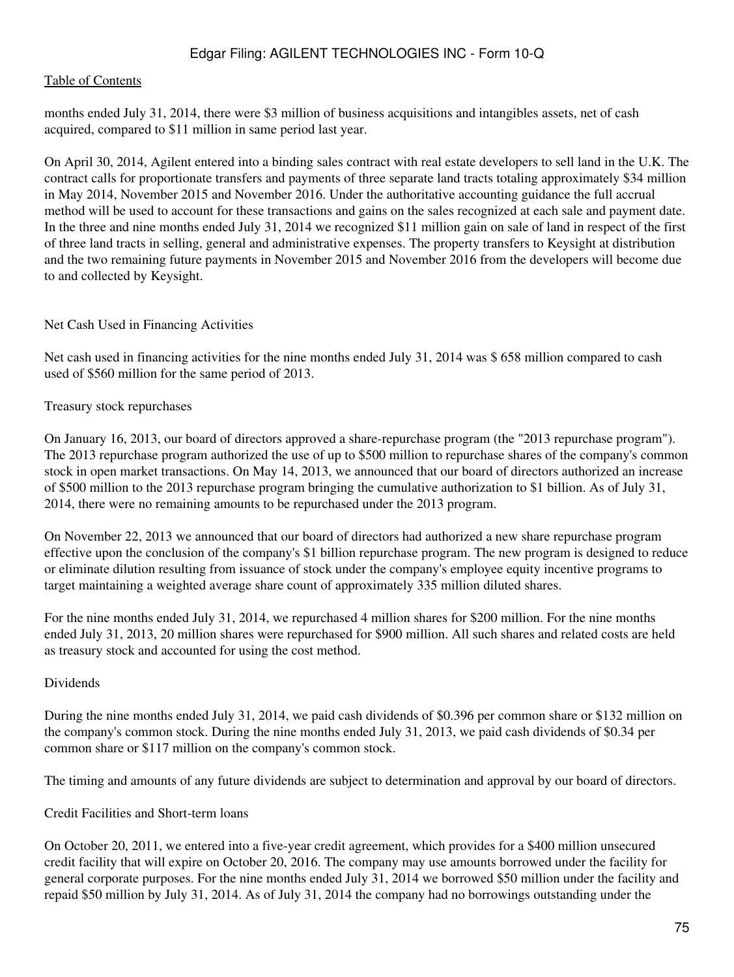#### [Table of Contents](#page-2-0)

months ended July 31, 2014, there were \$3 million of business acquisitions and intangibles assets, net of cash acquired, compared to \$11 million in same period last year.

On April 30, 2014, Agilent entered into a binding sales contract with real estate developers to sell land in the U.K. The contract calls for proportionate transfers and payments of three separate land tracts totaling approximately \$34 million in May 2014, November 2015 and November 2016. Under the authoritative accounting guidance the full accrual method will be used to account for these transactions and gains on the sales recognized at each sale and payment date. In the three and nine months ended July 31, 2014 we recognized \$11 million gain on sale of land in respect of the first of three land tracts in selling, general and administrative expenses. The property transfers to Keysight at distribution and the two remaining future payments in November 2015 and November 2016 from the developers will become due to and collected by Keysight.

#### Net Cash Used in Financing Activities

Net cash used in financing activities for the nine months ended July 31, 2014 was \$ 658 million compared to cash used of \$560 million for the same period of 2013.

#### Treasury stock repurchases

On January 16, 2013, our board of directors approved a share-repurchase program (the "2013 repurchase program"). The 2013 repurchase program authorized the use of up to \$500 million to repurchase shares of the company's common stock in open market transactions. On May 14, 2013, we announced that our board of directors authorized an increase of \$500 million to the 2013 repurchase program bringing the cumulative authorization to \$1 billion. As of July 31, 2014, there were no remaining amounts to be repurchased under the 2013 program.

On November 22, 2013 we announced that our board of directors had authorized a new share repurchase program effective upon the conclusion of the company's \$1 billion repurchase program. The new program is designed to reduce or eliminate dilution resulting from issuance of stock under the company's employee equity incentive programs to target maintaining a weighted average share count of approximately 335 million diluted shares.

For the nine months ended July 31, 2014, we repurchased 4 million shares for \$200 million. For the nine months ended July 31, 2013, 20 million shares were repurchased for \$900 million. All such shares and related costs are held as treasury stock and accounted for using the cost method.

#### Dividends

During the nine months ended July 31, 2014, we paid cash dividends of \$0.396 per common share or \$132 million on the company's common stock. During the nine months ended July 31, 2013, we paid cash dividends of \$0.34 per common share or \$117 million on the company's common stock.

The timing and amounts of any future dividends are subject to determination and approval by our board of directors.

#### Credit Facilities and Short-term loans

On October 20, 2011, we entered into a five-year credit agreement, which provides for a \$400 million unsecured credit facility that will expire on October 20, 2016. The company may use amounts borrowed under the facility for general corporate purposes. For the nine months ended July 31, 2014 we borrowed \$50 million under the facility and repaid \$50 million by July 31, 2014. As of July 31, 2014 the company had no borrowings outstanding under the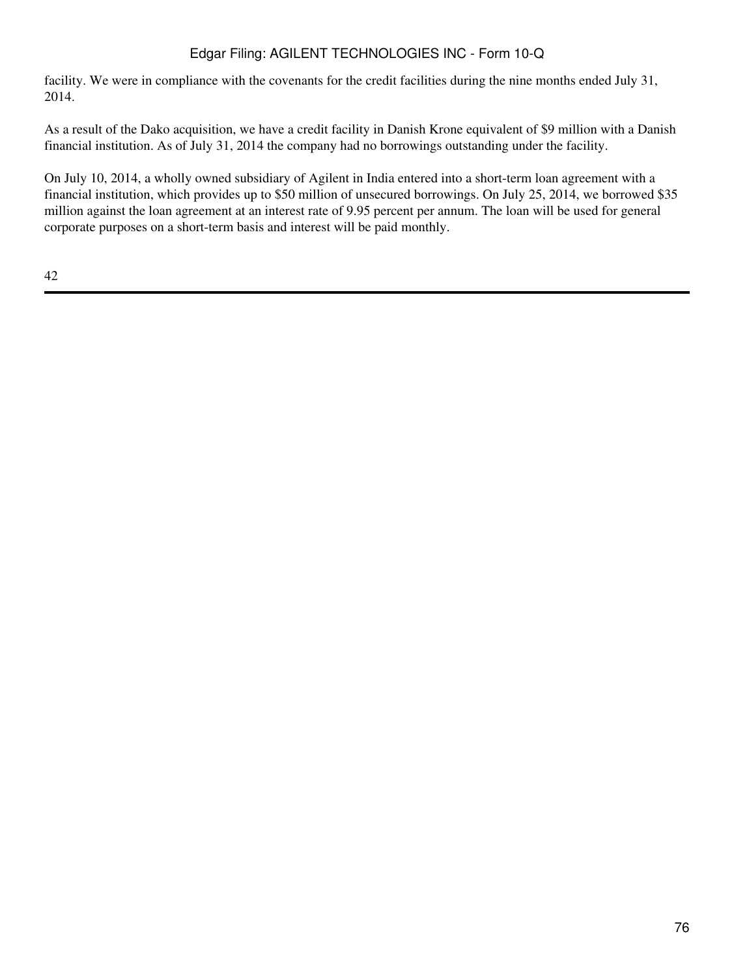facility. We were in compliance with the covenants for the credit facilities during the nine months ended July 31, 2014.

As a result of the Dako acquisition, we have a credit facility in Danish Krone equivalent of \$9 million with a Danish financial institution. As of July 31, 2014 the company had no borrowings outstanding under the facility.

On July 10, 2014, a wholly owned subsidiary of Agilent in India entered into a short-term loan agreement with a financial institution, which provides up to \$50 million of unsecured borrowings. On July 25, 2014, we borrowed \$35 million against the loan agreement at an interest rate of 9.95 percent per annum. The loan will be used for general corporate purposes on a short-term basis and interest will be paid monthly.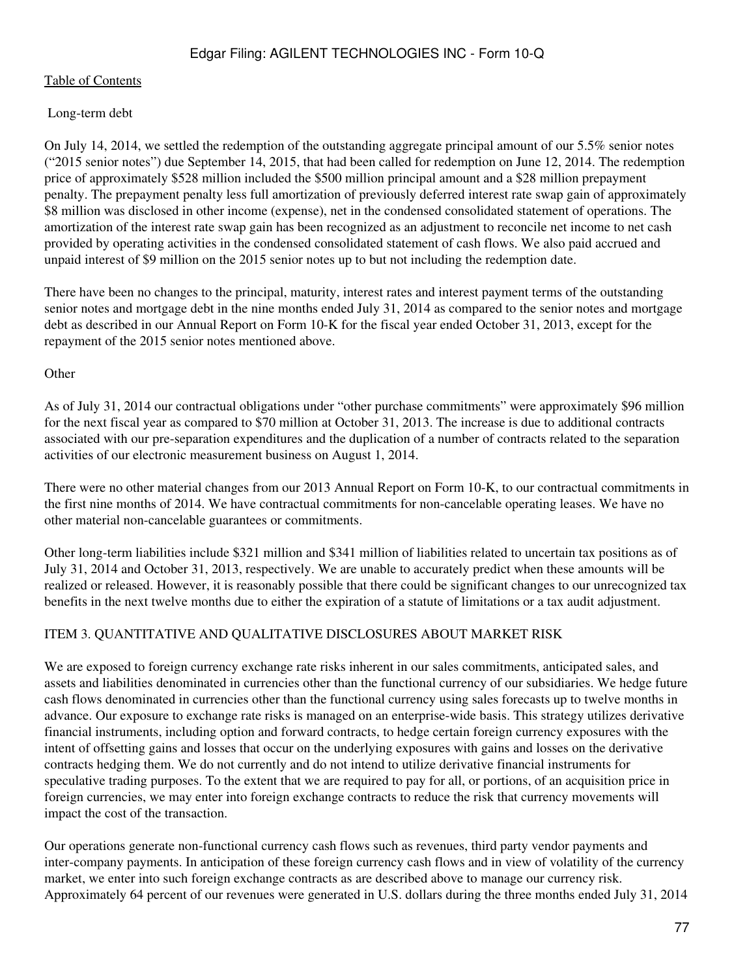### [Table of Contents](#page-2-0)

### Long-term debt

On July 14, 2014, we settled the redemption of the outstanding aggregate principal amount of our 5.5% senior notes ("2015 senior notes") due September 14, 2015, that had been called for redemption on June 12, 2014. The redemption price of approximately \$528 million included the \$500 million principal amount and a \$28 million prepayment penalty. The prepayment penalty less full amortization of previously deferred interest rate swap gain of approximately \$8 million was disclosed in other income (expense), net in the condensed consolidated statement of operations. The amortization of the interest rate swap gain has been recognized as an adjustment to reconcile net income to net cash provided by operating activities in the condensed consolidated statement of cash flows. We also paid accrued and unpaid interest of \$9 million on the 2015 senior notes up to but not including the redemption date.

There have been no changes to the principal, maturity, interest rates and interest payment terms of the outstanding senior notes and mortgage debt in the nine months ended July 31, 2014 as compared to the senior notes and mortgage debt as described in our Annual Report on Form 10-K for the fiscal year ended October 31, 2013, except for the repayment of the 2015 senior notes mentioned above.

#### **Other**

As of July 31, 2014 our contractual obligations under "other purchase commitments" were approximately \$96 million for the next fiscal year as compared to \$70 million at October 31, 2013. The increase is due to additional contracts associated with our pre-separation expenditures and the duplication of a number of contracts related to the separation activities of our electronic measurement business on August 1, 2014.

There were no other material changes from our 2013 Annual Report on Form 10-K, to our contractual commitments in the first nine months of 2014. We have contractual commitments for non-cancelable operating leases. We have no other material non-cancelable guarantees or commitments.

Other long-term liabilities include \$321 million and \$341 million of liabilities related to uncertain tax positions as of July 31, 2014 and October 31, 2013, respectively. We are unable to accurately predict when these amounts will be realized or released. However, it is reasonably possible that there could be significant changes to our unrecognized tax benefits in the next twelve months due to either the expiration of a statute of limitations or a tax audit adjustment.

## ITEM 3. QUANTITATIVE AND QUALITATIVE DISCLOSURES ABOUT MARKET RISK

We are exposed to foreign currency exchange rate risks inherent in our sales commitments, anticipated sales, and assets and liabilities denominated in currencies other than the functional currency of our subsidiaries. We hedge future cash flows denominated in currencies other than the functional currency using sales forecasts up to twelve months in advance. Our exposure to exchange rate risks is managed on an enterprise-wide basis. This strategy utilizes derivative financial instruments, including option and forward contracts, to hedge certain foreign currency exposures with the intent of offsetting gains and losses that occur on the underlying exposures with gains and losses on the derivative contracts hedging them. We do not currently and do not intend to utilize derivative financial instruments for speculative trading purposes. To the extent that we are required to pay for all, or portions, of an acquisition price in foreign currencies, we may enter into foreign exchange contracts to reduce the risk that currency movements will impact the cost of the transaction.

Our operations generate non-functional currency cash flows such as revenues, third party vendor payments and inter-company payments. In anticipation of these foreign currency cash flows and in view of volatility of the currency market, we enter into such foreign exchange contracts as are described above to manage our currency risk. Approximately 64 percent of our revenues were generated in U.S. dollars during the three months ended July 31, 2014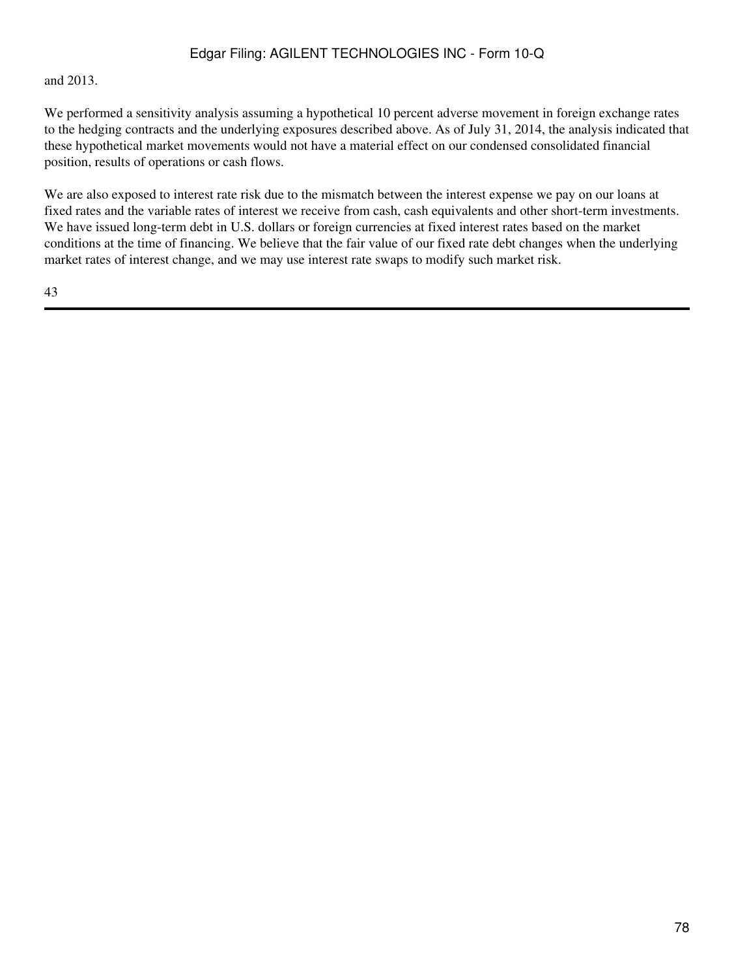### and 2013.

We performed a sensitivity analysis assuming a hypothetical 10 percent adverse movement in foreign exchange rates to the hedging contracts and the underlying exposures described above. As of July 31, 2014, the analysis indicated that these hypothetical market movements would not have a material effect on our condensed consolidated financial position, results of operations or cash flows.

We are also exposed to interest rate risk due to the mismatch between the interest expense we pay on our loans at fixed rates and the variable rates of interest we receive from cash, cash equivalents and other short-term investments. We have issued long-term debt in U.S. dollars or foreign currencies at fixed interest rates based on the market conditions at the time of financing. We believe that the fair value of our fixed rate debt changes when the underlying market rates of interest change, and we may use interest rate swaps to modify such market risk.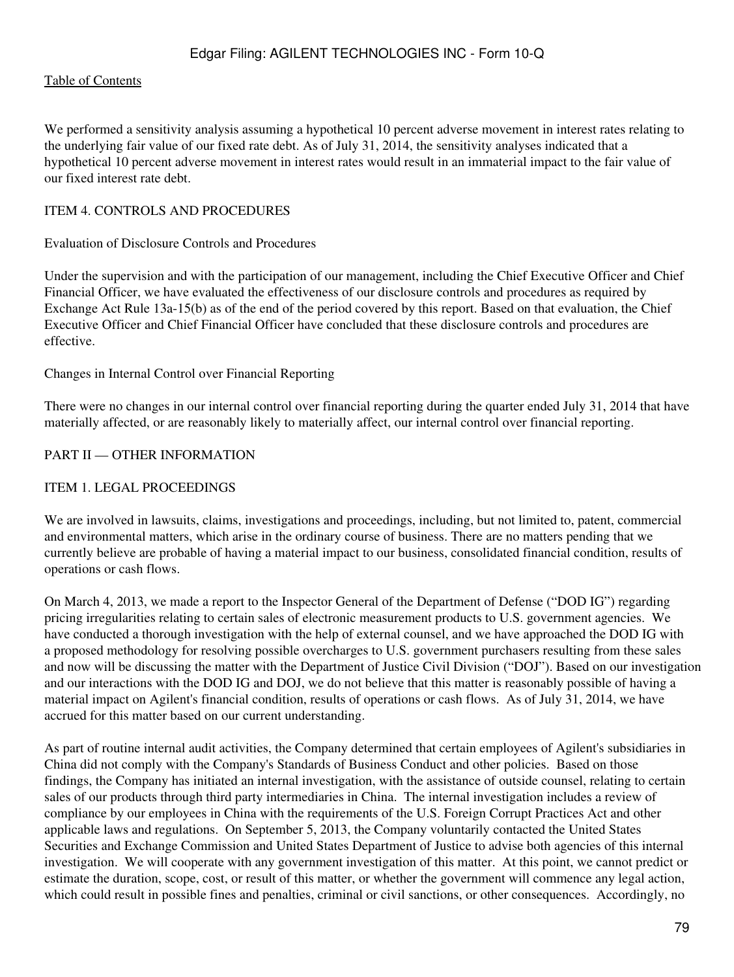### [Table of Contents](#page-2-0)

We performed a sensitivity analysis assuming a hypothetical 10 percent adverse movement in interest rates relating to the underlying fair value of our fixed rate debt. As of July 31, 2014, the sensitivity analyses indicated that a hypothetical 10 percent adverse movement in interest rates would result in an immaterial impact to the fair value of our fixed interest rate debt.

## ITEM 4. CONTROLS AND PROCEDURES

#### Evaluation of Disclosure Controls and Procedures

Under the supervision and with the participation of our management, including the Chief Executive Officer and Chief Financial Officer, we have evaluated the effectiveness of our disclosure controls and procedures as required by Exchange Act Rule 13a-15(b) as of the end of the period covered by this report. Based on that evaluation, the Chief Executive Officer and Chief Financial Officer have concluded that these disclosure controls and procedures are effective.

Changes in Internal Control over Financial Reporting

There were no changes in our internal control over financial reporting during the quarter ended July 31, 2014 that have materially affected, or are reasonably likely to materially affect, our internal control over financial reporting.

#### PART II — OTHER INFORMATION

#### ITEM 1. LEGAL PROCEEDINGS

We are involved in lawsuits, claims, investigations and proceedings, including, but not limited to, patent, commercial and environmental matters, which arise in the ordinary course of business. There are no matters pending that we currently believe are probable of having a material impact to our business, consolidated financial condition, results of operations or cash flows.

On March 4, 2013, we made a report to the Inspector General of the Department of Defense ("DOD IG") regarding pricing irregularities relating to certain sales of electronic measurement products to U.S. government agencies. We have conducted a thorough investigation with the help of external counsel, and we have approached the DOD IG with a proposed methodology for resolving possible overcharges to U.S. government purchasers resulting from these sales and now will be discussing the matter with the Department of Justice Civil Division ("DOJ"). Based on our investigation and our interactions with the DOD IG and DOJ, we do not believe that this matter is reasonably possible of having a material impact on Agilent's financial condition, results of operations or cash flows. As of July 31, 2014, we have accrued for this matter based on our current understanding.

As part of routine internal audit activities, the Company determined that certain employees of Agilent's subsidiaries in China did not comply with the Company's Standards of Business Conduct and other policies. Based on those findings, the Company has initiated an internal investigation, with the assistance of outside counsel, relating to certain sales of our products through third party intermediaries in China. The internal investigation includes a review of compliance by our employees in China with the requirements of the U.S. Foreign Corrupt Practices Act and other applicable laws and regulations. On September 5, 2013, the Company voluntarily contacted the United States Securities and Exchange Commission and United States Department of Justice to advise both agencies of this internal investigation. We will cooperate with any government investigation of this matter. At this point, we cannot predict or estimate the duration, scope, cost, or result of this matter, or whether the government will commence any legal action, which could result in possible fines and penalties, criminal or civil sanctions, or other consequences. Accordingly, no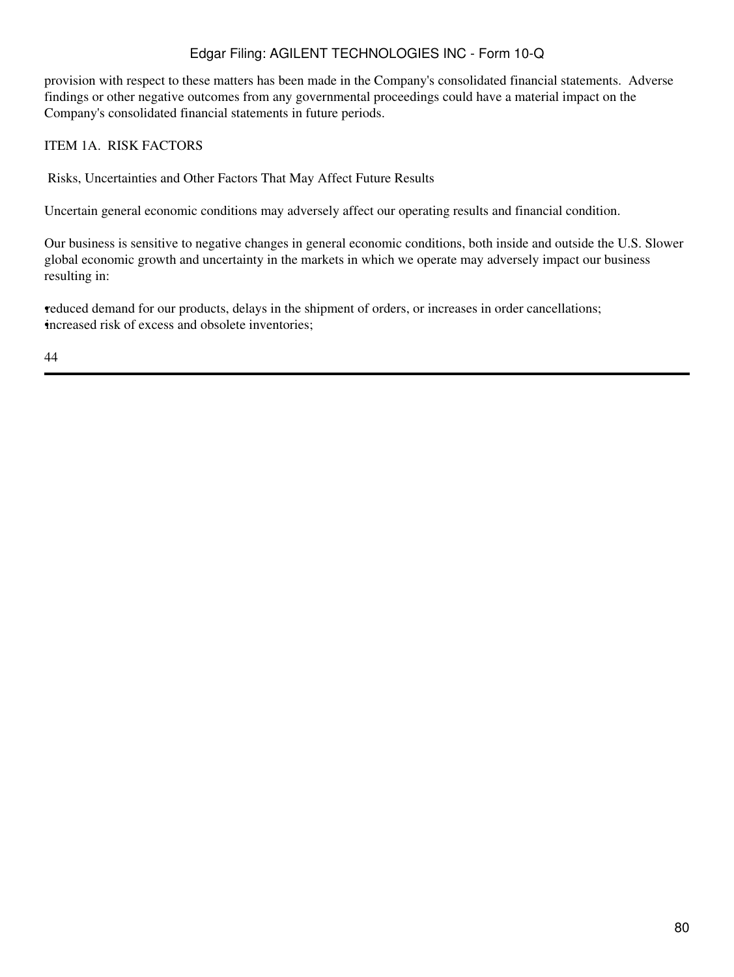provision with respect to these matters has been made in the Company's consolidated financial statements. Adverse findings or other negative outcomes from any governmental proceedings could have a material impact on the Company's consolidated financial statements in future periods.

## ITEM 1A. RISK FACTORS

Risks, Uncertainties and Other Factors That May Affect Future Results

Uncertain general economic conditions may adversely affect our operating results and financial condition.

Our business is sensitive to negative changes in general economic conditions, both inside and outside the U.S. Slower global economic growth and uncertainty in the markets in which we operate may adversely impact our business resulting in:

•reduced demand for our products, delays in the shipment of orders, or increases in order cancellations; increased risk of excess and obsolete inventories;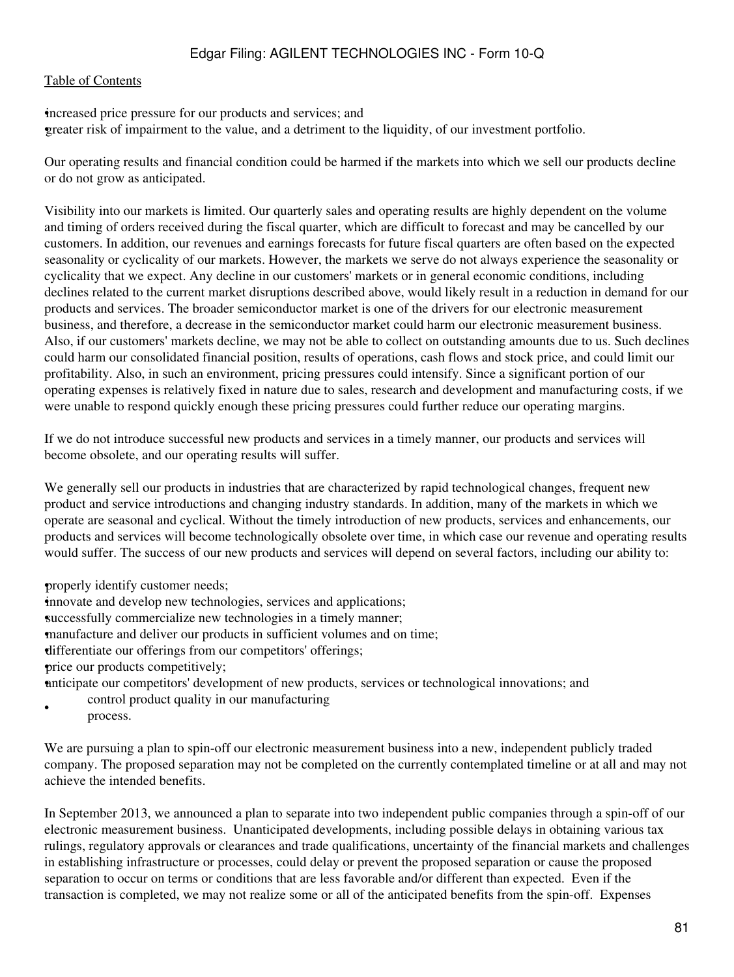#### [Table of Contents](#page-2-0)

•increased price pressure for our products and services; and •greater risk of impairment to the value, and a detriment to the liquidity, of our investment portfolio.

Our operating results and financial condition could be harmed if the markets into which we sell our products decline or do not grow as anticipated.

Visibility into our markets is limited. Our quarterly sales and operating results are highly dependent on the volume and timing of orders received during the fiscal quarter, which are difficult to forecast and may be cancelled by our customers. In addition, our revenues and earnings forecasts for future fiscal quarters are often based on the expected seasonality or cyclicality of our markets. However, the markets we serve do not always experience the seasonality or cyclicality that we expect. Any decline in our customers' markets or in general economic conditions, including declines related to the current market disruptions described above, would likely result in a reduction in demand for our products and services. The broader semiconductor market is one of the drivers for our electronic measurement business, and therefore, a decrease in the semiconductor market could harm our electronic measurement business. Also, if our customers' markets decline, we may not be able to collect on outstanding amounts due to us. Such declines could harm our consolidated financial position, results of operations, cash flows and stock price, and could limit our profitability. Also, in such an environment, pricing pressures could intensify. Since a significant portion of our operating expenses is relatively fixed in nature due to sales, research and development and manufacturing costs, if we were unable to respond quickly enough these pricing pressures could further reduce our operating margins.

If we do not introduce successful new products and services in a timely manner, our products and services will become obsolete, and our operating results will suffer.

We generally sell our products in industries that are characterized by rapid technological changes, frequent new product and service introductions and changing industry standards. In addition, many of the markets in which we operate are seasonal and cyclical. Without the timely introduction of new products, services and enhancements, our products and services will become technologically obsolete over time, in which case our revenue and operating results would suffer. The success of our new products and services will depend on several factors, including our ability to:

properly identify customer needs;

innovate and develop new technologies, services and applications;

successfully commercialize new technologies in a timely manner;

•manufacture and deliver our products in sufficient volumes and on time;

•differentiate our offerings from our competitors' offerings;

•price our products competitively;

•anticipate our competitors' development of new products, services or technological innovations; and

• control product quality in our manufacturing process.

We are pursuing a plan to spin-off our electronic measurement business into a new, independent publicly traded company. The proposed separation may not be completed on the currently contemplated timeline or at all and may not achieve the intended benefits.

In September 2013, we announced a plan to separate into two independent public companies through a spin-off of our electronic measurement business. Unanticipated developments, including possible delays in obtaining various tax rulings, regulatory approvals or clearances and trade qualifications, uncertainty of the financial markets and challenges in establishing infrastructure or processes, could delay or prevent the proposed separation or cause the proposed separation to occur on terms or conditions that are less favorable and/or different than expected. Even if the transaction is completed, we may not realize some or all of the anticipated benefits from the spin-off. Expenses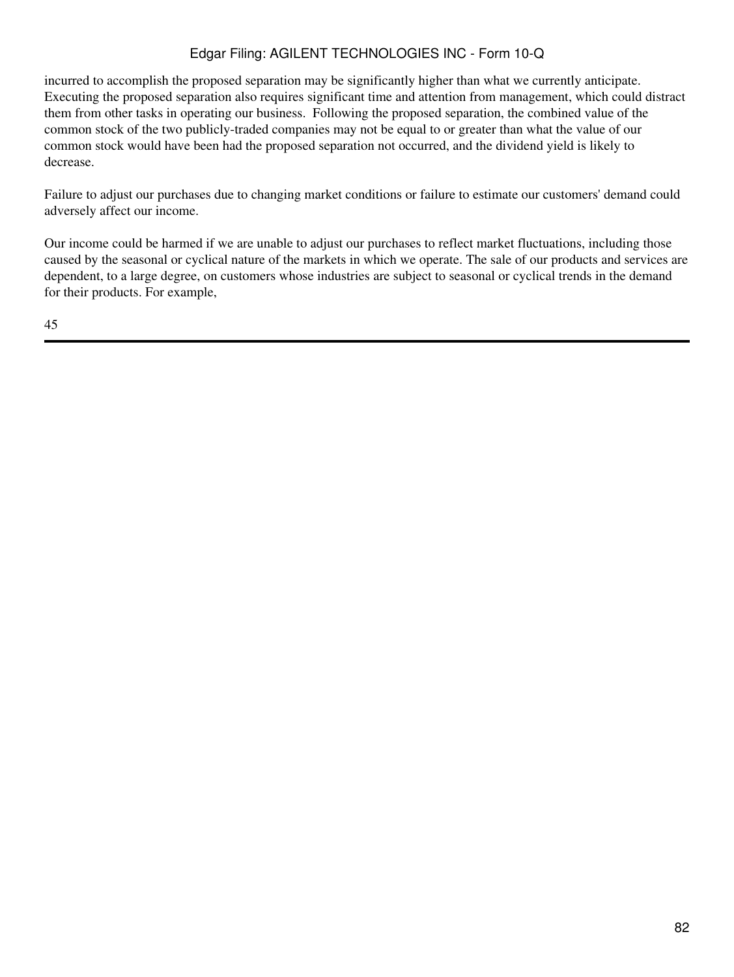incurred to accomplish the proposed separation may be significantly higher than what we currently anticipate. Executing the proposed separation also requires significant time and attention from management, which could distract them from other tasks in operating our business. Following the proposed separation, the combined value of the common stock of the two publicly-traded companies may not be equal to or greater than what the value of our common stock would have been had the proposed separation not occurred, and the dividend yield is likely to decrease.

Failure to adjust our purchases due to changing market conditions or failure to estimate our customers' demand could adversely affect our income.

Our income could be harmed if we are unable to adjust our purchases to reflect market fluctuations, including those caused by the seasonal or cyclical nature of the markets in which we operate. The sale of our products and services are dependent, to a large degree, on customers whose industries are subject to seasonal or cyclical trends in the demand for their products. For example,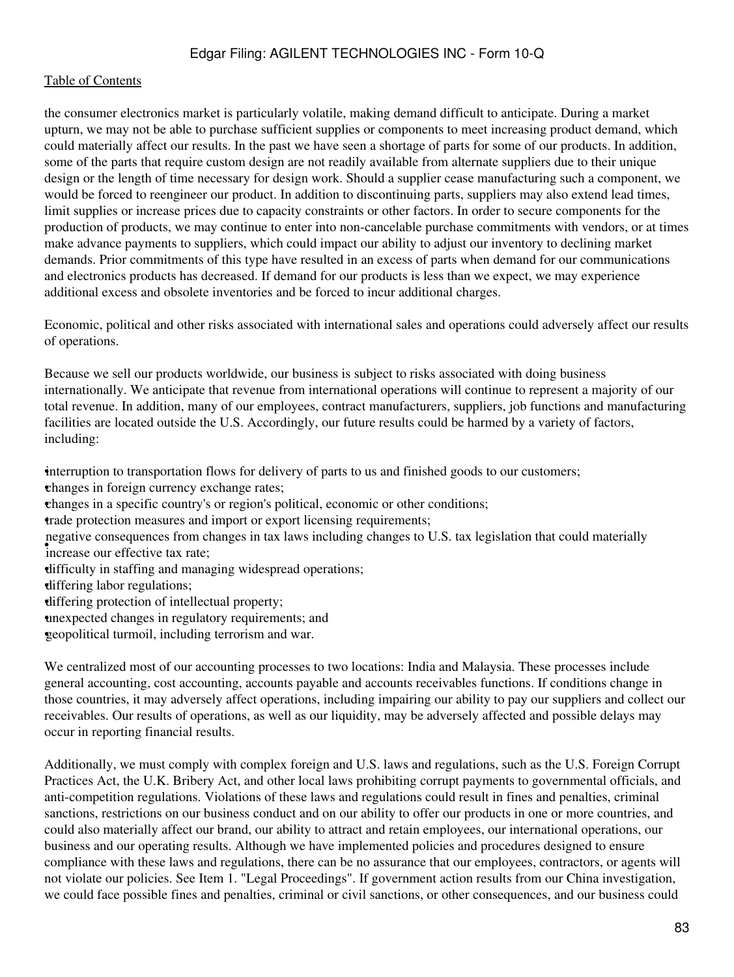the consumer electronics market is particularly volatile, making demand difficult to anticipate. During a market upturn, we may not be able to purchase sufficient supplies or components to meet increasing product demand, which could materially affect our results. In the past we have seen a shortage of parts for some of our products. In addition, some of the parts that require custom design are not readily available from alternate suppliers due to their unique design or the length of time necessary for design work. Should a supplier cease manufacturing such a component, we would be forced to reengineer our product. In addition to discontinuing parts, suppliers may also extend lead times, limit supplies or increase prices due to capacity constraints or other factors. In order to secure components for the production of products, we may continue to enter into non-cancelable purchase commitments with vendors, or at times make advance payments to suppliers, which could impact our ability to adjust our inventory to declining market demands. Prior commitments of this type have resulted in an excess of parts when demand for our communications and electronics products has decreased. If demand for our products is less than we expect, we may experience additional excess and obsolete inventories and be forced to incur additional charges.

Economic, political and other risks associated with international sales and operations could adversely affect our results of operations.

Because we sell our products worldwide, our business is subject to risks associated with doing business internationally. We anticipate that revenue from international operations will continue to represent a majority of our total revenue. In addition, many of our employees, contract manufacturers, suppliers, job functions and manufacturing facilities are located outside the U.S. Accordingly, our future results could be harmed by a variety of factors, including:

•interruption to transportation flows for delivery of parts to us and finished goods to our customers;

•changes in foreign currency exchange rates;

•changes in a specific country's or region's political, economic or other conditions;

•trade protection measures and import or export licensing requirements;

**Figure consequences** from consequences negative consequences from changes in tax laws including changes to U.S. tax legislation that could materially

•difficulty in staffing and managing widespread operations;

•differing labor regulations;

•differing protection of intellectual property;

•unexpected changes in regulatory requirements; and

•geopolitical turmoil, including terrorism and war.

We centralized most of our accounting processes to two locations: India and Malaysia. These processes include general accounting, cost accounting, accounts payable and accounts receivables functions. If conditions change in those countries, it may adversely affect operations, including impairing our ability to pay our suppliers and collect our receivables. Our results of operations, as well as our liquidity, may be adversely affected and possible delays may occur in reporting financial results.

Additionally, we must comply with complex foreign and U.S. laws and regulations, such as the U.S. Foreign Corrupt Practices Act, the U.K. Bribery Act, and other local laws prohibiting corrupt payments to governmental officials, and anti-competition regulations. Violations of these laws and regulations could result in fines and penalties, criminal sanctions, restrictions on our business conduct and on our ability to offer our products in one or more countries, and could also materially affect our brand, our ability to attract and retain employees, our international operations, our business and our operating results. Although we have implemented policies and procedures designed to ensure compliance with these laws and regulations, there can be no assurance that our employees, contractors, or agents will not violate our policies. See Item 1. "Legal Proceedings". If government action results from our China investigation, we could face possible fines and penalties, criminal or civil sanctions, or other consequences, and our business could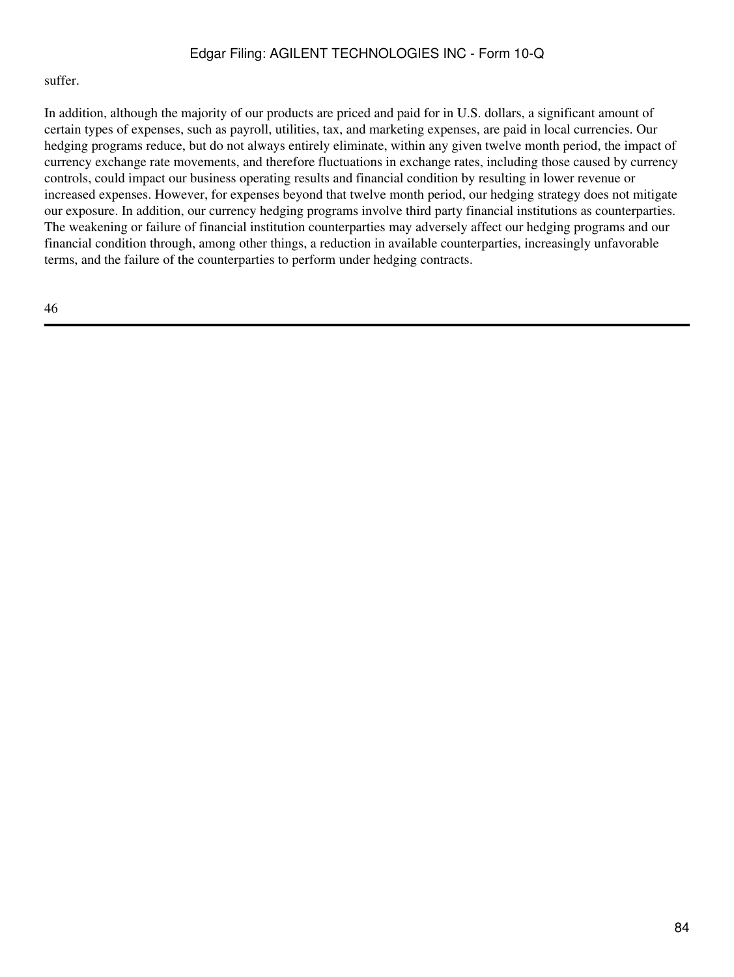#### suffer.

In addition, although the majority of our products are priced and paid for in U.S. dollars, a significant amount of certain types of expenses, such as payroll, utilities, tax, and marketing expenses, are paid in local currencies. Our hedging programs reduce, but do not always entirely eliminate, within any given twelve month period, the impact of currency exchange rate movements, and therefore fluctuations in exchange rates, including those caused by currency controls, could impact our business operating results and financial condition by resulting in lower revenue or increased expenses. However, for expenses beyond that twelve month period, our hedging strategy does not mitigate our exposure. In addition, our currency hedging programs involve third party financial institutions as counterparties. The weakening or failure of financial institution counterparties may adversely affect our hedging programs and our financial condition through, among other things, a reduction in available counterparties, increasingly unfavorable terms, and the failure of the counterparties to perform under hedging contracts.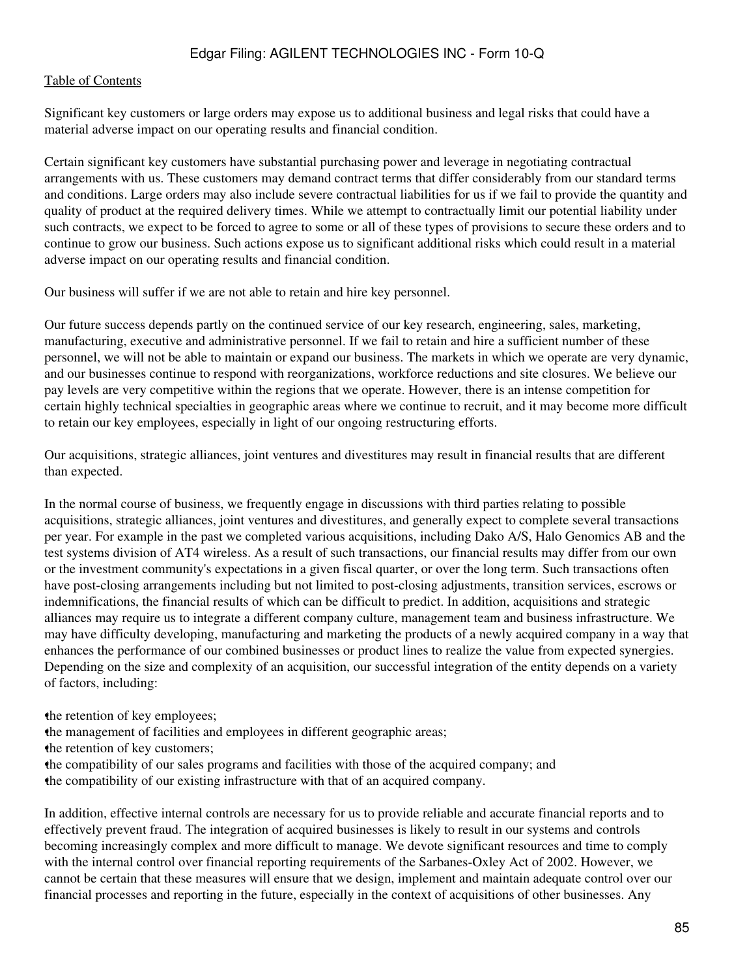Significant key customers or large orders may expose us to additional business and legal risks that could have a material adverse impact on our operating results and financial condition.

Certain significant key customers have substantial purchasing power and leverage in negotiating contractual arrangements with us. These customers may demand contract terms that differ considerably from our standard terms and conditions. Large orders may also include severe contractual liabilities for us if we fail to provide the quantity and quality of product at the required delivery times. While we attempt to contractually limit our potential liability under such contracts, we expect to be forced to agree to some or all of these types of provisions to secure these orders and to continue to grow our business. Such actions expose us to significant additional risks which could result in a material adverse impact on our operating results and financial condition.

Our business will suffer if we are not able to retain and hire key personnel.

Our future success depends partly on the continued service of our key research, engineering, sales, marketing, manufacturing, executive and administrative personnel. If we fail to retain and hire a sufficient number of these personnel, we will not be able to maintain or expand our business. The markets in which we operate are very dynamic, and our businesses continue to respond with reorganizations, workforce reductions and site closures. We believe our pay levels are very competitive within the regions that we operate. However, there is an intense competition for certain highly technical specialties in geographic areas where we continue to recruit, and it may become more difficult to retain our key employees, especially in light of our ongoing restructuring efforts.

Our acquisitions, strategic alliances, joint ventures and divestitures may result in financial results that are different than expected.

In the normal course of business, we frequently engage in discussions with third parties relating to possible acquisitions, strategic alliances, joint ventures and divestitures, and generally expect to complete several transactions per year. For example in the past we completed various acquisitions, including Dako A/S, Halo Genomics AB and the test systems division of AT4 wireless. As a result of such transactions, our financial results may differ from our own or the investment community's expectations in a given fiscal quarter, or over the long term. Such transactions often have post-closing arrangements including but not limited to post-closing adjustments, transition services, escrows or indemnifications, the financial results of which can be difficult to predict. In addition, acquisitions and strategic alliances may require us to integrate a different company culture, management team and business infrastructure. We may have difficulty developing, manufacturing and marketing the products of a newly acquired company in a way that enhances the performance of our combined businesses or product lines to realize the value from expected synergies. Depending on the size and complexity of an acquisition, our successful integration of the entity depends on a variety of factors, including:

the retention of key employees;

•the management of facilities and employees in different geographic areas;

the retention of key customers;

•the compatibility of our sales programs and facilities with those of the acquired company; and •the compatibility of our existing infrastructure with that of an acquired company.

In addition, effective internal controls are necessary for us to provide reliable and accurate financial reports and to effectively prevent fraud. The integration of acquired businesses is likely to result in our systems and controls becoming increasingly complex and more difficult to manage. We devote significant resources and time to comply with the internal control over financial reporting requirements of the Sarbanes-Oxley Act of 2002. However, we cannot be certain that these measures will ensure that we design, implement and maintain adequate control over our financial processes and reporting in the future, especially in the context of acquisitions of other businesses. Any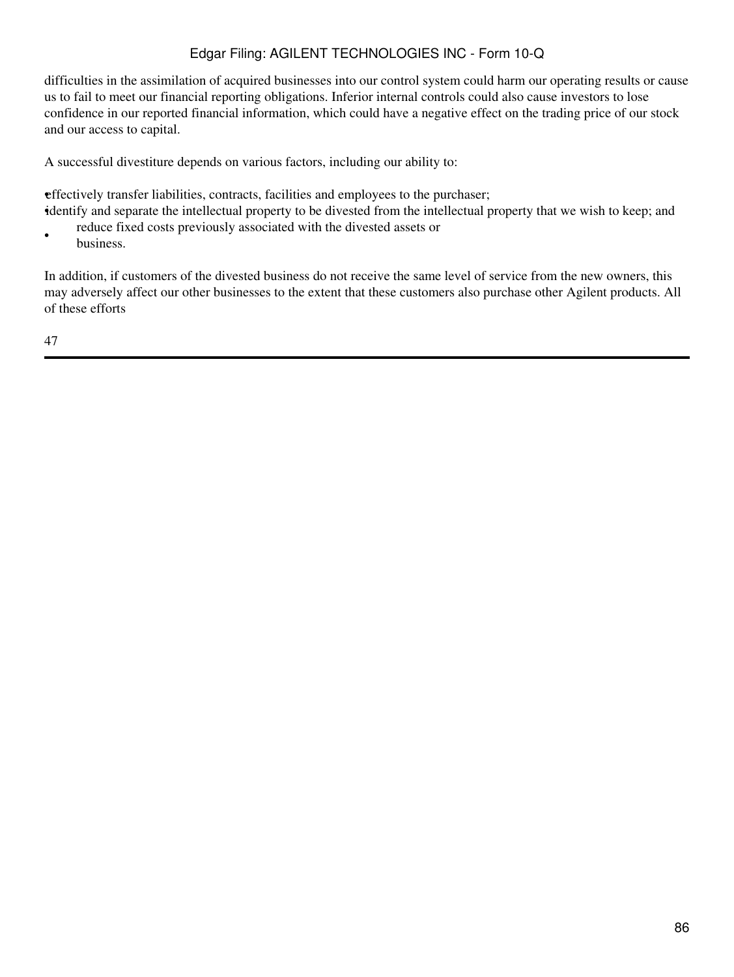difficulties in the assimilation of acquired businesses into our control system could harm our operating results or cause us to fail to meet our financial reporting obligations. Inferior internal controls could also cause investors to lose confidence in our reported financial information, which could have a negative effect on the trading price of our stock and our access to capital.

A successful divestiture depends on various factors, including our ability to:

•effectively transfer liabilities, contracts, facilities and employees to the purchaser;

•identify and separate the intellectual property to be divested from the intellectual property that we wish to keep; and • reduce fixed costs previously associated with the divested assets or

business.

In addition, if customers of the divested business do not receive the same level of service from the new owners, this may adversely affect our other businesses to the extent that these customers also purchase other Agilent products. All of these efforts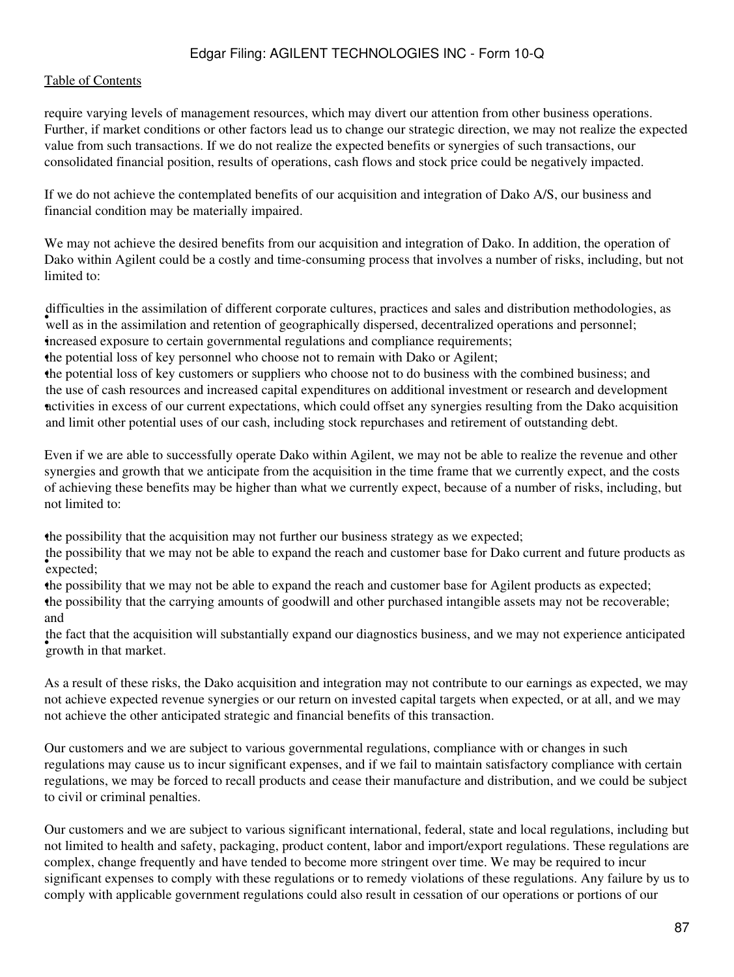#### [Table of Contents](#page-2-0)

require varying levels of management resources, which may divert our attention from other business operations. Further, if market conditions or other factors lead us to change our strategic direction, we may not realize the expected value from such transactions. If we do not realize the expected benefits or synergies of such transactions, our consolidated financial position, results of operations, cash flows and stock price could be negatively impacted.

If we do not achieve the contemplated benefits of our acquisition and integration of Dako A/S, our business and financial condition may be materially impaired.

We may not achieve the desired benefits from our acquisition and integration of Dako. In addition, the operation of Dako within Agilent could be a costly and time-consuming process that involves a number of risks, including, but not limited to:

well as in the assimilation of directive corporate called stylength and safety and safety and distribution included vertex well as in the assimilation and retention of geographically dispersed, decentralized operations and difficulties in the assimilation of different corporate cultures, practices and sales and distribution methodologies, as •increased exposure to certain governmental regulations and compliance requirements;

•the potential loss of key personnel who choose not to remain with Dako or Agilent;

•the potential loss of key customers or suppliers who choose not to do business with the combined business; and • activities in excess of our current expectations, which could offset any synergies resulting from the Dako acquisition the use of cash resources and increased capital expenditures on additional investment or research and development and limit other potential uses of our cash, including stock repurchases and retirement of outstanding debt.

Even if we are able to successfully operate Dako within Agilent, we may not be able to realize the revenue and other synergies and growth that we anticipate from the acquisition in the time frame that we currently expect, and the costs of achieving these benefits may be higher than what we currently expect, because of a number of risks, including, but not limited to:

•the possibility that the acquisition may not further our business strategy as we expected;

• expected; the possibility that we may not be able to expand the reach and customer base for Dako current and future products as

•the possibility that we may not be able to expand the reach and customer base for Agilent products as expected; •the possibility that the carrying amounts of goodwill and other purchased intangible assets may not be recoverable; and

growth in that market. the fact that the acquisition will substantially expand our diagnostics business, and we may not experience anticipated

As a result of these risks, the Dako acquisition and integration may not contribute to our earnings as expected, we may not achieve expected revenue synergies or our return on invested capital targets when expected, or at all, and we may not achieve the other anticipated strategic and financial benefits of this transaction.

Our customers and we are subject to various governmental regulations, compliance with or changes in such regulations may cause us to incur significant expenses, and if we fail to maintain satisfactory compliance with certain regulations, we may be forced to recall products and cease their manufacture and distribution, and we could be subject to civil or criminal penalties.

Our customers and we are subject to various significant international, federal, state and local regulations, including but not limited to health and safety, packaging, product content, labor and import/export regulations. These regulations are complex, change frequently and have tended to become more stringent over time. We may be required to incur significant expenses to comply with these regulations or to remedy violations of these regulations. Any failure by us to comply with applicable government regulations could also result in cessation of our operations or portions of our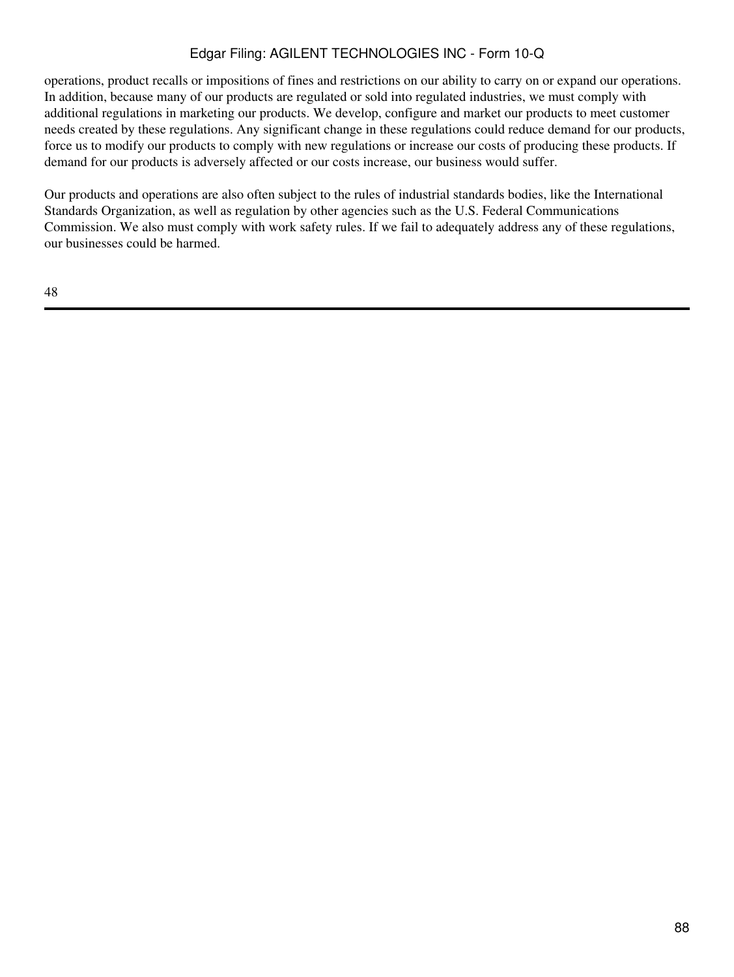operations, product recalls or impositions of fines and restrictions on our ability to carry on or expand our operations. In addition, because many of our products are regulated or sold into regulated industries, we must comply with additional regulations in marketing our products. We develop, configure and market our products to meet customer needs created by these regulations. Any significant change in these regulations could reduce demand for our products, force us to modify our products to comply with new regulations or increase our costs of producing these products. If demand for our products is adversely affected or our costs increase, our business would suffer.

Our products and operations are also often subject to the rules of industrial standards bodies, like the International Standards Organization, as well as regulation by other agencies such as the U.S. Federal Communications Commission. We also must comply with work safety rules. If we fail to adequately address any of these regulations, our businesses could be harmed.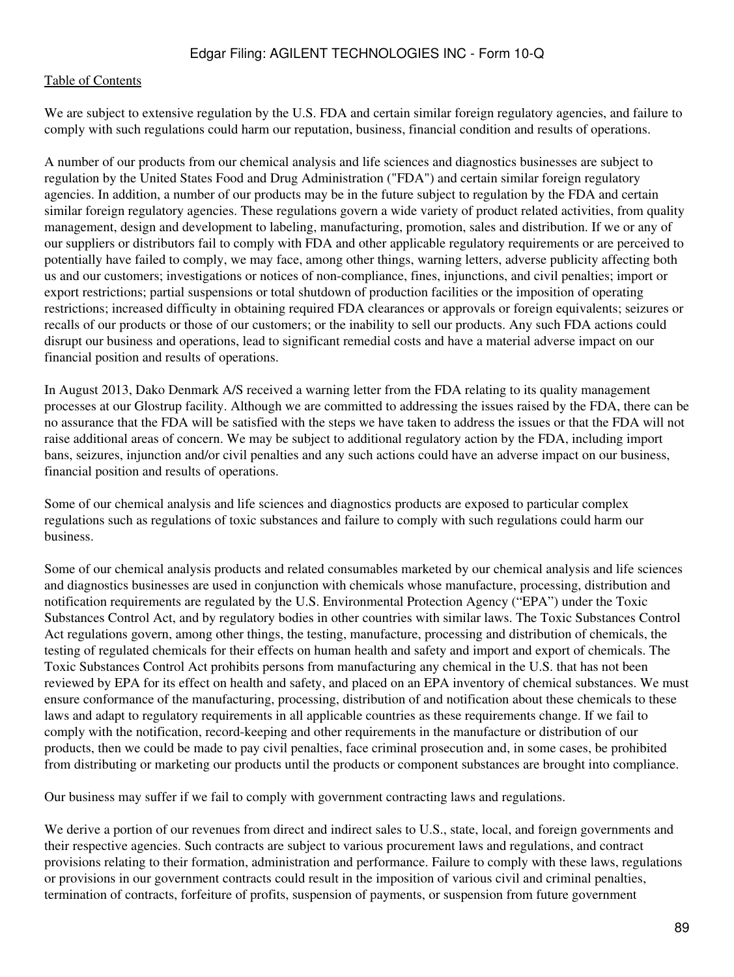#### [Table of Contents](#page-2-0)

We are subject to extensive regulation by the U.S. FDA and certain similar foreign regulatory agencies, and failure to comply with such regulations could harm our reputation, business, financial condition and results of operations.

A number of our products from our chemical analysis and life sciences and diagnostics businesses are subject to regulation by the United States Food and Drug Administration ("FDA") and certain similar foreign regulatory agencies. In addition, a number of our products may be in the future subject to regulation by the FDA and certain similar foreign regulatory agencies. These regulations govern a wide variety of product related activities, from quality management, design and development to labeling, manufacturing, promotion, sales and distribution. If we or any of our suppliers or distributors fail to comply with FDA and other applicable regulatory requirements or are perceived to potentially have failed to comply, we may face, among other things, warning letters, adverse publicity affecting both us and our customers; investigations or notices of non-compliance, fines, injunctions, and civil penalties; import or export restrictions; partial suspensions or total shutdown of production facilities or the imposition of operating restrictions; increased difficulty in obtaining required FDA clearances or approvals or foreign equivalents; seizures or recalls of our products or those of our customers; or the inability to sell our products. Any such FDA actions could disrupt our business and operations, lead to significant remedial costs and have a material adverse impact on our financial position and results of operations.

In August 2013, Dako Denmark A/S received a warning letter from the FDA relating to its quality management processes at our Glostrup facility. Although we are committed to addressing the issues raised by the FDA, there can be no assurance that the FDA will be satisfied with the steps we have taken to address the issues or that the FDA will not raise additional areas of concern. We may be subject to additional regulatory action by the FDA, including import bans, seizures, injunction and/or civil penalties and any such actions could have an adverse impact on our business, financial position and results of operations.

Some of our chemical analysis and life sciences and diagnostics products are exposed to particular complex regulations such as regulations of toxic substances and failure to comply with such regulations could harm our business.

Some of our chemical analysis products and related consumables marketed by our chemical analysis and life sciences and diagnostics businesses are used in conjunction with chemicals whose manufacture, processing, distribution and notification requirements are regulated by the U.S. Environmental Protection Agency ("EPA") under the Toxic Substances Control Act, and by regulatory bodies in other countries with similar laws. The Toxic Substances Control Act regulations govern, among other things, the testing, manufacture, processing and distribution of chemicals, the testing of regulated chemicals for their effects on human health and safety and import and export of chemicals. The Toxic Substances Control Act prohibits persons from manufacturing any chemical in the U.S. that has not been reviewed by EPA for its effect on health and safety, and placed on an EPA inventory of chemical substances. We must ensure conformance of the manufacturing, processing, distribution of and notification about these chemicals to these laws and adapt to regulatory requirements in all applicable countries as these requirements change. If we fail to comply with the notification, record-keeping and other requirements in the manufacture or distribution of our products, then we could be made to pay civil penalties, face criminal prosecution and, in some cases, be prohibited from distributing or marketing our products until the products or component substances are brought into compliance.

Our business may suffer if we fail to comply with government contracting laws and regulations.

We derive a portion of our revenues from direct and indirect sales to U.S., state, local, and foreign governments and their respective agencies. Such contracts are subject to various procurement laws and regulations, and contract provisions relating to their formation, administration and performance. Failure to comply with these laws, regulations or provisions in our government contracts could result in the imposition of various civil and criminal penalties, termination of contracts, forfeiture of profits, suspension of payments, or suspension from future government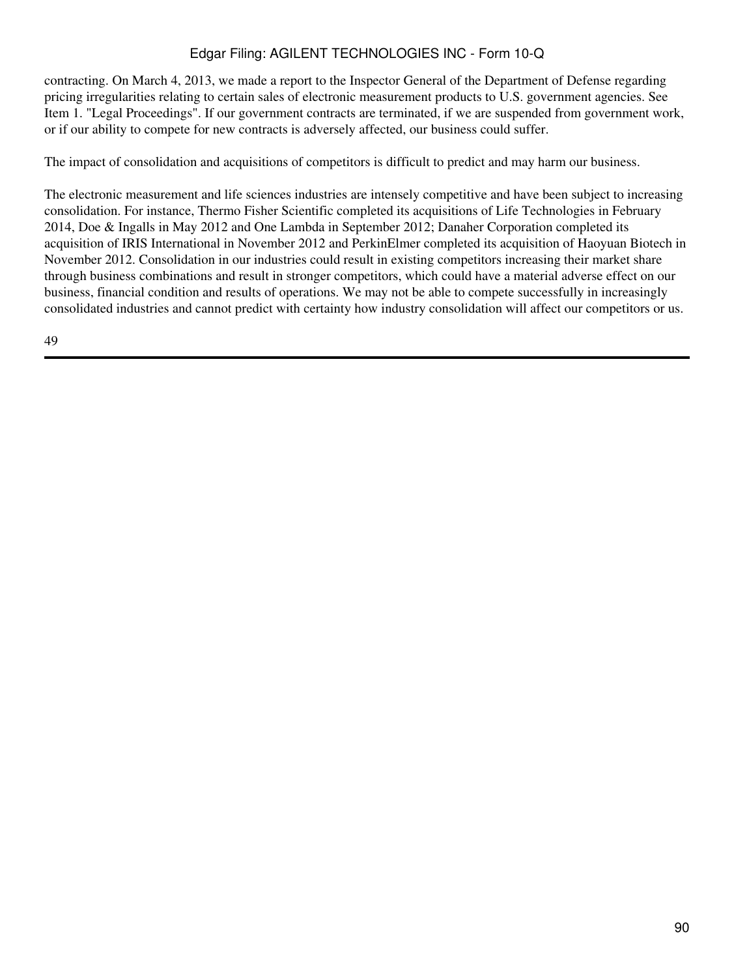contracting. On March 4, 2013, we made a report to the Inspector General of the Department of Defense regarding pricing irregularities relating to certain sales of electronic measurement products to U.S. government agencies. See Item 1. "Legal Proceedings". If our government contracts are terminated, if we are suspended from government work, or if our ability to compete for new contracts is adversely affected, our business could suffer.

The impact of consolidation and acquisitions of competitors is difficult to predict and may harm our business.

The electronic measurement and life sciences industries are intensely competitive and have been subject to increasing consolidation. For instance, Thermo Fisher Scientific completed its acquisitions of Life Technologies in February 2014, Doe & Ingalls in May 2012 and One Lambda in September 2012; Danaher Corporation completed its acquisition of IRIS International in November 2012 and PerkinElmer completed its acquisition of Haoyuan Biotech in November 2012. Consolidation in our industries could result in existing competitors increasing their market share through business combinations and result in stronger competitors, which could have a material adverse effect on our business, financial condition and results of operations. We may not be able to compete successfully in increasingly consolidated industries and cannot predict with certainty how industry consolidation will affect our competitors or us.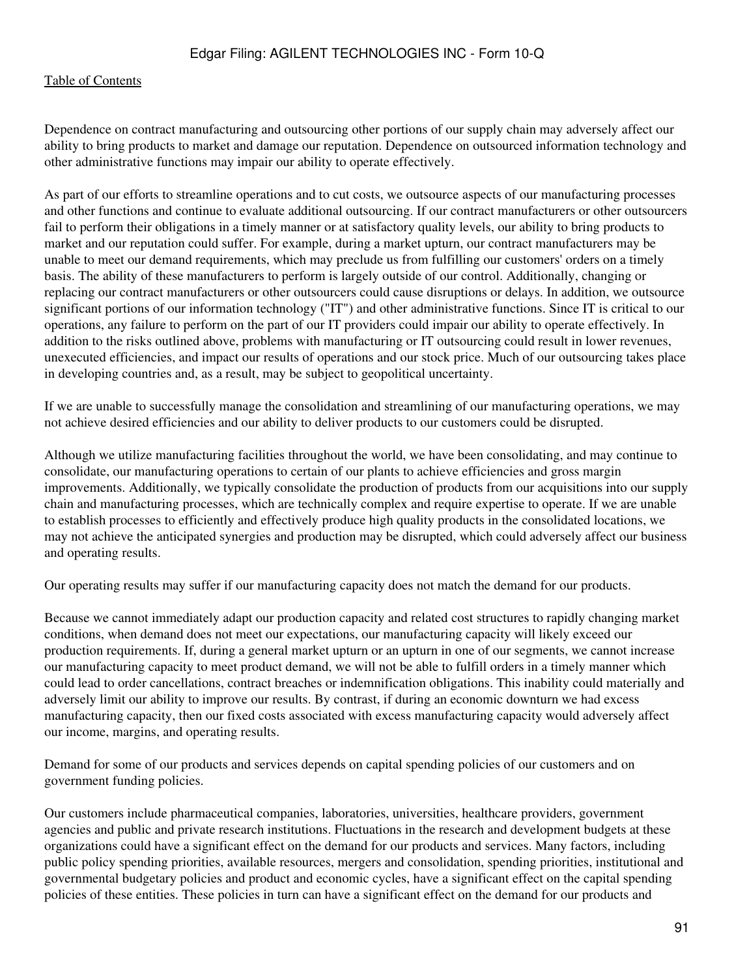Dependence on contract manufacturing and outsourcing other portions of our supply chain may adversely affect our ability to bring products to market and damage our reputation. Dependence on outsourced information technology and other administrative functions may impair our ability to operate effectively.

As part of our efforts to streamline operations and to cut costs, we outsource aspects of our manufacturing processes and other functions and continue to evaluate additional outsourcing. If our contract manufacturers or other outsourcers fail to perform their obligations in a timely manner or at satisfactory quality levels, our ability to bring products to market and our reputation could suffer. For example, during a market upturn, our contract manufacturers may be unable to meet our demand requirements, which may preclude us from fulfilling our customers' orders on a timely basis. The ability of these manufacturers to perform is largely outside of our control. Additionally, changing or replacing our contract manufacturers or other outsourcers could cause disruptions or delays. In addition, we outsource significant portions of our information technology ("IT") and other administrative functions. Since IT is critical to our operations, any failure to perform on the part of our IT providers could impair our ability to operate effectively. In addition to the risks outlined above, problems with manufacturing or IT outsourcing could result in lower revenues, unexecuted efficiencies, and impact our results of operations and our stock price. Much of our outsourcing takes place in developing countries and, as a result, may be subject to geopolitical uncertainty.

If we are unable to successfully manage the consolidation and streamlining of our manufacturing operations, we may not achieve desired efficiencies and our ability to deliver products to our customers could be disrupted.

Although we utilize manufacturing facilities throughout the world, we have been consolidating, and may continue to consolidate, our manufacturing operations to certain of our plants to achieve efficiencies and gross margin improvements. Additionally, we typically consolidate the production of products from our acquisitions into our supply chain and manufacturing processes, which are technically complex and require expertise to operate. If we are unable to establish processes to efficiently and effectively produce high quality products in the consolidated locations, we may not achieve the anticipated synergies and production may be disrupted, which could adversely affect our business and operating results.

Our operating results may suffer if our manufacturing capacity does not match the demand for our products.

Because we cannot immediately adapt our production capacity and related cost structures to rapidly changing market conditions, when demand does not meet our expectations, our manufacturing capacity will likely exceed our production requirements. If, during a general market upturn or an upturn in one of our segments, we cannot increase our manufacturing capacity to meet product demand, we will not be able to fulfill orders in a timely manner which could lead to order cancellations, contract breaches or indemnification obligations. This inability could materially and adversely limit our ability to improve our results. By contrast, if during an economic downturn we had excess manufacturing capacity, then our fixed costs associated with excess manufacturing capacity would adversely affect our income, margins, and operating results.

Demand for some of our products and services depends on capital spending policies of our customers and on government funding policies.

Our customers include pharmaceutical companies, laboratories, universities, healthcare providers, government agencies and public and private research institutions. Fluctuations in the research and development budgets at these organizations could have a significant effect on the demand for our products and services. Many factors, including public policy spending priorities, available resources, mergers and consolidation, spending priorities, institutional and governmental budgetary policies and product and economic cycles, have a significant effect on the capital spending policies of these entities. These policies in turn can have a significant effect on the demand for our products and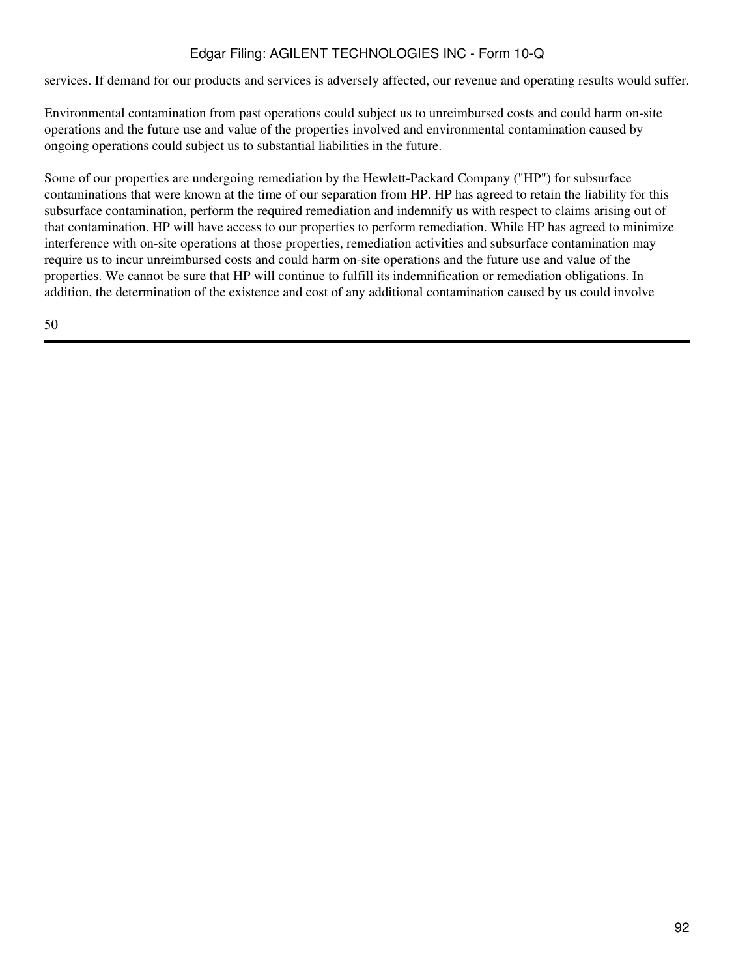services. If demand for our products and services is adversely affected, our revenue and operating results would suffer.

Environmental contamination from past operations could subject us to unreimbursed costs and could harm on-site operations and the future use and value of the properties involved and environmental contamination caused by ongoing operations could subject us to substantial liabilities in the future.

Some of our properties are undergoing remediation by the Hewlett-Packard Company ("HP") for subsurface contaminations that were known at the time of our separation from HP. HP has agreed to retain the liability for this subsurface contamination, perform the required remediation and indemnify us with respect to claims arising out of that contamination. HP will have access to our properties to perform remediation. While HP has agreed to minimize interference with on-site operations at those properties, remediation activities and subsurface contamination may require us to incur unreimbursed costs and could harm on-site operations and the future use and value of the properties. We cannot be sure that HP will continue to fulfill its indemnification or remediation obligations. In addition, the determination of the existence and cost of any additional contamination caused by us could involve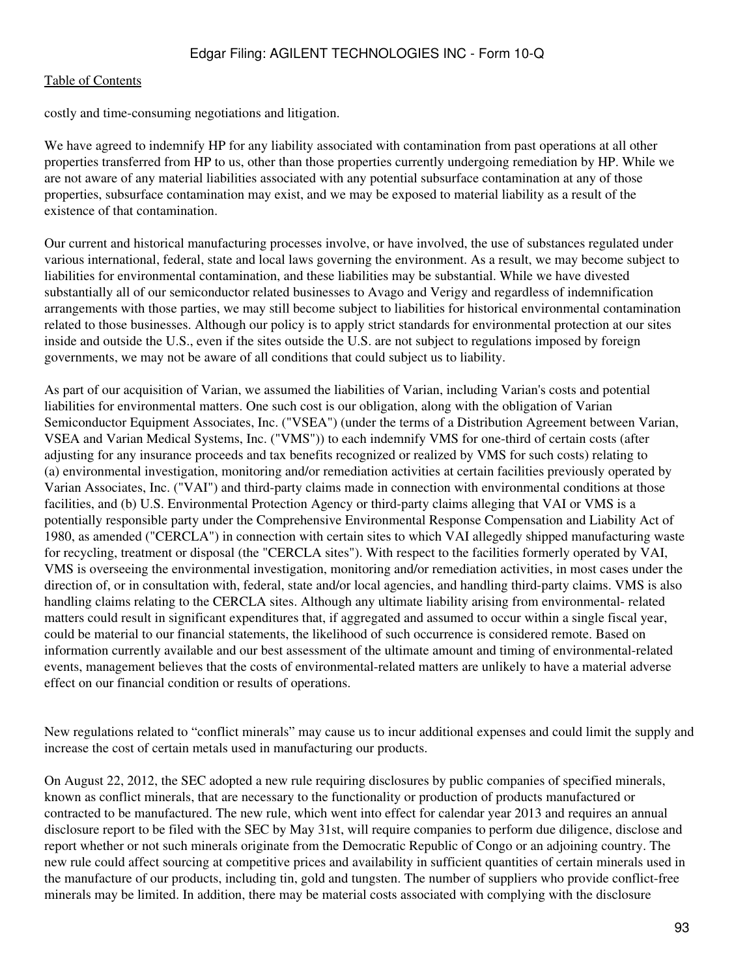costly and time-consuming negotiations and litigation.

We have agreed to indemnify HP for any liability associated with contamination from past operations at all other properties transferred from HP to us, other than those properties currently undergoing remediation by HP. While we are not aware of any material liabilities associated with any potential subsurface contamination at any of those properties, subsurface contamination may exist, and we may be exposed to material liability as a result of the existence of that contamination.

Our current and historical manufacturing processes involve, or have involved, the use of substances regulated under various international, federal, state and local laws governing the environment. As a result, we may become subject to liabilities for environmental contamination, and these liabilities may be substantial. While we have divested substantially all of our semiconductor related businesses to Avago and Verigy and regardless of indemnification arrangements with those parties, we may still become subject to liabilities for historical environmental contamination related to those businesses. Although our policy is to apply strict standards for environmental protection at our sites inside and outside the U.S., even if the sites outside the U.S. are not subject to regulations imposed by foreign governments, we may not be aware of all conditions that could subject us to liability.

As part of our acquisition of Varian, we assumed the liabilities of Varian, including Varian's costs and potential liabilities for environmental matters. One such cost is our obligation, along with the obligation of Varian Semiconductor Equipment Associates, Inc. ("VSEA") (under the terms of a Distribution Agreement between Varian, VSEA and Varian Medical Systems, Inc. ("VMS")) to each indemnify VMS for one-third of certain costs (after adjusting for any insurance proceeds and tax benefits recognized or realized by VMS for such costs) relating to (a) environmental investigation, monitoring and/or remediation activities at certain facilities previously operated by Varian Associates, Inc. ("VAI") and third-party claims made in connection with environmental conditions at those facilities, and (b) U.S. Environmental Protection Agency or third-party claims alleging that VAI or VMS is a potentially responsible party under the Comprehensive Environmental Response Compensation and Liability Act of 1980, as amended ("CERCLA") in connection with certain sites to which VAI allegedly shipped manufacturing waste for recycling, treatment or disposal (the "CERCLA sites"). With respect to the facilities formerly operated by VAI, VMS is overseeing the environmental investigation, monitoring and/or remediation activities, in most cases under the direction of, or in consultation with, federal, state and/or local agencies, and handling third-party claims. VMS is also handling claims relating to the CERCLA sites. Although any ultimate liability arising from environmental- related matters could result in significant expenditures that, if aggregated and assumed to occur within a single fiscal year, could be material to our financial statements, the likelihood of such occurrence is considered remote. Based on information currently available and our best assessment of the ultimate amount and timing of environmental-related events, management believes that the costs of environmental-related matters are unlikely to have a material adverse effect on our financial condition or results of operations.

New regulations related to "conflict minerals" may cause us to incur additional expenses and could limit the supply and increase the cost of certain metals used in manufacturing our products.

On August 22, 2012, the SEC adopted a new rule requiring disclosures by public companies of specified minerals, known as conflict minerals, that are necessary to the functionality or production of products manufactured or contracted to be manufactured. The new rule, which went into effect for calendar year 2013 and requires an annual disclosure report to be filed with the SEC by May 31st, will require companies to perform due diligence, disclose and report whether or not such minerals originate from the Democratic Republic of Congo or an adjoining country. The new rule could affect sourcing at competitive prices and availability in sufficient quantities of certain minerals used in the manufacture of our products, including tin, gold and tungsten. The number of suppliers who provide conflict-free minerals may be limited. In addition, there may be material costs associated with complying with the disclosure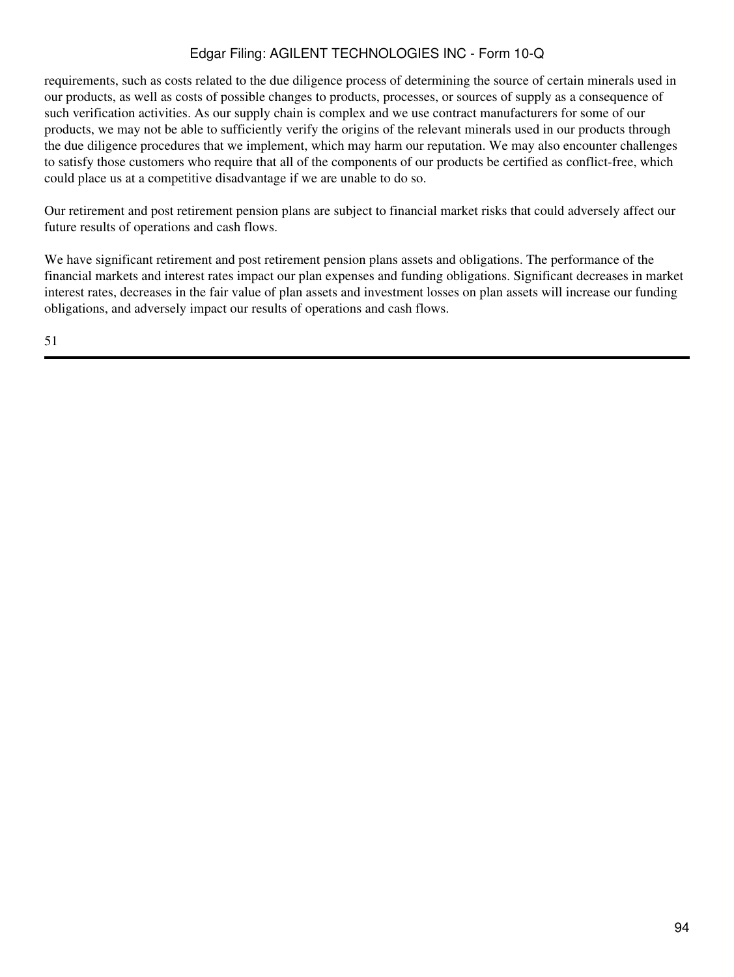requirements, such as costs related to the due diligence process of determining the source of certain minerals used in our products, as well as costs of possible changes to products, processes, or sources of supply as a consequence of such verification activities. As our supply chain is complex and we use contract manufacturers for some of our products, we may not be able to sufficiently verify the origins of the relevant minerals used in our products through the due diligence procedures that we implement, which may harm our reputation. We may also encounter challenges to satisfy those customers who require that all of the components of our products be certified as conflict-free, which could place us at a competitive disadvantage if we are unable to do so.

Our retirement and post retirement pension plans are subject to financial market risks that could adversely affect our future results of operations and cash flows.

We have significant retirement and post retirement pension plans assets and obligations. The performance of the financial markets and interest rates impact our plan expenses and funding obligations. Significant decreases in market interest rates, decreases in the fair value of plan assets and investment losses on plan assets will increase our funding obligations, and adversely impact our results of operations and cash flows.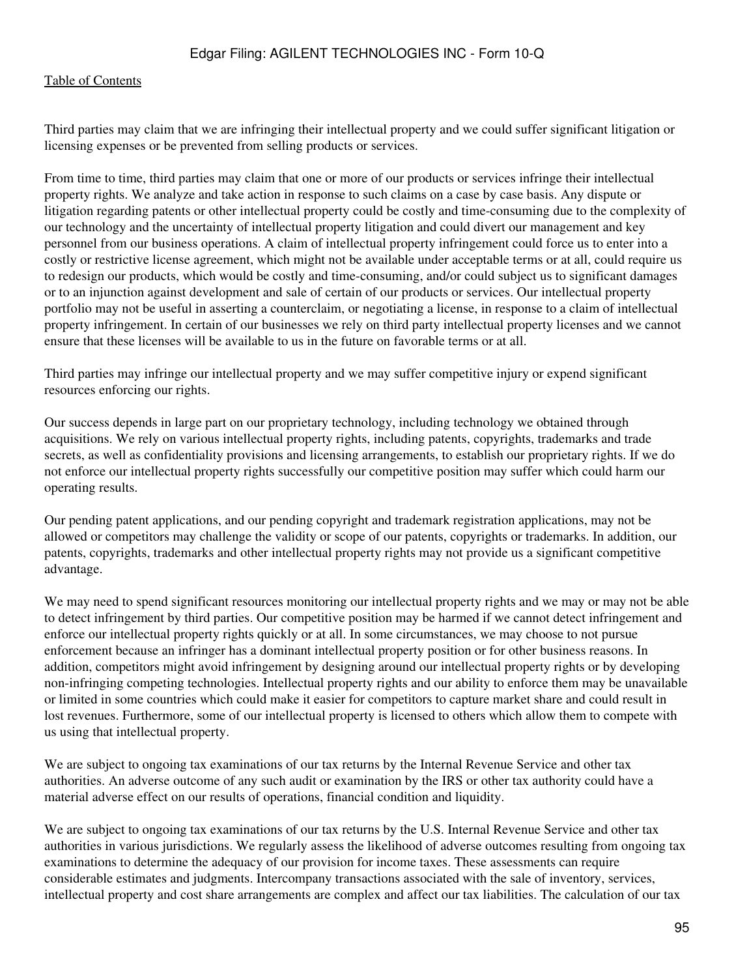Third parties may claim that we are infringing their intellectual property and we could suffer significant litigation or licensing expenses or be prevented from selling products or services.

From time to time, third parties may claim that one or more of our products or services infringe their intellectual property rights. We analyze and take action in response to such claims on a case by case basis. Any dispute or litigation regarding patents or other intellectual property could be costly and time-consuming due to the complexity of our technology and the uncertainty of intellectual property litigation and could divert our management and key personnel from our business operations. A claim of intellectual property infringement could force us to enter into a costly or restrictive license agreement, which might not be available under acceptable terms or at all, could require us to redesign our products, which would be costly and time-consuming, and/or could subject us to significant damages or to an injunction against development and sale of certain of our products or services. Our intellectual property portfolio may not be useful in asserting a counterclaim, or negotiating a license, in response to a claim of intellectual property infringement. In certain of our businesses we rely on third party intellectual property licenses and we cannot ensure that these licenses will be available to us in the future on favorable terms or at all.

Third parties may infringe our intellectual property and we may suffer competitive injury or expend significant resources enforcing our rights.

Our success depends in large part on our proprietary technology, including technology we obtained through acquisitions. We rely on various intellectual property rights, including patents, copyrights, trademarks and trade secrets, as well as confidentiality provisions and licensing arrangements, to establish our proprietary rights. If we do not enforce our intellectual property rights successfully our competitive position may suffer which could harm our operating results.

Our pending patent applications, and our pending copyright and trademark registration applications, may not be allowed or competitors may challenge the validity or scope of our patents, copyrights or trademarks. In addition, our patents, copyrights, trademarks and other intellectual property rights may not provide us a significant competitive advantage.

We may need to spend significant resources monitoring our intellectual property rights and we may or may not be able to detect infringement by third parties. Our competitive position may be harmed if we cannot detect infringement and enforce our intellectual property rights quickly or at all. In some circumstances, we may choose to not pursue enforcement because an infringer has a dominant intellectual property position or for other business reasons. In addition, competitors might avoid infringement by designing around our intellectual property rights or by developing non-infringing competing technologies. Intellectual property rights and our ability to enforce them may be unavailable or limited in some countries which could make it easier for competitors to capture market share and could result in lost revenues. Furthermore, some of our intellectual property is licensed to others which allow them to compete with us using that intellectual property.

We are subject to ongoing tax examinations of our tax returns by the Internal Revenue Service and other tax authorities. An adverse outcome of any such audit or examination by the IRS or other tax authority could have a material adverse effect on our results of operations, financial condition and liquidity.

We are subject to ongoing tax examinations of our tax returns by the U.S. Internal Revenue Service and other tax authorities in various jurisdictions. We regularly assess the likelihood of adverse outcomes resulting from ongoing tax examinations to determine the adequacy of our provision for income taxes. These assessments can require considerable estimates and judgments. Intercompany transactions associated with the sale of inventory, services, intellectual property and cost share arrangements are complex and affect our tax liabilities. The calculation of our tax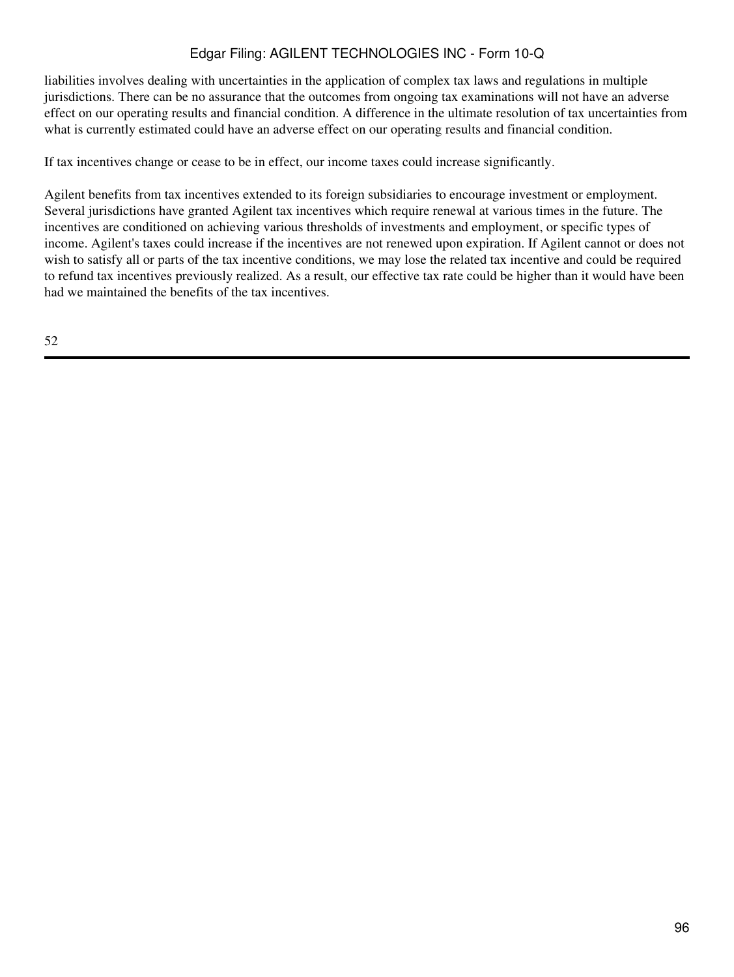liabilities involves dealing with uncertainties in the application of complex tax laws and regulations in multiple jurisdictions. There can be no assurance that the outcomes from ongoing tax examinations will not have an adverse effect on our operating results and financial condition. A difference in the ultimate resolution of tax uncertainties from what is currently estimated could have an adverse effect on our operating results and financial condition.

If tax incentives change or cease to be in effect, our income taxes could increase significantly.

Agilent benefits from tax incentives extended to its foreign subsidiaries to encourage investment or employment. Several jurisdictions have granted Agilent tax incentives which require renewal at various times in the future. The incentives are conditioned on achieving various thresholds of investments and employment, or specific types of income. Agilent's taxes could increase if the incentives are not renewed upon expiration. If Agilent cannot or does not wish to satisfy all or parts of the tax incentive conditions, we may lose the related tax incentive and could be required to refund tax incentives previously realized. As a result, our effective tax rate could be higher than it would have been had we maintained the benefits of the tax incentives.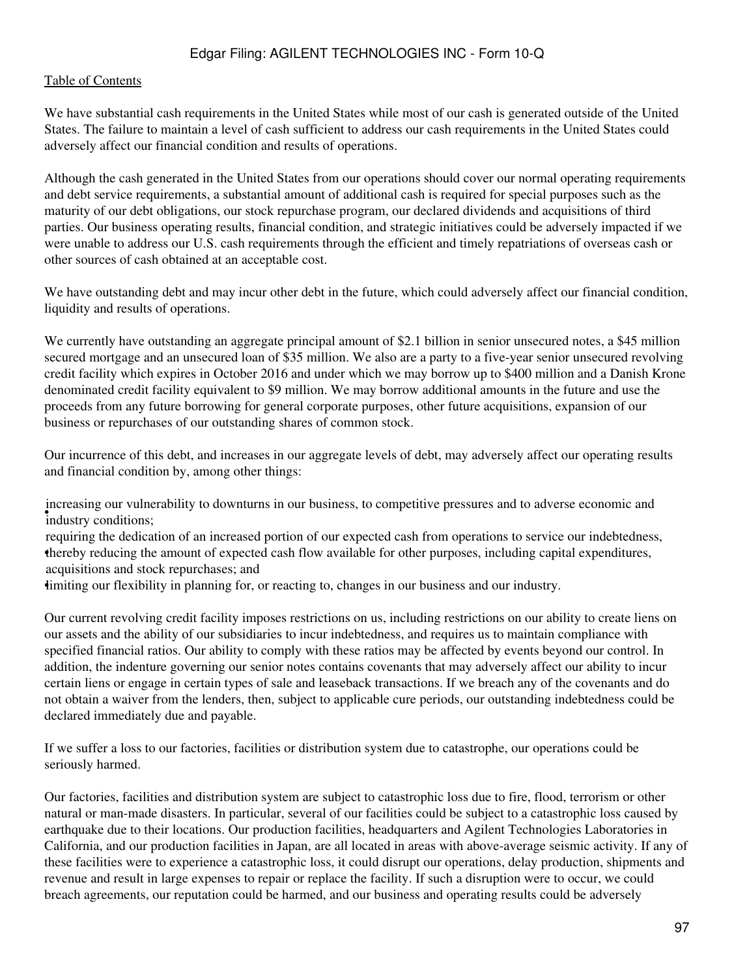#### [Table of Contents](#page-2-0)

We have substantial cash requirements in the United States while most of our cash is generated outside of the United States. The failure to maintain a level of cash sufficient to address our cash requirements in the United States could adversely affect our financial condition and results of operations.

Although the cash generated in the United States from our operations should cover our normal operating requirements and debt service requirements, a substantial amount of additional cash is required for special purposes such as the maturity of our debt obligations, our stock repurchase program, our declared dividends and acquisitions of third parties. Our business operating results, financial condition, and strategic initiatives could be adversely impacted if we were unable to address our U.S. cash requirements through the efficient and timely repatriations of overseas cash or other sources of cash obtained at an acceptable cost.

We have outstanding debt and may incur other debt in the future, which could adversely affect our financial condition, liquidity and results of operations.

We currently have outstanding an aggregate principal amount of \$2.1 billion in senior unsecured notes, a \$45 million secured mortgage and an unsecured loan of \$35 million. We also are a party to a five-year senior unsecured revolving credit facility which expires in October 2016 and under which we may borrow up to \$400 million and a Danish Krone denominated credit facility equivalent to \$9 million. We may borrow additional amounts in the future and use the proceeds from any future borrowing for general corporate purposes, other future acquisitions, expansion of our business or repurchases of our outstanding shares of common stock.

Our incurrence of this debt, and increases in our aggregate levels of debt, may adversely affect our operating results and financial condition by, among other things:

industry conditions; increasing our vulnerability to downturns in our business, to competitive pressures and to adverse economic and

• thereby reducing the amount of expected cash flow available for other purposes, including capital expenditures, requiring the dedication of an increased portion of our expected cash from operations to service our indebtedness, acquisitions and stock repurchases; and

•limiting our flexibility in planning for, or reacting to, changes in our business and our industry.

Our current revolving credit facility imposes restrictions on us, including restrictions on our ability to create liens on our assets and the ability of our subsidiaries to incur indebtedness, and requires us to maintain compliance with specified financial ratios. Our ability to comply with these ratios may be affected by events beyond our control. In addition, the indenture governing our senior notes contains covenants that may adversely affect our ability to incur certain liens or engage in certain types of sale and leaseback transactions. If we breach any of the covenants and do not obtain a waiver from the lenders, then, subject to applicable cure periods, our outstanding indebtedness could be declared immediately due and payable.

If we suffer a loss to our factories, facilities or distribution system due to catastrophe, our operations could be seriously harmed.

Our factories, facilities and distribution system are subject to catastrophic loss due to fire, flood, terrorism or other natural or man-made disasters. In particular, several of our facilities could be subject to a catastrophic loss caused by earthquake due to their locations. Our production facilities, headquarters and Agilent Technologies Laboratories in California, and our production facilities in Japan, are all located in areas with above-average seismic activity. If any of these facilities were to experience a catastrophic loss, it could disrupt our operations, delay production, shipments and revenue and result in large expenses to repair or replace the facility. If such a disruption were to occur, we could breach agreements, our reputation could be harmed, and our business and operating results could be adversely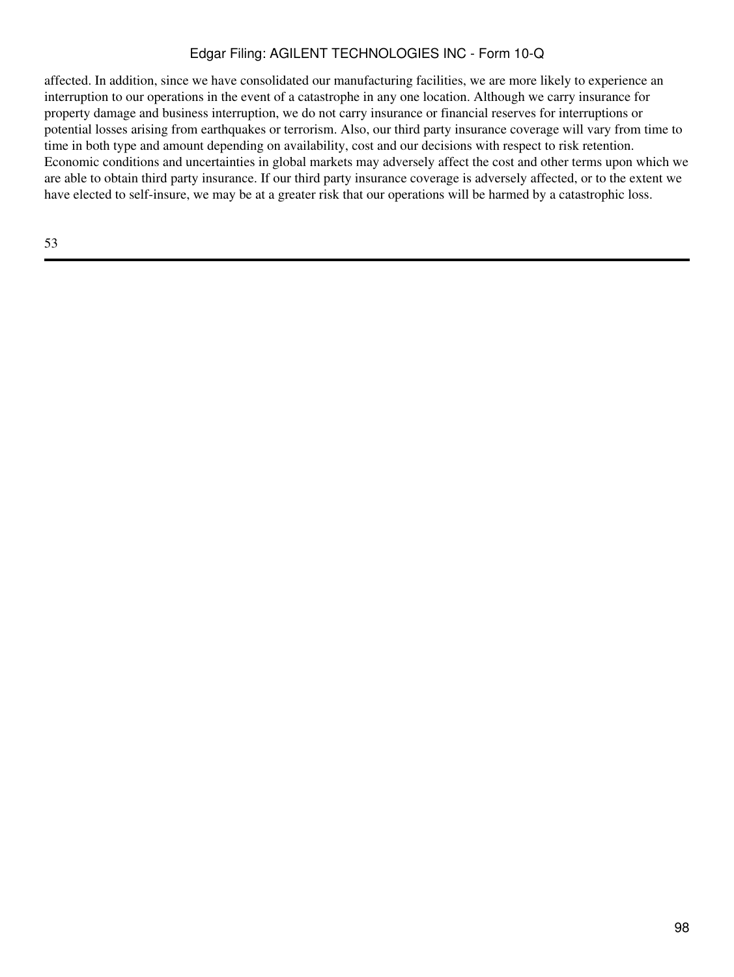affected. In addition, since we have consolidated our manufacturing facilities, we are more likely to experience an interruption to our operations in the event of a catastrophe in any one location. Although we carry insurance for property damage and business interruption, we do not carry insurance or financial reserves for interruptions or potential losses arising from earthquakes or terrorism. Also, our third party insurance coverage will vary from time to time in both type and amount depending on availability, cost and our decisions with respect to risk retention. Economic conditions and uncertainties in global markets may adversely affect the cost and other terms upon which we are able to obtain third party insurance. If our third party insurance coverage is adversely affected, or to the extent we have elected to self-insure, we may be at a greater risk that our operations will be harmed by a catastrophic loss.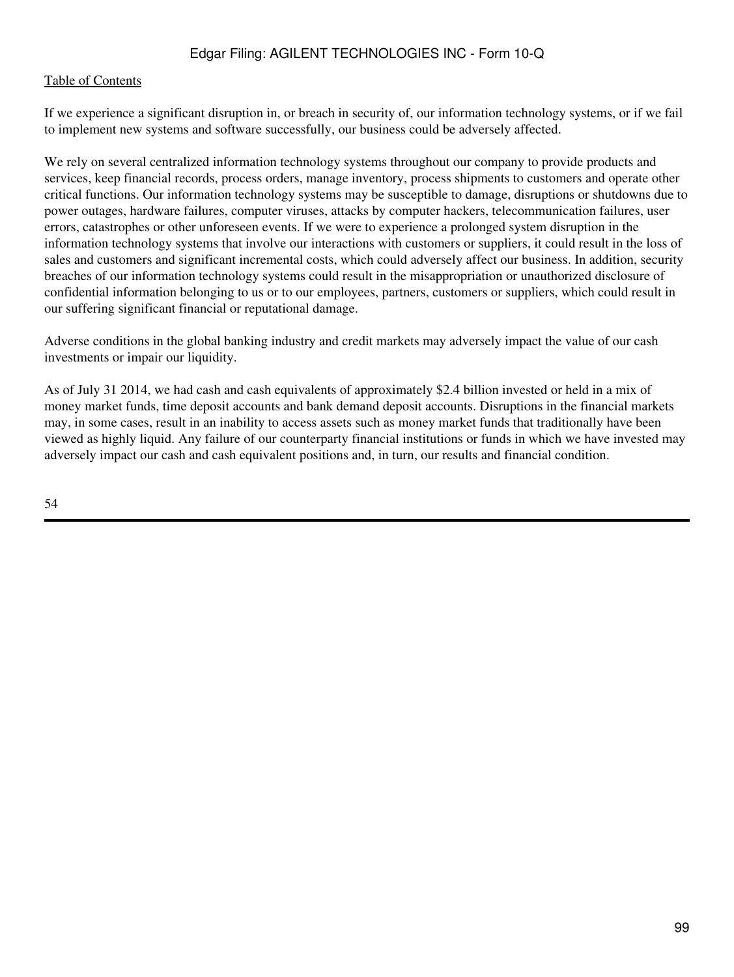If we experience a significant disruption in, or breach in security of, our information technology systems, or if we fail to implement new systems and software successfully, our business could be adversely affected.

We rely on several centralized information technology systems throughout our company to provide products and services, keep financial records, process orders, manage inventory, process shipments to customers and operate other critical functions. Our information technology systems may be susceptible to damage, disruptions or shutdowns due to power outages, hardware failures, computer viruses, attacks by computer hackers, telecommunication failures, user errors, catastrophes or other unforeseen events. If we were to experience a prolonged system disruption in the information technology systems that involve our interactions with customers or suppliers, it could result in the loss of sales and customers and significant incremental costs, which could adversely affect our business. In addition, security breaches of our information technology systems could result in the misappropriation or unauthorized disclosure of confidential information belonging to us or to our employees, partners, customers or suppliers, which could result in our suffering significant financial or reputational damage.

Adverse conditions in the global banking industry and credit markets may adversely impact the value of our cash investments or impair our liquidity.

As of July 31 2014, we had cash and cash equivalents of approximately \$2.4 billion invested or held in a mix of money market funds, time deposit accounts and bank demand deposit accounts. Disruptions in the financial markets may, in some cases, result in an inability to access assets such as money market funds that traditionally have been viewed as highly liquid. Any failure of our counterparty financial institutions or funds in which we have invested may adversely impact our cash and cash equivalent positions and, in turn, our results and financial condition.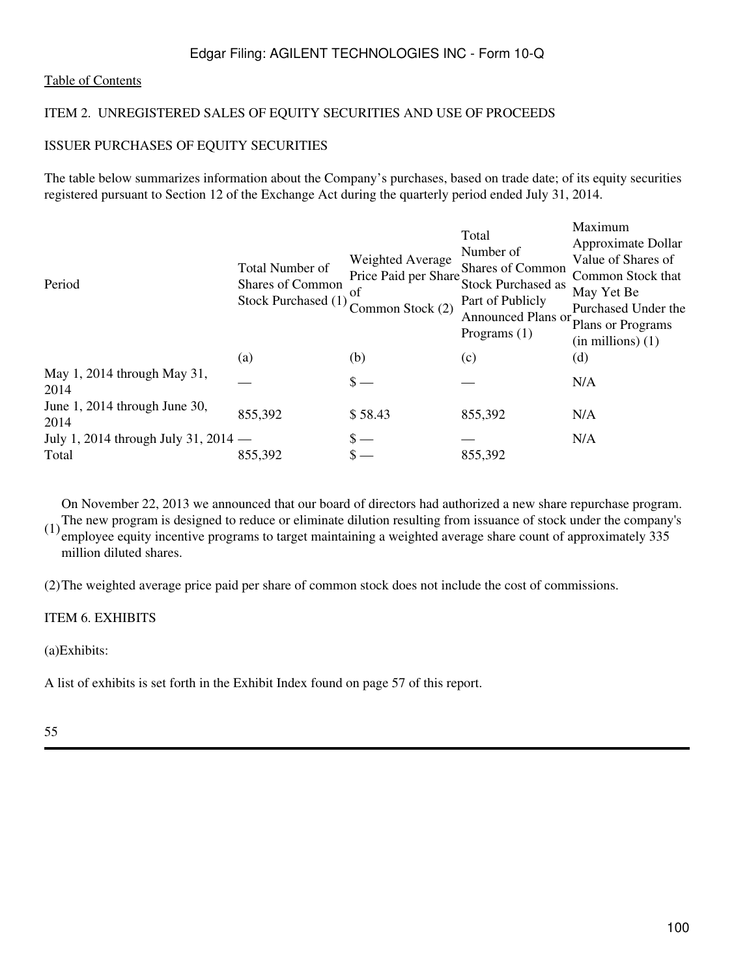### [Table of Contents](#page-2-0)

### ITEM 2. UNREGISTERED SALES OF EQUITY SECURITIES AND USE OF PROCEEDS

### ISSUER PURCHASES OF EQUITY SECURITIES

The table below summarizes information about the Company's purchases, based on trade date; of its equity securities registered pursuant to Section 12 of the Exchange Act during the quarterly period ended July 31, 2014.

| Period                                | Total Number of<br>Shares of Common<br>Stock Purchased (1) | Weighted Average<br>Price Paid per Share<br>of<br>Common Stock (2) | Total<br>Number of<br>Shares of Common<br>Stock Purchased as<br>Part of Publicly<br>Announced Plans or<br>Programs $(1)$ | Maximum<br>Approximate Dollar<br>Value of Shares of<br>Common Stock that<br>May Yet Be<br>Purchased Under the<br>Plans or Programs<br>$(in$ millions $)(1)$ |
|---------------------------------------|------------------------------------------------------------|--------------------------------------------------------------------|--------------------------------------------------------------------------------------------------------------------------|-------------------------------------------------------------------------------------------------------------------------------------------------------------|
|                                       | (a)                                                        | (b)                                                                | (c)                                                                                                                      | (d)                                                                                                                                                         |
| May 1, 2014 through May 31,<br>2014   |                                                            | $S -$                                                              |                                                                                                                          | N/A                                                                                                                                                         |
| June 1, 2014 through June 30,<br>2014 | 855,392                                                    | \$58.43                                                            | 855,392                                                                                                                  | N/A                                                                                                                                                         |
| July 1, 2014 through July 31, 2014 —  |                                                            |                                                                    |                                                                                                                          | N/A                                                                                                                                                         |
| Total                                 | 855,392                                                    |                                                                    | 855,392                                                                                                                  |                                                                                                                                                             |

(1) The new program is designed to reduce or eliminate dilution resulting from issuance of stock under the company's  $(1)$  anglesses count of anglesses count of anglesses  $(225)$ On November 22, 2013 we announced that our board of directors had authorized a new share repurchase program. employee equity incentive programs to target maintaining a weighted average share count of approximately 335 million diluted shares.

(2)The weighted average price paid per share of common stock does not include the cost of commissions.

#### ITEM 6. EXHIBITS

(a)Exhibits:

A list of exhibits is set forth in the Exhibit Index found on page 57 of this report.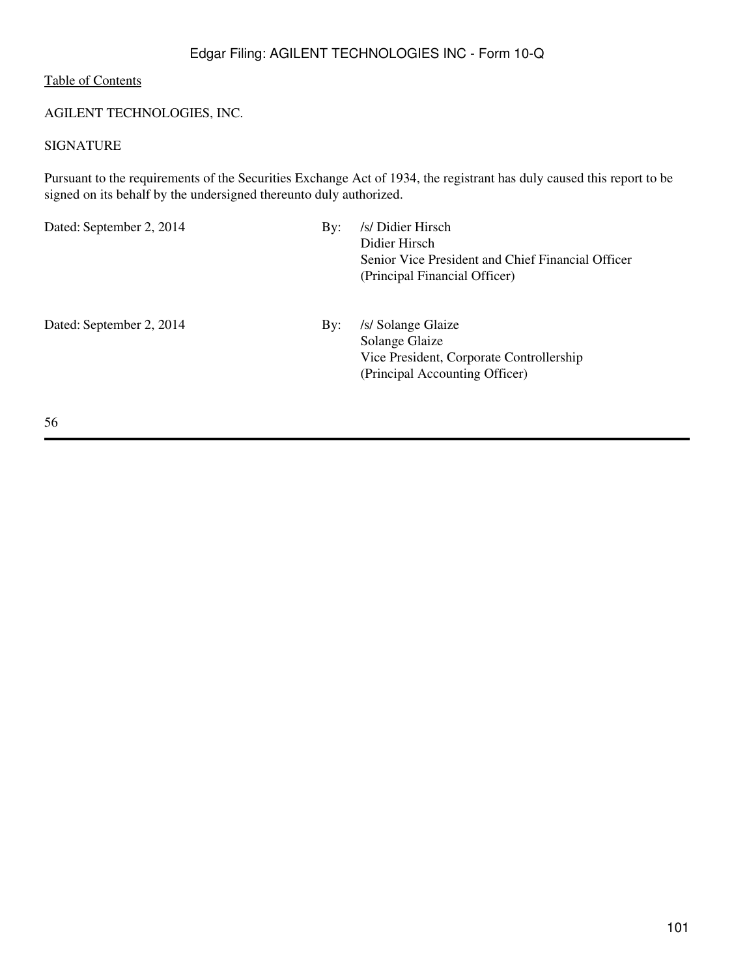### AGILENT TECHNOLOGIES, INC.

## SIGNATURE

Pursuant to the requirements of the Securities Exchange Act of 1934, the registrant has duly caused this report to be signed on its behalf by the undersigned thereunto duly authorized.

Dated: September 2, 2014 By: /s/ Didier Hirsch Didier Hirsch Senior Vice President and Chief Financial Officer (Principal Financial Officer) Dated: September 2, 2014 By: /s/ Solange Glaize Solange Glaize Vice President, Corporate Controllership (Principal Accounting Officer)